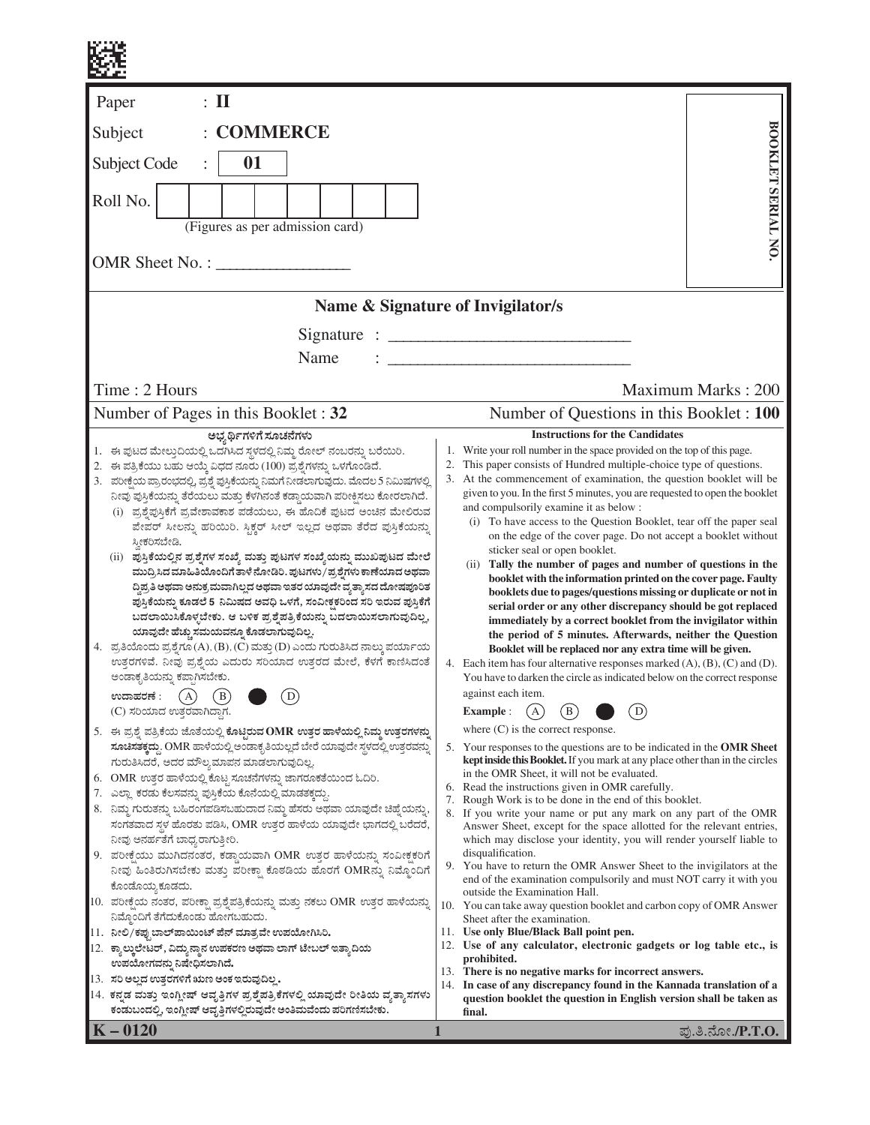| $\colon$ II<br>Paper                                                                                                                                                                                                                                                                                                                                                                                                                                                                                                                                                                                                                                                                                                                                                                                                                                                                                                                                                                                                                                                                                                                                                                                   |                                                                                                                                                                                                                                                                                                                                                                                                                                                                                                                                                                                                                                                                                                                                                                                                                                                                                                                                                                                                                                                                                                                                                                                                                          |  |  |  |  |  |
|--------------------------------------------------------------------------------------------------------------------------------------------------------------------------------------------------------------------------------------------------------------------------------------------------------------------------------------------------------------------------------------------------------------------------------------------------------------------------------------------------------------------------------------------------------------------------------------------------------------------------------------------------------------------------------------------------------------------------------------------------------------------------------------------------------------------------------------------------------------------------------------------------------------------------------------------------------------------------------------------------------------------------------------------------------------------------------------------------------------------------------------------------------------------------------------------------------|--------------------------------------------------------------------------------------------------------------------------------------------------------------------------------------------------------------------------------------------------------------------------------------------------------------------------------------------------------------------------------------------------------------------------------------------------------------------------------------------------------------------------------------------------------------------------------------------------------------------------------------------------------------------------------------------------------------------------------------------------------------------------------------------------------------------------------------------------------------------------------------------------------------------------------------------------------------------------------------------------------------------------------------------------------------------------------------------------------------------------------------------------------------------------------------------------------------------------|--|--|--|--|--|
| <b>COMMERCE</b><br>Subject                                                                                                                                                                                                                                                                                                                                                                                                                                                                                                                                                                                                                                                                                                                                                                                                                                                                                                                                                                                                                                                                                                                                                                             |                                                                                                                                                                                                                                                                                                                                                                                                                                                                                                                                                                                                                                                                                                                                                                                                                                                                                                                                                                                                                                                                                                                                                                                                                          |  |  |  |  |  |
| 01<br>Subject Code                                                                                                                                                                                                                                                                                                                                                                                                                                                                                                                                                                                                                                                                                                                                                                                                                                                                                                                                                                                                                                                                                                                                                                                     |                                                                                                                                                                                                                                                                                                                                                                                                                                                                                                                                                                                                                                                                                                                                                                                                                                                                                                                                                                                                                                                                                                                                                                                                                          |  |  |  |  |  |
| Roll No.<br>(Figures as per admission card)                                                                                                                                                                                                                                                                                                                                                                                                                                                                                                                                                                                                                                                                                                                                                                                                                                                                                                                                                                                                                                                                                                                                                            | BOOKLET SERIAL NO.                                                                                                                                                                                                                                                                                                                                                                                                                                                                                                                                                                                                                                                                                                                                                                                                                                                                                                                                                                                                                                                                                                                                                                                                       |  |  |  |  |  |
| OMR Sheet No. :                                                                                                                                                                                                                                                                                                                                                                                                                                                                                                                                                                                                                                                                                                                                                                                                                                                                                                                                                                                                                                                                                                                                                                                        |                                                                                                                                                                                                                                                                                                                                                                                                                                                                                                                                                                                                                                                                                                                                                                                                                                                                                                                                                                                                                                                                                                                                                                                                                          |  |  |  |  |  |
|                                                                                                                                                                                                                                                                                                                                                                                                                                                                                                                                                                                                                                                                                                                                                                                                                                                                                                                                                                                                                                                                                                                                                                                                        | Name & Signature of Invigilator/s                                                                                                                                                                                                                                                                                                                                                                                                                                                                                                                                                                                                                                                                                                                                                                                                                                                                                                                                                                                                                                                                                                                                                                                        |  |  |  |  |  |
| Name                                                                                                                                                                                                                                                                                                                                                                                                                                                                                                                                                                                                                                                                                                                                                                                                                                                                                                                                                                                                                                                                                                                                                                                                   |                                                                                                                                                                                                                                                                                                                                                                                                                                                                                                                                                                                                                                                                                                                                                                                                                                                                                                                                                                                                                                                                                                                                                                                                                          |  |  |  |  |  |
| Time: 2 Hours                                                                                                                                                                                                                                                                                                                                                                                                                                                                                                                                                                                                                                                                                                                                                                                                                                                                                                                                                                                                                                                                                                                                                                                          | Maximum Marks: 200                                                                                                                                                                                                                                                                                                                                                                                                                                                                                                                                                                                                                                                                                                                                                                                                                                                                                                                                                                                                                                                                                                                                                                                                       |  |  |  |  |  |
| Number of Pages in this Booklet: 32                                                                                                                                                                                                                                                                                                                                                                                                                                                                                                                                                                                                                                                                                                                                                                                                                                                                                                                                                                                                                                                                                                                                                                    | Number of Questions in this Booklet : 100<br><b>Instructions for the Candidates</b>                                                                                                                                                                                                                                                                                                                                                                                                                                                                                                                                                                                                                                                                                                                                                                                                                                                                                                                                                                                                                                                                                                                                      |  |  |  |  |  |
| ಅಭ್ಯರ್ಥಿಗಳಿಗೆ ಸೂಚನೆಗಳು<br>1. ಈ ಪುಟದ ಮೇಲ್ತುದಿಯಲ್ಲಿ ಒದಗಿಸಿದ ಸ್ಥಳದಲ್ಲಿ ನಿಮ್ಮ ರೋಲ್ ನಂಬರನ್ನು ಬರೆಯಿರಿ.<br>2. ಈ ಪತ್ರಿಕೆಯು ಬಹು ಆಯ್ಕೆ ವಿಧದ ನೂರು (100) ಪ್ರಶ್ನೆಗಳನ್ನು ಒಳಗೊಂಡಿದೆ.<br>3. ಪರೀಕ್ಷೆಯ ಪ್ರಾರಂಭದಲ್ಲಿ, ಪ್ರಶ್ನೆ ಪುಸ್ತಿಕೆಯನ್ನು ನಿಮಗೆ ನೀಡಲಾಗುವುದು. ಮೊದಲ 5 ನಿಮಿಷಗಳಲ್ಲಿ<br>ನೀವು ಪುಸ್ತಿಕೆಯನ್ನು ತೆರೆಯಲು ಮತ್ತು ಕೆಳಗಿನಂತೆ ಕಡ್ಡಾಯವಾಗಿ ಪರೀಕ್ಷಿಸಲು ಕೋರಲಾಗಿದೆ.<br>(i) ಪ್ರಶ್ನೆಪುಸ್ತಿಕೆಗೆ ಪ್ರವೇಶಾವಕಾಶ ಪಡೆಯಲು, ಈ ಹೊದಿಕೆ ಪುಟದ ಅಂಚಿನ ಮೇಲಿರುವ<br>ಪೇಪರ್ ಸೀಲನ್ನು ಹರಿಯಿರಿ. ಸ್ಟಿಕ್ಕರ್ ಸೀಲ್ ಇಲ್ಲದ ಅಥವಾ ತೆರೆದ ಪುಸ್ತಿಕೆಯನ್ನು<br>ಸ್ತೀಕರಿಸಬೇಡಿ.<br>(ii)  ಪುಸ್ತಿಕೆಯಲ್ಲಿನ ಪ್ರಶ್ನೆಗಳ ಸಂಖ್ಯೆ ಮತ್ತು ಪುಟಗಳ ಸಂಖ್ಯೆಯನ್ನು ಮುಖಪುಟದ ಮೇಲೆ<br>ಮುದ್ರಿಸಿದ ಮಾಹಿತಿಯೊಂದಿಗೆ ತಾಳೆ ನೋಡಿರಿ. ಪುಟಗಳು / ಪ್ರಶ್ನೆಗಳು ಕಾಣೆಯಾದ ಅಥವಾ<br>ದ್ದಿಪ್ರತಿ ಅಥವಾ ಅನುಕ್ರಮವಾಗಿಲ್ಲದ ಅಥವಾ ಇತರ ಯಾವುದೇ ವ್ಯತ್ಯಾಸದ ದೋಷಪೂರಿತ<br>ಪುಸ್ತಿಕೆಯನ್ನು ಕೂಡಲೆ 5 ನಿಮಿಷದ ಅವಧಿ ಒಳಗೆ, ಸಂವೀಕ್ಷಕರಿಂದ ಸರಿ ಇರುವ ಪುಸ್ತಿಕೆಗೆ<br>ಬದಲಾಯಿಸಿಕೊಳ್ಳಬೇಕು. ಆ ಬಳಿಕ ಪ್ರಶೈಪತ್ರಿಕೆಯನ್ನು ಬದಲಾಯಿಸಲಾಗುವುದಿಲ್ಲ,<br>ಯಾವುದೇ ಹೆಚ್ಚು ಸಮಯವನ್ನೂ ಕೊಡಲಾಗುವುದಿಲ್ಲ.<br>4. ಪ್ರತಿಯೊಂದು ಪ್ರಶ್ನೆಗೂ (A), (B), (C) ಮತ್ತು (D) ಎಂದು ಗುರುತಿಸಿದ ನಾಲ್ಕು ಪರ್ಯಾಯ<br>ಉತ್ತರಗಳಿವೆ. ನೀವು ಪ್ರಶ್ನೆಯ ಎದುರು ಸರಿಯಾದ ಉತ್ತರದ ಮೇಲೆ, ಕೆಳಗೆ ಕಾಣಿಸಿದಂತೆ<br>ಅಂಡಾಕೃತಿಯನ್ನು ಕಪ್ಪಾಗಿಸಬೇಕು.<br>ಉದಾಹರಣೆ :<br>D<br>$\left( A \right)$<br>B<br>(C) ಸರಿಯಾದ ಉತ್ತರವಾಗಿದ್ದಾಗ. | Write your roll number in the space provided on the top of this page.<br>1.<br>This paper consists of Hundred multiple-choice type of questions.<br>3. At the commencement of examination, the question booklet will be<br>given to you. In the first 5 minutes, you are requested to open the booklet<br>and compulsorily examine it as below :<br>(i) To have access to the Question Booklet, tear off the paper seal<br>on the edge of the cover page. Do not accept a booklet without<br>sticker seal or open booklet.<br>(ii) Tally the number of pages and number of questions in the<br>booklet with the information printed on the cover page. Faulty<br>booklets due to pages/questions missing or duplicate or not in<br>serial order or any other discrepancy should be got replaced<br>immediately by a correct booklet from the invigilator within<br>the period of 5 minutes. Afterwards, neither the Question<br>Booklet will be replaced nor any extra time will be given.<br>4. Each item has four alternative responses marked (A), (B), (C) and (D).<br>You have to darken the circle as indicated below on the correct response<br>against each item.<br>(B)<br>D<br><b>Example:</b><br>$\mathbf{A}$ |  |  |  |  |  |
| 5. ಈ ಪ್ರಶ್ನೆ ಪತ್ರಿಕೆಯ ಜೊತೆಯಲ್ಲಿ ಕೊಟ್ಟಿರುವ OMR ಉತ್ತರ ಹಾಳೆಯಲ್ಲಿ ನಿಮ್ಮ ಉತ್ತರಗಳನ್ನು<br>ಸೂಚಿಸತಕ್ಕದ್ದು. OMR ಹಾಳೆಯಲ್ಲಿ ಅಂಡಾಕೃತಿಯಲ್ಲದೆ ಬೇರೆ ಯಾವುದೇ ಸ್ಥಳದಲ್ಲಿ ಉತ್ತರವನ್ನು<br>ಗುರುತಿಸಿದರೆ, ಅದರ ಮೌಲ್ಯಮಾಪನ ಮಾಡಲಾಗುವುದಿಲ್ಲ<br>OMR ಉತ್ತರ ಹಾಳೆಯಲ್ಲಿ ಕೊಟ್ಟ ಸೂಚನೆಗಳನ್ನು ಜಾಗರೂಕತೆಯಿಂದ ಓದಿರಿ.<br>6.<br>7. ಎಲ್ಲಾ ಕರಡು ಕೆಲಸವನ್ನು ಪುಸ್ತಿಕೆಯ ಕೊನೆಯಲ್ಲಿ ಮಾಡತಕ್ಕದ್ದು.<br>8. ನಿಮ್ಮ ಗುರುತನ್ನು ಬಹಿರಂಗಪಡಿಸಬಹುದಾದ ನಿಮ್ಮ ಹೆಸರು ಅಥವಾ ಯಾವುದೇ ಚಿಹ್ನೆಯನ್ನು,<br>ಸಂಗತವಾದ ಸ್ಥಳ ಹೊರತು ಪಡಿಸಿ, OMR ಉತ್ತರ ಹಾಳೆಯ ಯಾವುದೇ ಭಾಗದಲ್ಲಿ ಬರೆದರೆ,<br>ನೀವು ಅನರ್ಹತೆಗೆ ಬಾಧ್ಯರಾಗುತ್ತೀರಿ.                                                                                                                                                                                                                                                                                                                                                                                                                                                                                                                                                                                                                                                                        | where $(C)$ is the correct response.<br>5. Your responses to the questions are to be indicated in the OMR Sheet<br><b>kept inside this Booklet.</b> If you mark at any place other than in the circles<br>in the OMR Sheet, it will not be evaluated.<br>6. Read the instructions given in OMR carefully.<br>Rough Work is to be done in the end of this booklet.<br>7.<br>8. If you write your name or put any mark on any part of the OMR<br>Answer Sheet, except for the space allotted for the relevant entries,<br>which may disclose your identity, you will render yourself liable to                                                                                                                                                                                                                                                                                                                                                                                                                                                                                                                                                                                                                             |  |  |  |  |  |
| 9. ಪರೀಕ್ಷೆಯು ಮುಗಿದನಂತರ, ಕಡ್ಡಾಯವಾಗಿ OMR ಉತ್ತರ ಹಾಳೆಯನ್ನು ಸಂವೀಕ್ಷಕರಿಗೆ<br>ನೀವು ಹಿಂತಿರುಗಿಸಬೇಕು ಮತ್ತು ಪರೀಕ್ಷಾ ಕೊಠಡಿಯ ಹೊರಗೆ OMRನ್ನು ನಿಮ್ಮೊಂದಿಗೆ<br>ಕೊಂಡೊಯ್ತ ಕೂಡದು.<br>10.  ಪರೀಕ್ಷೆಯ ನಂತರ, ಪರೀಕ್ಷಾ ಪ್ರಶ್ನೆಪತ್ರಿಕೆಯನ್ನು ಮತ್ತು ನಕಲು OMR ಉತ್ತರ ಹಾಳೆಯನ್ನು                                                                                                                                                                                                                                                                                                                                                                                                                                                                                                                                                                                                                                                                                                                                                                                                                                                                                                                                                         | disqualification.<br>9. You have to return the OMR Answer Sheet to the invigilators at the<br>end of the examination compulsorily and must NOT carry it with you<br>outside the Examination Hall.<br>10. You can take away question booklet and carbon copy of OMR Answer                                                                                                                                                                                                                                                                                                                                                                                                                                                                                                                                                                                                                                                                                                                                                                                                                                                                                                                                                |  |  |  |  |  |
| ನಿಮ್ಮೊಂದಿಗೆ ತೆಗೆದುಕೊಂಡು ಹೋಗಬಹುದು.<br>11. ನೀಲಿ/ಕಪ್ಪುಬಾಲ್ ಪಾಯಿಂಟ್ ಪೆನ್ ಮಾತ್ರವೇ ಉಪಯೋಗಿಸಿರಿ.<br>12. ಕ್ಯಾಲ್ಕುಲೇಟರ್, ವಿದ್ಯುನ್ಮಾನ ಉಪಕರಣ ಅಥವಾ ಲಾಗ್ ಟೇಬಲ್ ಇತ್ತಾದಿಯ<br>ಉಪಯೋಗವನ್ನು ನಿಷೇಧಿಸಲಾಗಿದೆ.                                                                                                                                                                                                                                                                                                                                                                                                                                                                                                                                                                                                                                                                                                                                                                                                                                                                                                                                                                                                                 | Sheet after the examination.<br>11. Use only Blue/Black Ball point pen.<br>12. Use of any calculator, electronic gadgets or log table etc., is<br>prohibited.                                                                                                                                                                                                                                                                                                                                                                                                                                                                                                                                                                                                                                                                                                                                                                                                                                                                                                                                                                                                                                                            |  |  |  |  |  |
| 13. ಸರಿ ಅಲ್ಲದ ಉತ್ತರಗಳಿಗೆ ಋಣ ಅಂಕ ಇರುವುದಿಲ್ಲ.<br>14. ಕನ್ನಡ ಮತ್ತು ಇಂಗ್ಲೀಷ್ ಆವೃತ್ತಿಗಳ ಪ್ರಶ್ನೆಪತ್ರಿಕೆಗಳಲ್ಲಿ ಯಾವುದೇ ರೀತಿಯ ವ್ಯತ್ಯಾಸಗಳು<br>ಕಂಡುಬಂದಲ್ಲಿ, ಇಂಗ್ಲೀಷ್ ಆವೃತ್ತಿಗಳಲ್ಲಿರುವುದೇ ಅಂತಿಮವೆಂದು ಪರಿಗಣಿಸಬೇಕು.<br>$\vert$ K – 0120                                                                                                                                                                                                                                                                                                                                                                                                                                                                                                                                                                                                                                                                                                                                                                                                                                                                                                                                                                               | 13. There is no negative marks for incorrect answers.<br>14. In case of any discrepancy found in the Kannada translation of a<br>question booklet the question in English version shall be taken as<br>final.<br>ಪು.ತಿ.ನೋ./P.T.O.                                                                                                                                                                                                                                                                                                                                                                                                                                                                                                                                                                                                                                                                                                                                                                                                                                                                                                                                                                                        |  |  |  |  |  |
|                                                                                                                                                                                                                                                                                                                                                                                                                                                                                                                                                                                                                                                                                                                                                                                                                                                                                                                                                                                                                                                                                                                                                                                                        | 1                                                                                                                                                                                                                                                                                                                                                                                                                                                                                                                                                                                                                                                                                                                                                                                                                                                                                                                                                                                                                                                                                                                                                                                                                        |  |  |  |  |  |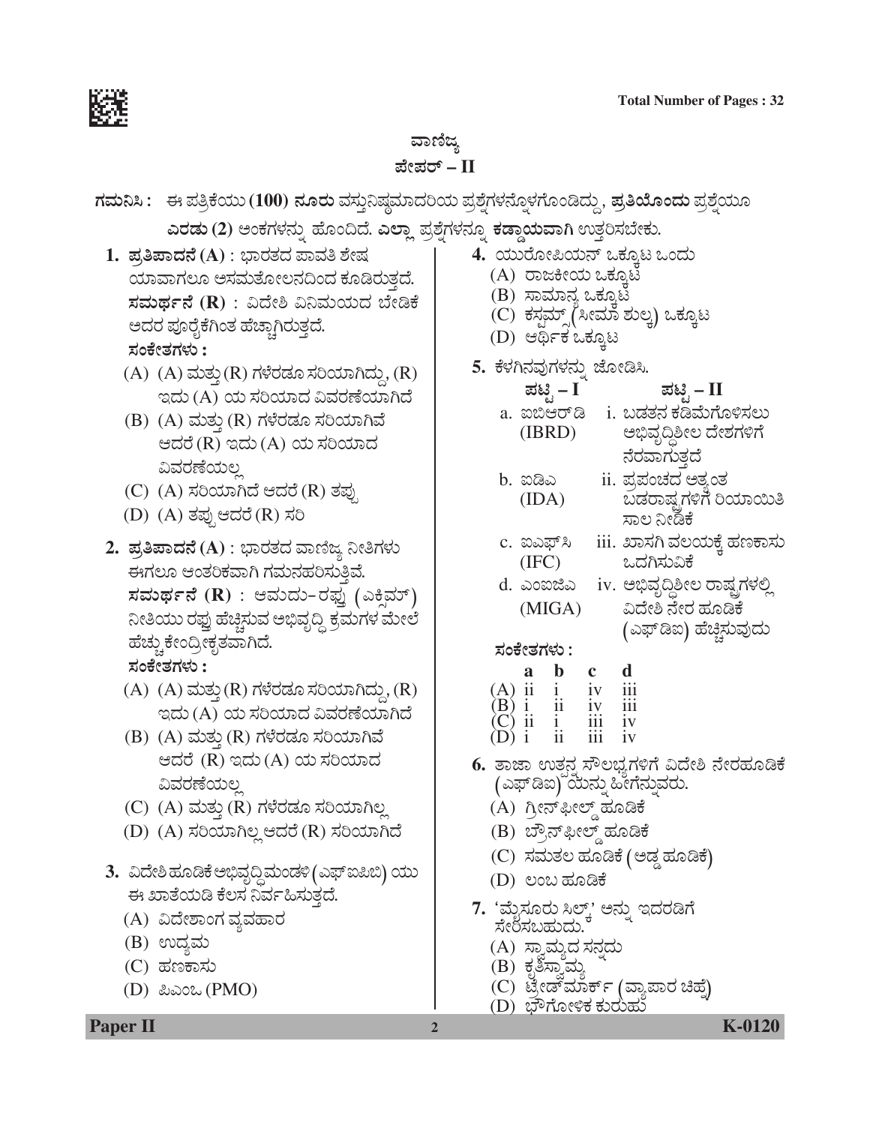

# ವಾಣಿಜ್ಯ *±æà±ÜÃ…* **– II**

| ಗಮನಿಸಿ :    ಈ ಪತ್ರಿಕೆಯು (100) ನೂರು ವಸ್ತುನಿಷ್ಠಮಾದರಿಯ ಪ್ರಶ್ನೆಗಳನ್ನೊಳಗೊಂಡಿದ್ದು, ಪ್ರತಿಯೊಂದು ಪ್ರಶ್ನೆಯೂ                                                                                                                                                                                                                                                                                                                          |                                                                                                                                                                                                                                                                                                                                                                                              |  |  |  |  |  |
|----------------------------------------------------------------------------------------------------------------------------------------------------------------------------------------------------------------------------------------------------------------------------------------------------------------------------------------------------------------------------------------------------------------------------|----------------------------------------------------------------------------------------------------------------------------------------------------------------------------------------------------------------------------------------------------------------------------------------------------------------------------------------------------------------------------------------------|--|--|--|--|--|
| ಎರಡು (2) ಅಂಕಗಳನ್ನು ಹೊಂದಿದೆ. ಎಲ್ಲಾ ಪ್ರಶ್ನೆಗಳನ್ನೂ ಕಡ್ಡಾಯವಾಗಿ ಉತ್ತರಿಸಬೇಕು.                                                                                                                                                                                                                                                                                                                                                    |                                                                                                                                                                                                                                                                                                                                                                                              |  |  |  |  |  |
| 1. ಪ್ರತಿಪಾದನೆ (A) : ಭಾರತದ ಪಾವತಿ ಶೇಷ<br>ಯಾವಾಗಲೂ ಅಸಮತೋಲನದಿಂದ ಕೂಡಿರುತ್ತದೆ.<br>ಸಮರ್ಥನೆ (R) : ವಿದೇಶಿ ವಿನಿಮಯದ ಬೇಡಿಕೆ<br>ಅದರ ಪೂರೈಕೆಗಿಂತ ಹೆಚ್ಚಾಗಿರುತ್ತದೆ.<br>ಸಂಕೇತಗಳು :                                                                                                                                                                                                                                                            | 4. ಯುರೋಪಿಯನ್ ಒಕ್ಕೂಟ ಒಂದು<br>(A) ರಾಜಕೀಯ ಒಕ್ಕೂಟ<br>(B) ಸಾಮಾನ್ಯ ಒಕ್ಕೂಟ<br>(C) ಕಸ್ಟಮ್ಸ್(ಸೀಮಾ ಶುಲ್ಕ) ಒಕ್ಕೂಟ<br>(D) ಆರ್ಥಿಕ ಒಕ್ಕೂಟ                                                                                                                                                                                                                                                                  |  |  |  |  |  |
| $(A)$ $(A)$ ಮತ್ತು $(R)$ ಗಳೆರಡೂ ಸರಿಯಾಗಿದ್ದು, $(R)$<br>ಇದು (A) ಯ ಸರಿಯಾದ ವಿವರಣೆಯಾಗಿದೆ<br>(B) (A) ಮತ್ತು (R) ಗಳೆರಡೂ ಸರಿಯಾಗಿವೆ<br>ಆದರೆ (R) ಇದು (A) ಯ ಸರಿಯಾದ<br>ವಿವರಣೆಯಲ್ಲ<br>(C) (A) ಸರಿಯಾಗಿದೆ ಆದರೆ (R) ತಪು<br>(D) (A) ತಪ್ಪುಆದರೆ (R) ಸರಿ                                                                                                                                                                                         | 5. ಕೆಳಗಿನವುಗಳನ್ನು ಜೋಡಿಸಿ.<br>ಪಟ್ಟಿ – I<br>ಪಟ್ಸಿ – II<br>a. ಐಬಿಆರ್ಡಿ i. ಬಡತನ ಕಡಿಮೆಗೊಳಿಸಲು<br>ಅಭಿವೃದ್ಧಿಶೀಲ ದೇಶಗಳಿಗೆ<br>(BRD)<br>ನೆರವಾಗುತ್ತ<br>ii. ಪ್ರಪಂಚದ ಅತ್ತಂತ<br>b. ಐಡಿಎ<br>ಬಡರಾಷ್ಟ್ರಗಳಿಗೆ ರಿಯಾಯಿತಿ<br>(IDA)<br>ಸಾಲ ನೀಡಿಕೆ                                                                                                                                                                  |  |  |  |  |  |
| 2.  ಪ್ರತಿಪಾದನೆ (A) : ಭಾರತದ ವಾಣಿಜ್ಯ ನೀತಿಗಳು<br>ಈಗಲೂ ಆಂತರಿಕವಾಗಿ ಗಮನಹರಿಸುತ್ತಿವೆ.<br>ಸಮರ್ಥನೆ (R) : ಆಮದು-ರಫ್ನು (ಎಕ್ಷಿಮ್)<br>ನೀತಿಯು ರಫ್ತು ಹೆಚ್ಚಿಸುವ ಅಭಿವೃದ್ಧಿ ಕ್ರಮಗಳ ಮೇಲೆ<br>ಹೆಚ್ಚು ಕೇಂದ್ರೀಕೃತವಾಗಿದೆ.<br>ಸಂಕೇತಗಳು :<br>$(A)$ $(A)$ ಮತ್ತು $(R)$ ಗಳೆರಡೂ ಸರಿಯಾಗಿದ್ದು, $(R)$<br>ಇದು (A) ಯ ಸರಿಯಾದ ವಿವರಣೆಯಾಗಿದೆ<br>(B) (A) ಮತ್ತು (R) ಗಳೆರಡೂ ಸರಿಯಾಗಿವೆ<br>ಆದರೆ (R) ಇದು(A) ಯ ಸರಿಯಾದ<br>ವಿವರಣೆಯಲ್ಲ<br>(C) (A) ಮತ್ತು (R) ಗಳೆರಡೂ ಸರಿಯಾಗಿಲ್ಲ | c. ಐಎಫ್ಸಿ iii. ಖಾಸಗಿ ವಲಯಕ್ಕೆ ಹಣಕಾಸು<br>ಒದಗಿಸುವಿಕೆ<br>(IFC)<br>d. ಎಂಐಜಿಎ iv. ಅಭಿವೃದ್ಧಿಶೀಲ ರಾಷ್ಟ್ರಗಳಲ್ಲಿ<br>ವಿದೇಶಿ ನೇರ ಹೂಡಿಕೆ<br>(MIGA)<br>(ಎಫ್ಡಿಐ) ಹೆಚ್ಚಿಸುವುದು<br>ಸಂಕೇತಗಳು :<br><b>a b c d</b><br>(A) ii <b>i</b> iv iii<br>(B) i ii iv iii<br>(C) ii i iii iv<br>(D) i ii iii iv<br>6. ತಾಜಾ ಉತ್ಪನ್ನ ಸೌಲಭ್ಯಗಳಿಗೆ ವಿದೇಶಿ ನೇರಹೂಡಿಕೆ<br>(ಎಫ್ಡಿಐ) ಯೆನ್ನು ಹೀಗೆನ್ನುವರು.<br>(A) ಗ್ರೀನ್ಫೀಲ್ಡ್ ಹೂಡಿಕೆ |  |  |  |  |  |
| (D) (A) ಸರಿಯಾಗಿಲ್ಲ ಆದರೆ (R) ಸರಿಯಾಗಿದೆ<br>3.   ವಿದೇಶಿ ಹೂಡಿಕೆ ಅಭಿವೃದ್ಧಿ ಮಂಡಳಿ (ಎಫ್ ಐಪಿಬಿ) ಯು<br>ಈ ಖಾತೆಯಡಿ ಕೆಲಸ ನಿರ್ವಹಿಸುತ್ತದೆ.<br>(A) ವಿದೇಶಾಂಗ ವ್ಯವಹಾರ<br>(B) ಉದ್ಯಮ<br>(C) ಹಣಕಾಸು<br>(D) ಪಿಎಂಒ $(PMO)$                                                                                                                                                                                                                       | (B) ಬ್ರೌನ್ ಫೀಲ್ಡ್ ಹೂಡಿಕೆ<br>(C) ಸಮತಲ ಹೂಡಿಕೆ (ಅಡ್ಡ ಹೂಡಿಕೆ)<br>(D) ಲಂಬ ಹೂಡಿಕೆ<br>7. 'ಮೈಸೂರು ಸಿಲ್ಕ್' ಅನ್ನು ಇದರಡಿಗೆ<br>ಸೇರಿಸಬಹುದು.<br>(A) ಸ್ನಾಮ್ಯದ ಸನ್ನದು<br>(B) ಕೃತಿಸ್ವಾಮ್ಯ<br>(C) ಟ್ರೇಡ್ <i>ಮಾರ್ಕ್ (ವ್ಯಾಪಾರ ಚಿಹ್ನೆ</i> )<br>(D) ಭೌಗೋಳಿಕ ಕುರುಹು                                                                                                                                                 |  |  |  |  |  |
| <b>Paper II</b>                                                                                                                                                                                                                                                                                                                                                                                                            | <b>K-0120</b><br>2                                                                                                                                                                                                                                                                                                                                                                           |  |  |  |  |  |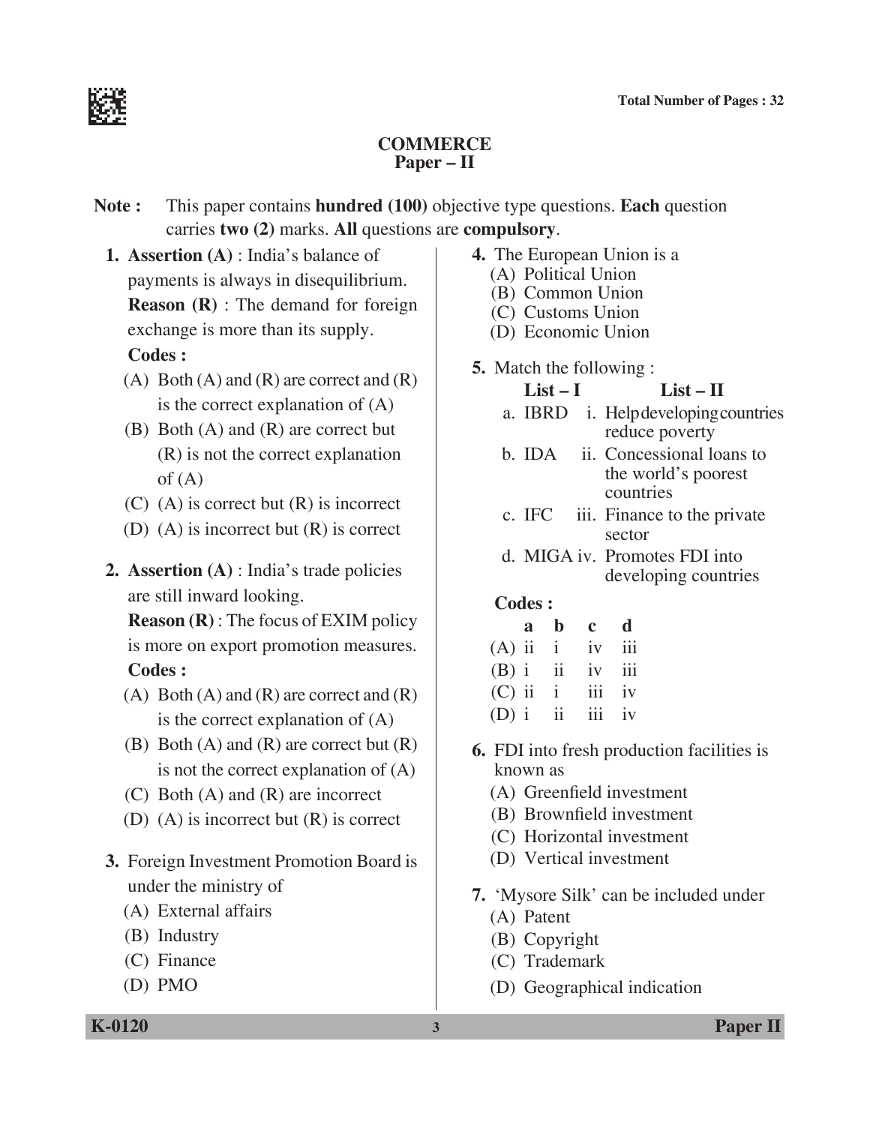

### **Commerce Paper – II**

**Note :** This paper contains **hundred (100)** objective type questions. **Each** question carries **two (2)** marks. **All** questions are **compulsory**.

**1. Assertion (A)** : India's balance of payments is always in disequilibrium. **Reason (R)** : The demand for foreign exchange is more than its supply.

### **Codes :**

- (A) Both (A) and (R) are correct and  $(R)$ is the correct explanation of (A)
- (B) Both (A) and (R) are correct but (R) is not the correct explanation of  $(A)$
- (C) (A) is correct but (R) is incorrect
- (D) (A) is incorrect but (R) is correct
- **2. Assertion (A)** : India's trade policies are still inward looking.

 **Reason (R)** : The focus of EXIM policy is more on export promotion measures.  **Codes :**

- (A) Both (A) and (R) are correct and  $(R)$ is the correct explanation of (A)
- $(B)$  Both  $(A)$  and  $(R)$  are correct but  $(R)$ is not the correct explanation of (A)
- (C) Both (A) and (R) are incorrect
- (D) (A) is incorrect but (R) is correct
- **3.** Foreign Investment Promotion Board is under the ministry of
	- (A) External affairs
	- (B) Industry
	- (C) Finance
	- (D) PMO
- **4.** The European Union is a (A) Political Union
	- (B) Common Union
	- (C) Customs Union
	- (D) Economic Union
- **5.** Match the following :
	- $List I$   $List II$
	- a. IBRD i. Help developing countries reduce poverty
	- b. IDA ii. Concessional loans to the world's poorest countries
	- c. IFC iii. Finance to the private sector
	- d. MIGA iv. Promotes FDI into developing countries

|                     | a b c d |  |
|---------------------|---------|--|
| $(A)$ ii $i$ iv iii |         |  |
| $(B)$ i ii iv iii   |         |  |
| $(C)$ ii ii iv      |         |  |
| $(D)$ i ii iii iv   |         |  |

- **6.** FDI into fresh production facilities is known as
	- (A) Greenfield investment
	- (B) Brownfield investment
	- (C) Horizontal investment
	- (D) Vertical investment
- **7.** 'Mysore Silk' can be included under
	- (A) Patent
	- (B) Copyright
	- (C) Trademark
	- (D) Geographical indication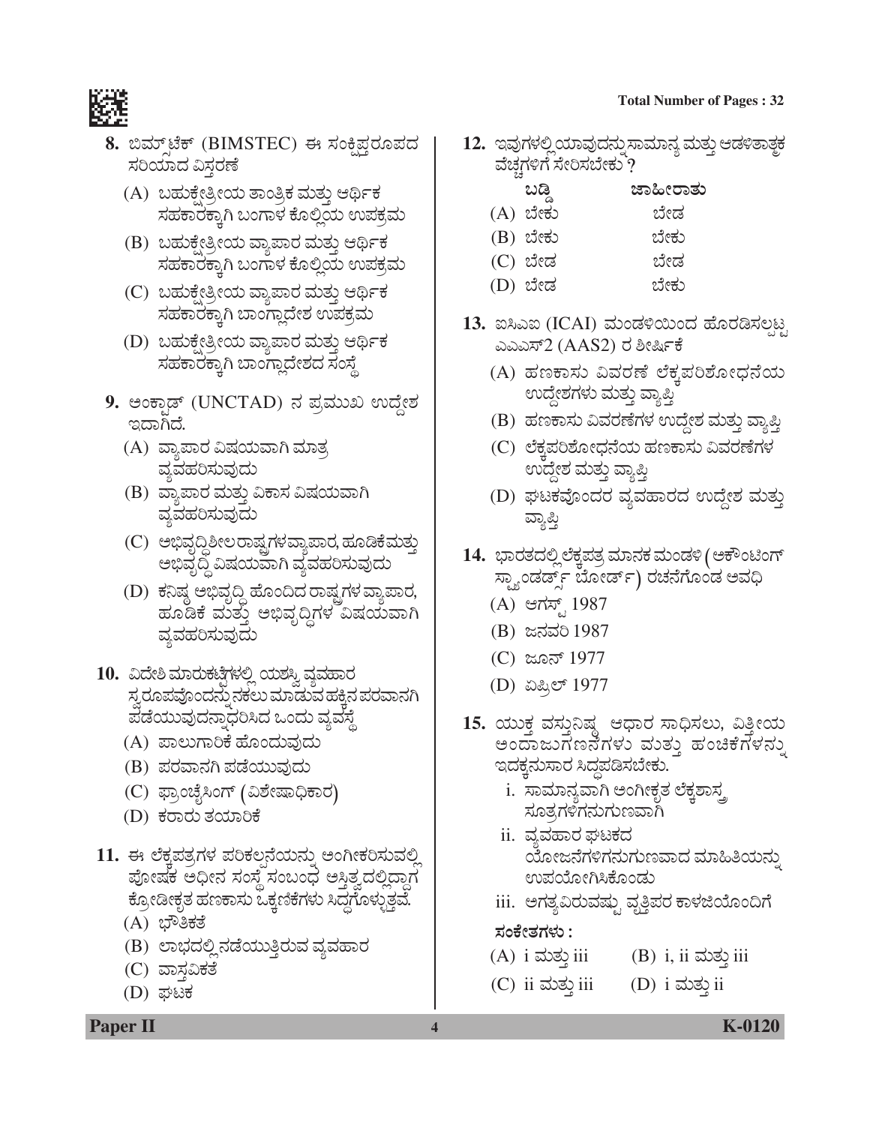#### **Total Number of Pages : 32**



- 8. ಬಿಮ್ ಟೆಕ್ (BIMSTEC) ಈ ಸಂಕ್ಷಿಪ್ಗರೂಪದ ಸರಿಯಾದ ವಿಸ್ತರಣೆ
	- (A) ಬಹುಕ್ಷೇತ್ರೀಯ ತಾಂತ್ರಿಕ ಮತ್ತು ಆರ್ಥಿಕ ಸಹಕಾರಕ್ಕಾಗಿ ಬಂಗಾಳ ಕೊಲ್ಲಿಯ ಉಪಕ್ರಮ
	- (B) ಬಹುಕ್ಕೇತ್ರೀಯ ವ್ಯಾಪಾರ ಮತ್ತು ಆರ್ಥಿಕ ಸಹಕಾರಕ್ಕಾಗಿ ಬಂಗಾಳ ಕೊಲ್ಲಿಯ ಉಪಕ್ರಮ
	- (C) ಬಹುಕ್ಷೇತ್ರೀಯ ವ್ಯಾಪಾರ ಮತ್ತು ಆರ್ಥಿಕ ಸಹಕಾರಕ್ಕಾಗಿ ಬಾಂಗ್ಲಾದೇಶ ಉಪಕ್ರಮ
	- (D) ಬಹುಕ್ಷೇತ್ರೀಯ ವ್ಯಾಪಾರ ಮತ್ತು ಆರ್ಥಿಕ ಸಹಕಾರಕ್ಕಾಗಿ ಬಾಂಗ್ಲಾದೇಶದ ಸಂಸ್ಥೆ
- 9. ಅಂಕ್ಸಾಡ್ (UNCTAD) ನ ಪ್ರಮುಖ ಉದ್ದೇಶ ಇದಾಗಿದೆ.
	- (A) ವ್ಯಾಪಾರ ವಿಷಯವಾಗಿ ಮಾತ್ರ *ÊÜÂÊÜÖÜÄÓÜáÊÜâ¨Üá*
	- (B) ವ್ಯಾಪಾರ ಮತ್ತು ವಿಕಾಸ ವಿಷಯವಾಗಿ *ÊÜÂÊÜÖÜÄÓÜáÊÜâ¨Üá*
	- (C) ಅಭಿವೃದ್ಧಿಶೀಲರಾಷ್ಟ್ರಗಳವ್ಯಾಪಾರ, ಹೂಡಿಕೆಮತ್ತು ಅಭಿವೃದ್ಧಿ ವಿಷಯವಾಗಿ ವ್ಯವಹರಿಸುವುದು
	- (D) ಕೆನಿಷ್ಠ ಅಭಿವೃದ್ಧಿ ಹೊಂದಿದ ರಾಷ್ಟ್ರಗಳ ವ್ಯಾಪಾರ, ಹೂಡಿಕೆ ಮತ್ತು ಅಭಿವೃದ್ದಿಗಳ<sup>್</sup>ವಿಷಯವಾಗಿ *ÊÜÂÊÜÖÜÄÓÜáÊÜâ¨Üá*
- 10. ವಿದೇಶಿ ಮಾರುಕಟ್ಟೆಗಳಲ್ಲಿ ಯಶಸ್ವಿ ವ್ಯವಹಾರ ಸ್ತರೂಪವೊಂದನ್ನು ನಕಲು ಮಾಡುವ ಹಕ್ಕಿನ ಪರವಾನಗಿ  $\vec{u}$ ಡೆಯುವುದನ್ನಾಧರಿಸಿದ ಒಂದು ವ್ಯವಸ್ಥೆ
	- (A) ಪಾಲುಗಾರಿಕೆ ಹೊಂದುವುದು
	- (B) *±ÜÃÜÊÝ®ÜX ±Üvæ¿ááÊÜâ¨Üá*
	- (C) ಫ್ರಾಂಚೈಸಿಂಗ್ (ವಿಶೇಷಾಧಿಕಾರ)
	- (D) *PÜÃÝÃÜá ñÜ¿ÞÄPæ*
- 11. ಈ ಲೆಕ್ತಪತ್ರಗಳ ಪರಿಕಲನೆಯನ್ನು ಅಂಗೀಕರಿಸುವಲ್ಲಿ ಪೋಷಕ ಅಧೀನ ಸಂಸ್ಥೆ ಸಂಬಂಧ ಅಸ್ತಿತ್ವದಲ್ಲಿದ್ದಾಗ ಕ್ರೋಡೀಕೃತ ಹಣಕಾಸು ಒಕ್ಕಣಿಕೆಗಳು ಸಿದ್ಧಗೊಳ್ಳುತ್ತವೆ.
	- (A) ಭೌತಿಕತೆ
	- (B) ಲಾಭದಲ್ಲಿ ನಡೆಯುತ್ತಿರುವ ವ್ಯವಹಾರ
	- (C) ವಾಸವಿಕತೆ
	- $(D)$  ಘಟಕ
- 12. ಇವುಗಳಲ್ಲಿಯಾವುದನ್ನು ಸಾಮಾನ್ಯ ಮತ್ತು ಆಡಳಿತಾತ್<del>ಚ</del> ವೆಚ್ಚಗಳಿಗೆ ಸೇರಿಸಬೇಕು<sup>8</sup>?
	- $\omega$ ಡಿ ಜಾಹೀರಾತು (A) ಬೇಕು ಬೇಡ
	- (B) ಬೇಕು ಬೇಕು
	- (C) ಬೇಡ ಬೇಡ
	- (D) ಬೇಡ ಬೇಕು
- 13. ಐಸಿಎಐ (ICAI) ಮಂಡಳಿಯಿಂದ ಹೊರಡಿಸಲ್ಪಟ್ಟ GGGÓ…2 (AAS2) *ÃÜ ÎàÑìPæ* 
	- (A) ಹಣಕಾಸು ವಿವರಣೆ ಲೆಕ್ಕಪರಿಶೋಧನೆಯ ಉದ್ದೇಶಗಳು ಮತ್ತು ವ್ಯಾಪ್ತಿ
	- (B) ಹಣಕಾಸು ವಿವರಣೆಗಳ ಉದ್ದೇಶ ಮತ್ತು ವ್ಯಾಪ್ತಿ
	- (C) ಲೆಕ್ಕಪರಿಶೋಧನೆಯ ಹಣಕಾಸು ವಿವರಣೆಗಳ ಉದ್ದೇಶ ಮತ್ತು ವ್ಯಾಪ್ತಿ
	- (D) ಘಟಕವೊಂದರ ವ್ಯವಹಾರದ ಉದ್ದೇಶ ಮತ್ತು ವ್ಯಾಪ್ತಿ
- 14. ಭಾರತದಲ್ಲಿ ಲೆಕ್ತಪತ್ರ ಮಾನಕ ಮಂಡಳಿ (ಅಕೌಂಟಿಂಗ್ ಸ್ತ್ಯಾಂಡರ್ಡ್ಸ್ ಬೋರ್ಡ್) ರಚನೆಗೊಂಡ ಅವಧಿ
	- (A) ಆಗಸ್ಟ್ 1987
	- (B) *g®ÜÊÜÄ* 1987
	- (C) gã®… 1977
	- (D) ಏಪ್ರಿಲ್ 1977
- 15. ಯುಕ್ತ ವಸ್ತುನಿಷ್ಠ ಆಧಾರ ಸಾಧಿಸಲು, ವಿತ್ತೀಯ ಅಂದಾಜುಗಣನೆಗಳು ಮುತು ಹಂಚಿಕೆಗಳನ್ನು ಇದಕ್ಕನುಸಾರ ಸಿದ್ಧಪಡಿಸಬೇಕು.
	- i. ಸಾಮಾನ್ಯವಾಗಿ ಅಂಗೀಕೃತ ಲೆಕ್ನಶಾಸ್ತ ಸೂತ್ರಗಳಿಗನುಗುಣವಾಗಿ
	- ii. ವ್ಯವಹಾರ ಘಟಕದ ಯೋಜನೆಗಳಿಗನುಗುಣವಾದ ಮಾಹಿತಿಯನ್ನು ಉಪಯೋಗಿಸಿಕೊಂಡು
	- iii. ಆಗತ್ಯವಿರುವಷ್ಟು ವೃತ್ತಿಪರ ಕಾಳಜಿಯೊಂದಿಗೆ

*ÓÜíPæàñÜWÜÙÜá :*

- $(A)$  i ಮತ್ತು iii  $(B)$  i, ii ಮತ್ತು iii
- $(C)$  ii ಮತ್ತು iii  $(D)$  i ಮತ್ತು ii
- **Paper II 4 A K-0120**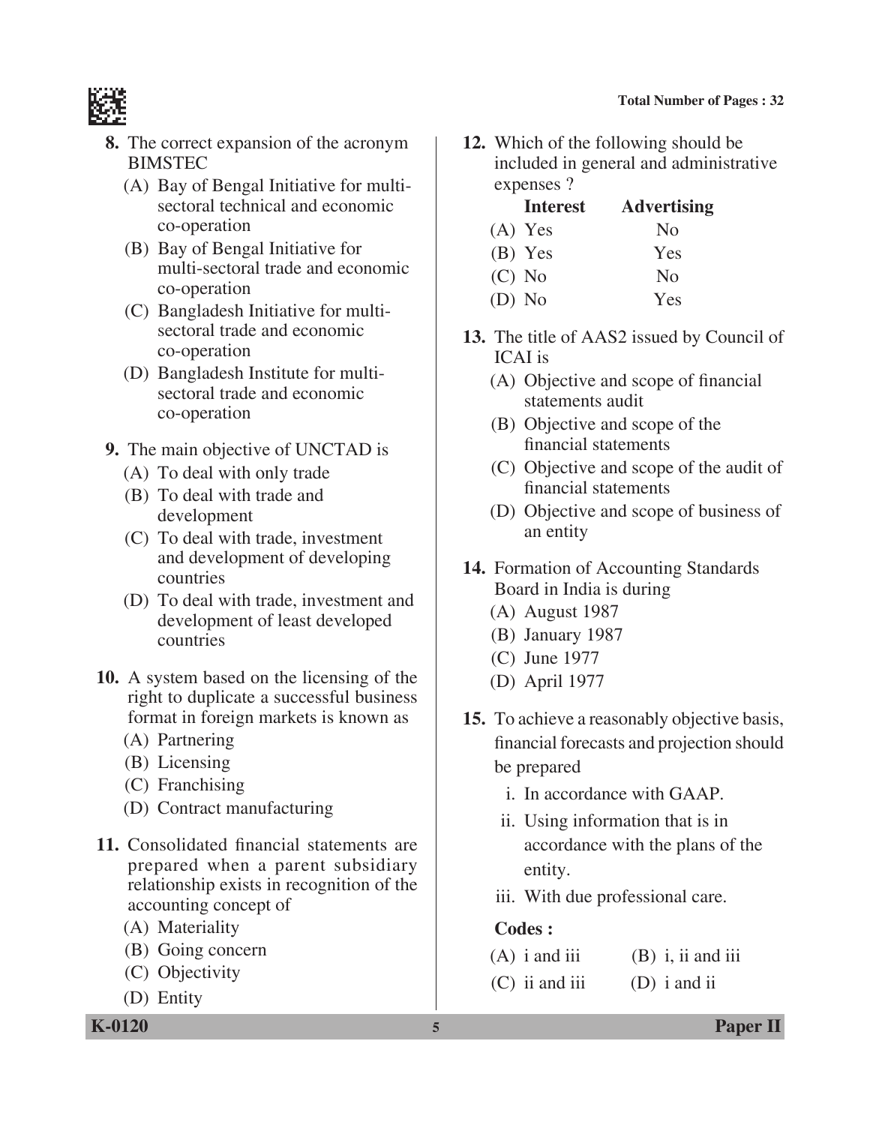

- **8.** The correct expansion of the acronym BIMSTEC
	- (A) Bay of Bengal Initiative for multisectoral technical and economic co-operation
	- (B) Bay of Bengal Initiative for multi-sectoral trade and economic co-operation
	- (C) Bangladesh Initiative for multisectoral trade and economic co-operation
	- (D) Bangladesh Institute for multisectoral trade and economic co-operation
- **9.** The main objective of UNCTAD is
	- (A) To deal with only trade
	- (B) To deal with trade and development
	- (C) To deal with trade, investment and development of developing countries
	- (D) To deal with trade, investment and development of least developed countries
- **10.** A system based on the licensing of the right to duplicate a successful business format in foreign markets is known as
	- (A) Partnering
	- (B) Licensing
	- (C) Franchising
	- (D) Contract manufacturing
- **11.** Consolidated financial statements are prepared when a parent subsidiary relationship exists in recognition of the accounting concept of
	- (A) Materiality
	- (B) Going concern
	- (C) Objectivity
	- (D) Entity
- **12.** Which of the following should be included in general and administrative expenses ?
	- **Interest Advertising**  $(A)$  Yes No (B) Yes Yes  $(C)$  No  $N<sub>0</sub>$ (D) No Yes
- **13.** The title of AAS2 issued by council of ICAI is
	- (A) Objective and scope of financial statements audit
	- (B) Objective and scope of the financial statements
	- (C) Objective and scope of the audit of financial statements
	- (D) Objective and scope of business of an entity
- **14.** Formation of Accounting Standards Board in India is during
	- (A) August 1987
	- (B) January 1987
	- (C) June 1977
	- (D) April 1977
- **15.** To achieve a reasonably objective basis, financial forecasts and projection should be prepared
	- i. In accordance with GAAP.
	- ii. Using information that is in accordance with the plans of the entity.
	- iii. With due professional care.

- $(A)$  i and iii  $(B)$  i, ii and iii
- (C) ii and iii (D) i and ii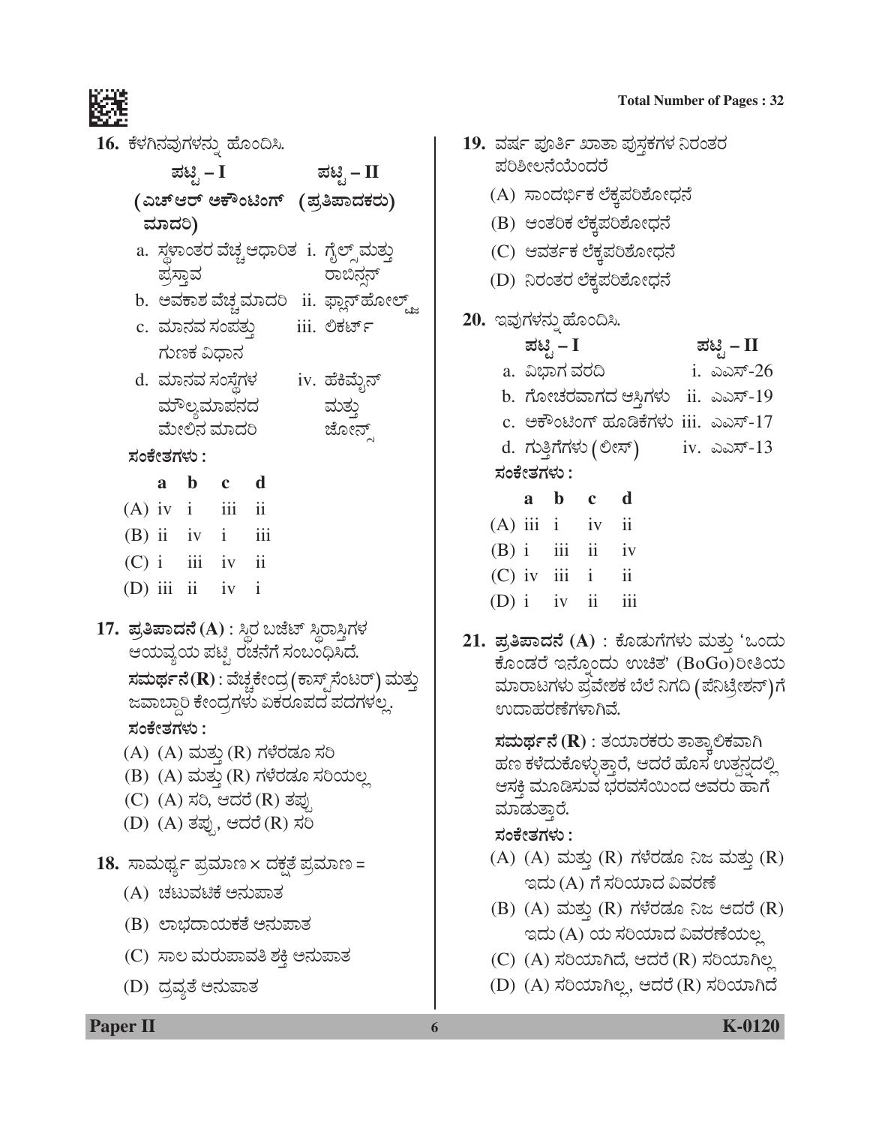|  |            |            | 16. ಕೆಳಗಿನವುಗಳನ್ನು ಹೊಂದಿಸಿ. |                                 |                                                          |  |
|--|------------|------------|-----------------------------|---------------------------------|----------------------------------------------------------|--|
|  |            | ಪಟ್ಟಿ – I  |                             |                                 | ಪಟ್ಟಿ – II                                               |  |
|  |            |            |                             |                                 | (ಎಚ್ಆರ್ ಅಕೌಂಟಿಂಗ್ (ಪ್ರತಿಪಾದಕರು)                          |  |
|  | ಮಾದರಿ)     |            |                             |                                 |                                                          |  |
|  | ಪ್ರಸ್ತಾವ   |            |                             |                                 | a. ಸ್ಥಳಾಂತರ ವೆಚ್ಚ್ಆಧಾರಿತ  i.  ಗೈಲ್ಸ್ ಮತ್ತು<br>ರಾಬಿನ್ಷನ್  |  |
|  |            |            |                             |                                 | b.  ಅವಕಾಶ ವೆಚ್ಚಮಾದರಿ   ii.  ಫ್ಲಾನ್ಹೋಲ್ಟ್ಜ್               |  |
|  |            |            |                             |                                 | c. ಮಾನವ ಸಂಪತ್ತು       iii. ಲಿಕರ್ಟ್                       |  |
|  |            | ಗುಣಕ ವಿಧಾನ |                             |                                 |                                                          |  |
|  |            |            |                             |                                 | d. ಮಾನವ ಸಂಸ್ಥೆಗಳ       iv. ಹೆಕಿಮೈನ್                      |  |
|  |            |            |                             |                                 | ಮೌಲ್ಯಮಾಪನದ ಮತ್ತು                                         |  |
|  |            |            | ಮೇಲಿನ ಮಾದರಿ                 |                                 | ಜೋನ್ಸ್                                                   |  |
|  | ಸಂಕೇತಗಳು : |            |                             |                                 |                                                          |  |
|  |            |            | a b c d                     |                                 |                                                          |  |
|  |            |            | $(A)$ iv $i$ iii ii         |                                 |                                                          |  |
|  |            |            | $(B)$ ii iv i iii           |                                 |                                                          |  |
|  |            |            | $(C)$ i iii iv ii           |                                 |                                                          |  |
|  |            |            | (D) iii ii iv i             |                                 |                                                          |  |
|  |            |            |                             |                                 | 17.  ಪ್ರತಿಪಾದನೆ (A) : ಸ್ಥಿರ ಬಜೆಟ್ ಸ್ಥಿರಾಸ್ಗಿಗಳ           |  |
|  |            |            |                             | ಆಯವ್ಯಯ ಪಟ್ಟಿ ರಚನೆಗೆ ಸಂಬಂಧಿಸಿದೆ. |                                                          |  |
|  |            |            |                             |                                 | ಸಮರ್ಥನೆ( ${\bf R}$ ) : ವೆಚ್ಚಕೇಂದ್ರ (ಕಾಸ್ಟ್ ಸೆಂಟರ್) ಮತ್ತು |  |
|  |            |            |                             |                                 | ಜವಾಬ್ದಾರಿ ಕೇಂದ್ರಗಳು ಏಕರೂಪದ ಪದಗಳಲ್ಲ.                      |  |
|  | ಸಂಕೇತಗಳು : |            |                             |                                 |                                                          |  |
|  |            |            |                             | (A) (A) ಮತ್ತು (R) ಗಳೆರಡೂ ಸರಿ    | (B) (A) ಮತ್ತು (R) ಗಳೆರಡೂ ಸರಿಯಲ್ಲ                         |  |
|  |            |            |                             | (C) (A) ಸರಿ, ಆದರೆ (R) ತಪ್ಪು     |                                                          |  |
|  |            |            |                             | (D) (A) ತಪ್ಪು, ಆದರೆ (R) ಸರಿ     |                                                          |  |
|  |            |            |                             |                                 |                                                          |  |
|  |            |            |                             |                                 | 18.  ಸಾಮರ್ಥ್ಯ ಪ್ರಮಾಣ × ದಕ್ಷತೆ ಪ್ರಮಾಣ =                   |  |
|  |            |            | (A) ಚಟುವಟಿಕೆ ಅನುಪಾತ         |                                 |                                                          |  |
|  |            |            |                             | (B) ಲಾಭದಾಯಕತೆ ಅನುಪಾತ            |                                                          |  |
|  |            |            |                             | (C) ಸಾಲ ಮರುಪಾವತಿ ಶಕ್ತಿ ಅನುಪಾತ   |                                                          |  |
|  |            |            | (D) ದ್ರವ್ಯತೆ ಅನುಪಾತ         |                                 |                                                          |  |
|  |            |            |                             |                                 |                                                          |  |

## 19. ವರ್ಷ ಪೂರ್ತಿ ಖಾತಾ ಪುಸ್ತಕಗಳ ನಿರಂತರ ಪರಿಶೀಲನೆಯೆಂದರೆ (A) ಸಾಂದರ್ಭಿಕ ಲೆಕ್ಕಪರಿಶೋಧನೆ (B) ಆಂತರಿಕ ಲೆಕ್ಕಪರಿಶೋಧನೆ (C) ಆವರ್ತಕ ಲೆಕ್ಕಪರಿಶೋಧನೆ (D) ನಿರಂತರ ಲೆಕ್ಕಪರಿಶೋಧನೆ 20. ಇವುಗಳನ್ನು ಹೊಂದಿಸಿ. ಪಟ್ಟಿ – I ಪಟ್ಟಿ – II a. ವಿಭಾಗ ವರದಿ i. ಎಎಸ್-26 b. ಗೋಚರವಾಗದ ಆಸ್ತಿಗಳು ii. ಎಎಸ್-19 c. ಆಕೌಂಟಿಂಗ್ ಹೂಡಿಕೆಗಳು iii. ಎಎಸ್-17 d. ಗುತ್ತಿಗೆಗಳು (ಲೀಸ್) iv. ಎಎಸ್-13 ಸಂಕೇತಗಳು : a b d  $\mathbf{c}$

 $(A)$  iii i iv ii  $(B)$  i  $\overline{\mathbf{ii}}$   $\overline{\mathbf{ii}}$  $1V$  $(C)$  iv iii i  $\overline{11}$ (D)  $i$  iv ii  $\overline{111}$ 

21. ಪ್ರತಿಪಾದನೆ (A) : ಕೊಡುಗೆಗಳು ಮತ್ತು 'ಒಂದು ಕೊಂಡರೆ ಇನ್ನೊಂದು ಉಚಿತ' (BoGo)ರೀತಿಯ ಮಾರಾಟಗಳು ಪ್ರವೇಶಕ ಬೆಲೆ ನಿಗದಿ (ಪೆನಿಟ್ರೇಶನ್)ಗೆ ಉದಾಹರಣೆಗಳಾಗಿವೆ.

> ಸಮರ್ಥನೆ ( $\bf R$ ) : ತಯಾರಕರು ತಾತ್ತಾಲಿಕವಾಗಿ ಹಣ ಕಳೆದುಕೊಳ್ಳುತ್ತಾರೆ, ಆದರೆ ಹೊಸ ಉತ್ಪನ್ನದಲ್ಲಿ ಆಸಕ್ತಿ ಮೂಡಿಸುವ ಭರವಸೆಯಿಂದ ಅವರು ಹಾಗೆ ಮಾಡುತ್ತಾರೆ.

### ಸಂಕೇತಗಳು :

- (A) (A) ಮತ್ತು (R) ಗಳೆರಡೂ ನಿಜ ಮತ್ತು (R) ಇದು (A) ಗೆ ಸರಿಯಾದ ವಿವರಣೆ
- (B)  $(A)$  ಮತ್ತು  $(R)$  ಗಳೆರಡೂ ನಿಜ ಆದರೆ  $(R)$ ಇದು (A) ಯ ಸರಿಯಾದ ವಿವರಣೆಯಲ್ಲ
- (C) (A) ಸರಿಯಾಗಿದೆ, ಆದರೆ (R) ಸರಿಯಾಗಿಲ್ಲ
- (D) (A) ಸರಿಯಾಗಿಲ್ಲ, ಆದರೆ (R) ಸರಿಯಾಗಿದೆ

**Paper II** 

K-0120

#### **Total Number of Pages: 32**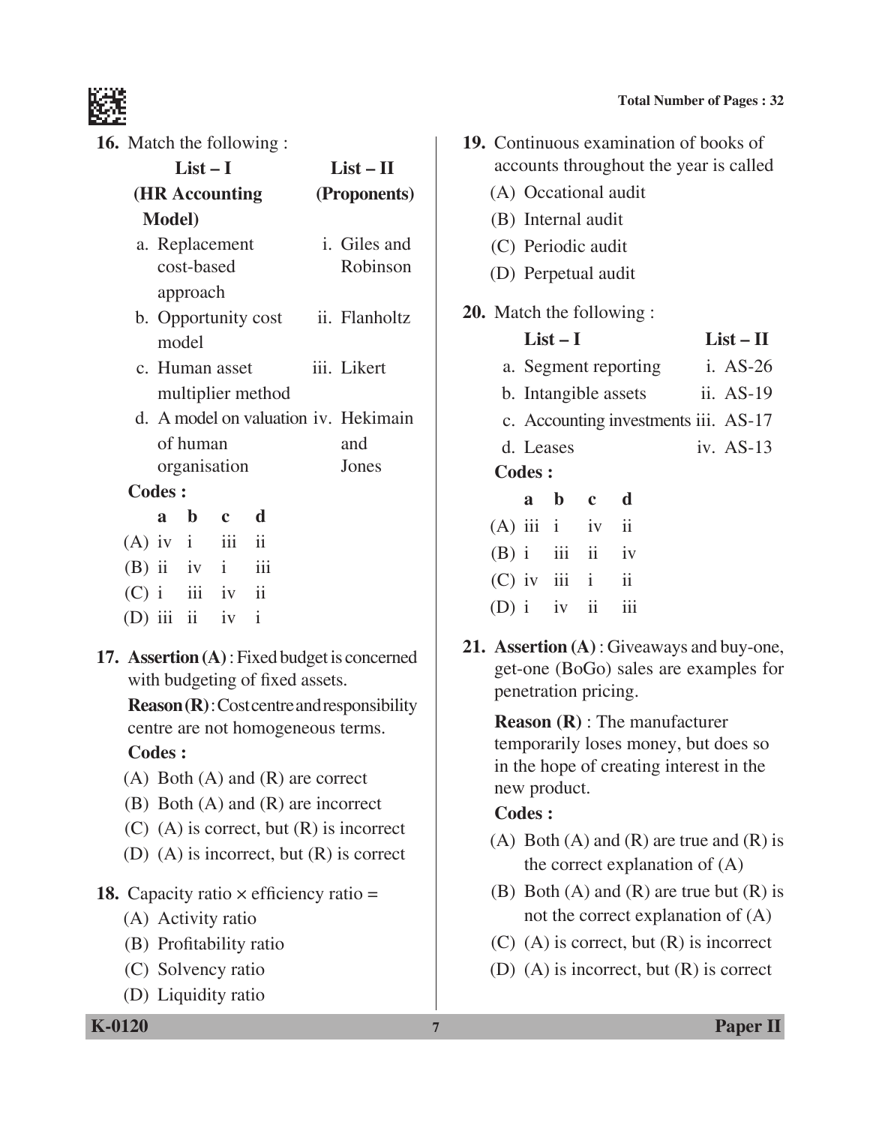

**16.** Match the following :

| $List-I$                                                         |                                          |  | $List - II$ |  |                                  |
|------------------------------------------------------------------|------------------------------------------|--|-------------|--|----------------------------------|
| (HR Accounting                                                   |                                          |  |             |  | (Proponents)                     |
| <b>Model</b> )                                                   |                                          |  |             |  |                                  |
|                                                                  | a. Replacement<br>cost-based<br>approach |  |             |  | <i>i</i> . Giles and<br>Robinson |
| b. Opportunity cost ii. Flanholtz<br>model                       |                                          |  |             |  |                                  |
| c. Human asset<br>multiplier method                              |                                          |  |             |  | iii. Likert                      |
| d. A model on valuation iv. Hekimain<br>of human<br>organisation |                                          |  |             |  | and<br>Jones                     |
| <b>Codes:</b>                                                    |                                          |  |             |  |                                  |
| a                                                                | b c d                                    |  |             |  |                                  |
|                                                                  | $(A)$ iv $i$ iii ii                      |  |             |  |                                  |
|                                                                  | $(B)$ ii iv i iii                        |  |             |  |                                  |
|                                                                  | $(C)$ i iii iv ii                        |  |             |  |                                  |
|                                                                  | (D) iii ii iv i                          |  |             |  |                                  |
|                                                                  |                                          |  |             |  |                                  |

**17. Assertion (A)** : Fixed budget is concerned with budgeting of fixed assets.

 **Reason (R)** : Cost centre and responsibility centre are not homogeneous terms.

### **Codes :**

- (A) Both (A) and (R) are correct
- (B) Both (A) and (R) are incorrect
- (C) (A) is correct, but (R) is incorrect
- (D) (A) is incorrect, but (R) is correct
- **18.** Capacity ratio  $\times$  efficiency ratio =
	- (A) Activity ratio
	- (B) Profitability ratio
	- (C) Solvency ratio
	- (D) Liquidity ratio

**Total Number of Pages : 32**

|                                  | 19. Continuous examination of books of<br>accounts throughout the year is called |           |                     |                         |             |  |
|----------------------------------|----------------------------------------------------------------------------------|-----------|---------------------|-------------------------|-------------|--|
|                                  |                                                                                  |           |                     | (A) Occational audit    |             |  |
|                                  |                                                                                  |           | (B) Internal audit  |                         |             |  |
|                                  |                                                                                  |           | (C) Periodic audit  |                         |             |  |
|                                  |                                                                                  |           | (D) Perpetual audit |                         |             |  |
| <b>20.</b> Match the following : |                                                                                  |           |                     |                         |             |  |
|                                  |                                                                                  | $List-I$  |                     |                         | $List - II$ |  |
|                                  |                                                                                  |           |                     | a. Segment reporting    | i. AS-26    |  |
|                                  | ii. AS-19<br>b. Intangible assets                                                |           |                     |                         |             |  |
|                                  | c. Accounting investments iii. AS-17                                             |           |                     |                         |             |  |
|                                  |                                                                                  | d. Leases |                     |                         | iv. $AS-13$ |  |
|                                  | <b>Codes:</b>                                                                    |           |                     |                         |             |  |
|                                  | <sub>a</sub>                                                                     | b c       |                     | $\mathbf d$             |             |  |
|                                  |                                                                                  |           | $(A)$ iii i iv ii   |                         |             |  |
|                                  |                                                                                  |           | $(B)$ i iii ii iv   |                         |             |  |
|                                  |                                                                                  |           | $(C)$ iv iii i      | $\overline{\mathbf{1}}$ |             |  |

- $(D)$  i iv ii iii
- **21. Assertion (A)** : Giveaways and buy-one, get-one (BoGo) sales are examples for penetration pricing.

 **Reason (R)** : The manufacturer temporarily loses money, but does so in the hope of creating interest in the new product.

- (A) Both (A) and (R) are true and (R) is the correct explanation of (A)
- (B) Both  $(A)$  and  $(R)$  are true but  $(R)$  is not the correct explanation of (A)
- (C) (A) is correct, but (R) is incorrect
- (D) (A) is incorrect, but (R) is correct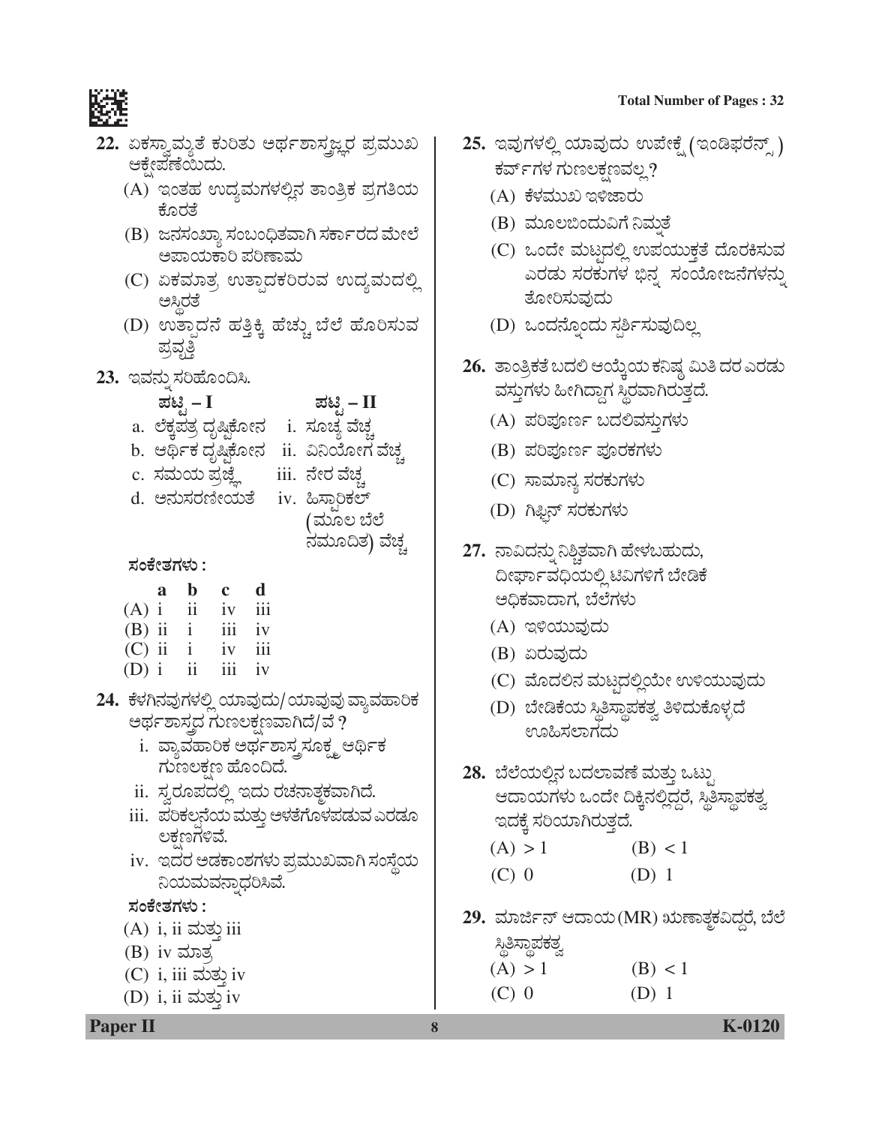

- 22. ಏಕಸ್ವಾಮ್ಗತೆ ಕುರಿತು ಅರ್ಥಶಾಸ್ತ್ರಜ್ಞರ ಪ್ರಮುಖ ಆಕ್ಷೇಪಣೆಯಿದು.
	- (A) ಇಂತಹ ಉದ್ಯಮಗಳಲ್ಲಿನ ತಾಂತ್ರಿಕ ಪ್ರಗತಿಯ ಕೊರತೆ
	- (B) ಜನಸಂಖ್ಯಾ ಸಂಬಂಧಿತವಾಗಿ ಸರ್ಕಾರದ ಮೇಲೆ ಅಪಾಯಕಾರಿ ಪರಿಣಾಮ
	- (C) ಏಕಮಾತ್ರ ಉತ್ಪಾದಕರಿರುವ ಉದ್ಯಮದಲ್ಲಿ ಅಸ್ಥಿರತೆ
	- (D) ಉತ್ಪಾದನೆ ಹತ್ತಿಕ್ಕಿ ಹೆಚ್ಚು ಬೆಲೆ ಹೊರಿಸುವ ಪ್ರವೃತ್ತಿ
- 23. ಇವನ್ನು ಸರಿಹೊಂದಿಸಿ.

- a. ಲೆಕ್ಕಪತ್ರ ದೃಷ್ಟಿಕೋನ i. ಸೂಚ್ಯ ವೆಚ್ಚ
- b. ಆರ್ಥಿಕ ದೃಷ್ಠಿಕೋನ ii. ವಿನಿಯೋಗ ವೆಚ್ಚ
- c. ಸಮಯ ಪ್ರಜ್ಞೆ iii. ನೇರ ವೆಚ್ಚ
- d. ಅನುಸರಣೀಯತೆ
	- iv. ಹಿಸ್ಬಾರಿಕಲ್ (ಮೂಲ ಬೆಲೆ

ಪಟ್ಟಿ – II

ನಮೂದಿತ) ವೆಚ್ಚ

ಸಂಕೇತಗಳು :

|          | a | b  | c                | d                |
|----------|---|----|------------------|------------------|
| $(A)$ i  |   | ii | iv               | $\overline{111}$ |
| $(B)$ ii |   |    | 111              | iv               |
| $(C)$ ii |   |    | iv               | iii              |
| $(D)$ i  |   | ij | $\overline{111}$ | iv               |

- 24. ಕೆಳಗಿನವುಗಳಲ್ಲಿ ಯಾವುದು/ಯಾವುವು ವ್ಯಾವಹಾರಿಕ ಅರ್ಥಶಾಸ್ತ್ರದ ಗುಣಲಕ್ಷಣವಾಗಿದೆ/ವೆ ?
	- i. ವ್ಯಾವಹಾರಿಕ ಅರ್ಥಶಾಸ್ತ್ರಸೂಕ್ಷ್ಮ ಆರ್ಥಿಕ ಗುಣಲಕ್ಷಣ ಹೊಂದಿದೆ.
	- ii. ಸ್ವರೂಪದಲ್ಲಿ ಇದು ರಚನಾತ್ಚಕವಾಗಿದೆ.
	- iii. ಪರಿಕಲ್ಪನೆಯ ಮತ್ತು ಅಳತೆಗೊಳಪಡುವ ಎರಡೂ ಲಕ್ಷಣಗಳಿವೆ.
	- iv. ಇದರ ಅಡಕಾಂಶಗಳು ಪ್ರಮುಖವಾಗಿ ಸಂಸ್ಥೆಯ ನಿಯಮವನ್ನಾಧರಿಸಿವೆ.

### ಸಂಕೇತಗಳು :

- $(A)$  i, ii ಮತ್ತು iii
- $(B)$  iv ಮಾತ್ರ
- $(C)$  i, iii ಮತ್ತು iv
- $(D)$  i, ii ಮತ್ತು iv
- **Total Number of Pages: 32**
- 25. ಇವುಗಳಲ್ಲಿ ಯಾವುದು ಉಪೇಕ್ಷೆ (ಇಂಡಿಫರೆನ್ಸ್ ) ಕರ್ವ್ಗಳ ಗುಣಲಕ್ಷಣವಲ್ಲ?
	- (A) ಕೆಳಮುಖ ಇಳಿಜಾರು
	- (B) ಮೂಲಬಿಂದುವಿಗೆ ನಿಮತೆ
	- (C) ಒಂದೇ ಮಟ್ಟದಲ್ಲಿ ಉಪಯುಕ್ತತೆ ದೊರಕಿಸುವ ಎರಡು ಸರಕುಗಳ ಭಿನ್ನ ಸಂಯೋಜನೆಗಳನ್ನು ತೋರಿಸುವುದು
	- (D) ಒಂದನ್ನೊಂದು ಸರ್ಶಿಸುವುದಿಲ್ಲ
- 26. ತಾಂತ್ರಿಕತೆ ಬದಲಿ ಆಯ್ಕೆಯ ಕನಿಷ್ಠ ಮಿತಿ ದರ ಎರಡು ವಸ್ತುಗಳು ಹೀಗಿದ್ದಾಗ ಸ್ಥಿರವಾಗಿರುತ್ತದೆ.
	- (A) ಪರಿಪೂರ್ಣ ಬದಲಿವಸ್ತುಗಳು
	- (B) ಪರಿಪೂರ್ಣ ಪೂರಕಗಳು
	- (C) ಸಾಮಾನ್ಯ ಸರಕುಗಳು
	- (D) ಗಿಫ್ಟಿನ್ ಸರಕುಗಳು
- 27. ನಾವಿದನ್ನು ನಿಶ್ಚಿತವಾಗಿ ಹೇಳಬಹುದು, ದೀರ್ಘಾವಧಿಯಲ್ಲಿ ಟಿವಿಗಳಿಗೆ ಬೇಡಿಕೆ ಅಧಿಕವಾದಾಗ, ಬೆಲೆಗಳು
	- (A) ಇಳಿಯುವುದು
	- (B) ಏರುವುದು
	- (C) ಮೊದಲಿನ ಮಟ್ಟದಲ್ಲಿಯೇ ಉಳಿಯುವುದು
	- (D) ಬೇಡಿಕೆಯ ಸ್ಥಿತಿಸ್ಥಾಪಕತ್ವ ತಿಳಿದುಕೊಳ್ಳದೆ ಊಹಿಸಲಾಗದು
- 28. ಬೆಲೆಯಲ್ಲಿನ ಬದಲಾವಣೆ ಮತ್ತು ಒಟ್ರು ಆದಾಯಗಳು ಒಂದೇ ದಿಕ್ಕಿನಲ್ಲಿದ್ದರೆ, ಸ್ಥಿತಿಸ್ಥಾಪಕತ್ವ ಇದಕ್ಕೆ ಸರಿಯಾಗಿರುತ್ತದೆ.

| (A) > 1 | (B) < 1 |  |
|---------|---------|--|
| $(C)$ 0 | $(D)$ 1 |  |

29. ಮಾರ್ಜಿನ್ ಆದಾಯ(MR) ಋಣಾತ್ಮಕವಿದ್ದರೆ, ಬೆಲೆ

| <u>ಸ್ಥಿ</u> ಶಿಸ್ಥಾಪಕತ್ವ |         |
|-------------------------|---------|
| (A) > 1                 | (B) < 1 |
| (C) 0                   | $(D)$ 1 |

**Paper II**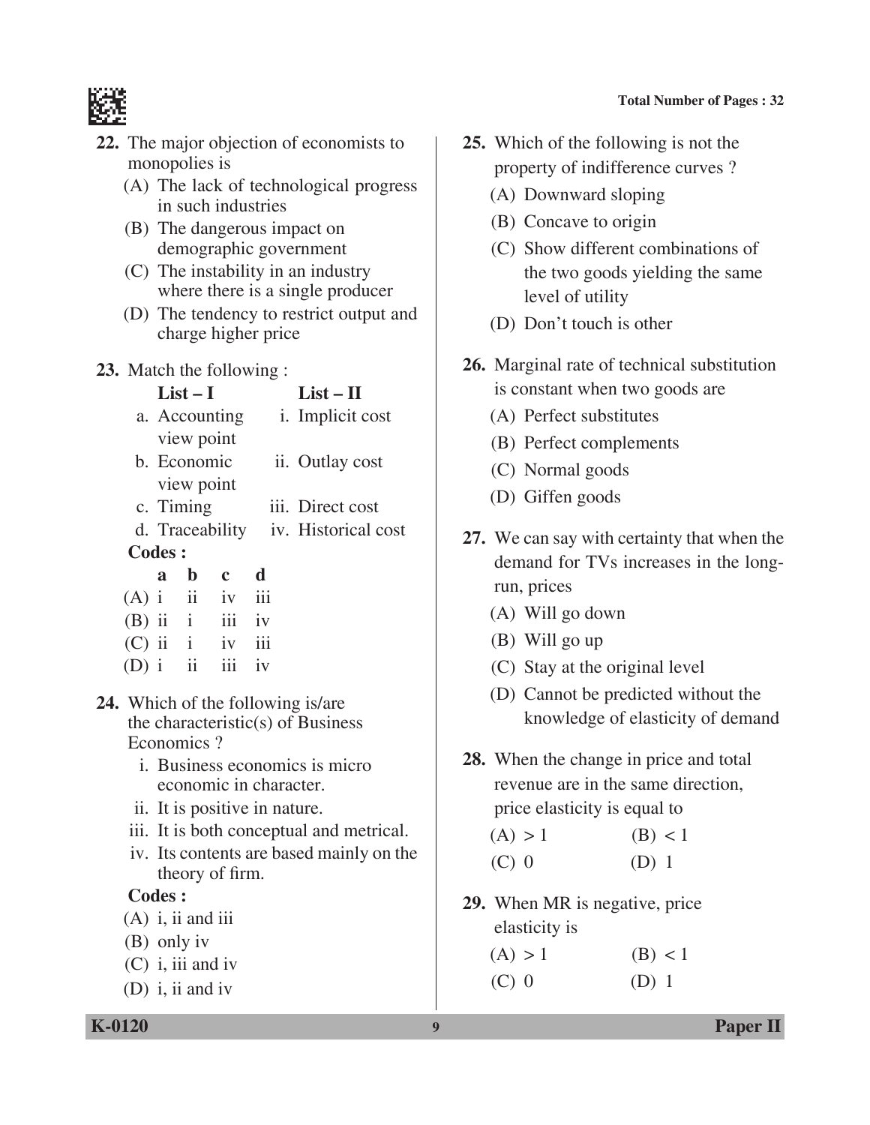

- **22.** The major objection of economists to monopolies is
	- (A) The lack of technological progress in such industries
	- (B) The dangerous impact on demographic government
	- (C) The instability in an industry where there is a single producer
	- (D) The tendency to restrict output and charge higher price
- **23.** Match the following :

| $\equiv$ $\cdots$ $\cdots$ $\cdots$ $\cdots$ $\cdots$ $\cdots$ $\cdots$ $\cdots$ $\cdots$ $\cdots$ $\cdots$ $\cdots$ $\cdots$ $\cdots$ $\cdots$ $\cdots$ $\cdots$ $\cdots$ $\cdots$ $\cdots$ $\cdots$ $\cdots$ $\cdots$ $\cdots$ $\cdots$ $\cdots$ $\cdots$ $\cdots$ $\cdots$ $\cdots$ $\cdots$ $\cdots$ $\cdots$ $\cdots$ $\cdots$ $\cdots$ |                          |  |  |  |  |  |
|----------------------------------------------------------------------------------------------------------------------------------------------------------------------------------------------------------------------------------------------------------------------------------------------------------------------------------------------|--------------------------|--|--|--|--|--|
| $List-I$                                                                                                                                                                                                                                                                                                                                     | $List - II$              |  |  |  |  |  |
| a. Accounting                                                                                                                                                                                                                                                                                                                                | <i>i</i> . Implicit cost |  |  |  |  |  |
| view point                                                                                                                                                                                                                                                                                                                                   |                          |  |  |  |  |  |
| b. Economic                                                                                                                                                                                                                                                                                                                                  | ii. Outlay cost          |  |  |  |  |  |
| view point                                                                                                                                                                                                                                                                                                                                   |                          |  |  |  |  |  |
| c. Timing                                                                                                                                                                                                                                                                                                                                    | iii. Direct cost         |  |  |  |  |  |

- d. Traceability iv. Historical cost  **Codes :**
- **a b c d**  $(A)$  i ii iv iii  $(B)$  ii ii iv (C) ii i iv iii  $(D)$  i ii iii iv
	- **24.** Which of the following is/are the characteristic(s) of Business Economics ?
		- i. Business economics is micro economic in character.
		- ii. It is positive in nature.
		- iii. It is both conceptual and metrical.
		- iv. Its contents are based mainly on the theory of firm.

- $(A)$  i, ii and iii
- (B) only iv
- (C) i, iii and iv
- (D) i, ii and iv
- **25.** Which of the following is not the property of indifference curves ?
	- (A) Downward sloping
	- (B) Concave to origin
	- (C) Show different combinations of the two goods yielding the same level of utility
	- (D) Don't touch is other
- **26.** Marginal rate of technical substitution is constant when two goods are
	- (A) Perfect substitutes
	- (B) Perfect complements
	- (C) Normal goods
	- (D) Giffen goods
- **27.** We can say with certainty that when the demand for TVs increases in the longrun, prices
	- (A) Will go down
	- (B) Will go up
	- (C) Stay at the original level
	- (D) Cannot be predicted without the knowledge of elasticity of demand
- **28.** When the change in price and total revenue are in the same direction, price elasticity is equal to

| (A) > 1 | (B) < 1 |  |
|---------|---------|--|
| $(C)$ 0 | $(D)$ 1 |  |

- **29.** When MR is negative, price elasticity is
	- $(A) > 1$  (B) < 1  $(C) 0$  (D) 1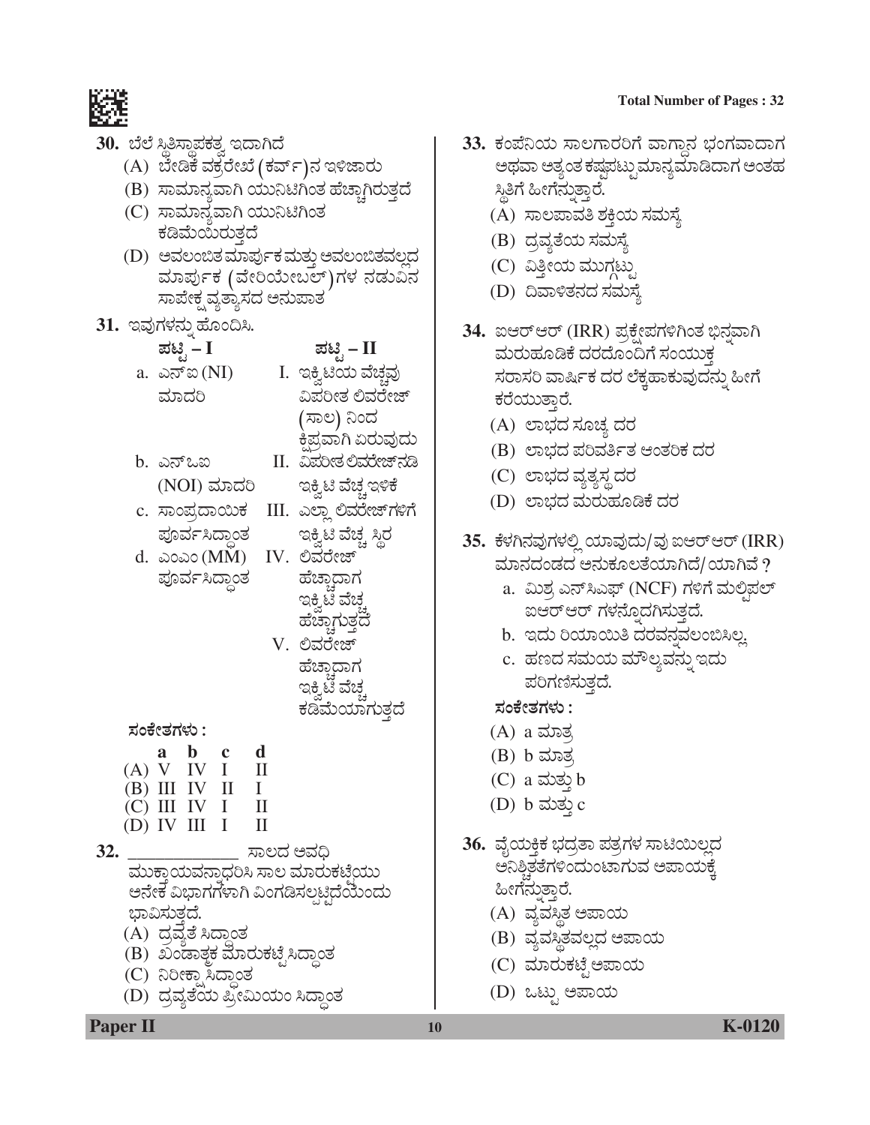#### **Total Number of Pages: 32**



### 30. ಬೆಲೆ ಸ್ಥಿತಿಸ್ಥಾಪಕತ್ವ ಇದಾಗಿದೆ

- (A) ಬೇಡಿಕೆ ವಕ್ರರೇಖೆ (ಕರ್ವ್)ನ ಇಳಿಜಾರು
- (B) ಸಾಮಾನ್ಯವಾಗಿ ಯುನಿಟಿಗಿಂತ ಹೆಚ್ಚಾಗಿರುತ್ತದೆ
- (C) ಸಾಮಾನ್ಯವಾಗಿ ಯುನಿಟಿಗಿಂತ ಕಡಿಮೆಯಿರುತ್ತದೆ
- (D) ಅವಲಂಬಿತ ಮಾರ್ಪುಕ ಮತ್ತು ಅವಲಂಬಿತವಲ್ಲದ ಮಾರ್ಪುಕ (ವೇರಿಯೇಬಲ್)ಗಳ ನಡುವಿನ ಸಾಪೇಕ್ಷ ವ್ಯತ್ಯಾಸದ ಅನುಪಾತ
- 31. ಇವುಗಳನ್ನು ಹೊಂದಿಸಿ.
	- ಪಟಿೖ I a. ಎನ್ಐ (NI) ಮಾದರಿ
- ಪಟಿೃ II

I. ಇಕ್ವಿಟಿಯ ವೆಚ್ಚವು ವಿಪರೀತ ಲಿವರೇಜ್ (ಸಾಲ) ನಿಂದ ಕಿಪ್ರವಾಗಿ ಏರುವುದು

II. ವಿಪರೀತ ಲಿವರೇಜ್**ನಡಿ** 

ಇಕ್ಸಿಟಿ ವೆಚ್ಚ ಇಳಿಕೆ

- b. ಎನ್ಒಐ (NOI) ಮಾದರಿ
- c. ಸಾಂಪ್ರದಾಯಿಕ III. ಎಲ್ಲಾ ಲಿವರೇಜ್*ಗ*ಳಿಗೆ

ಪೂರ್ವಸಿದ್ಧಾಂತ d. ಎಂಎಂ (MM) IV. ಲಿವರೇಜ್ ಪೂರ್ವಸಿದ್ಧಾಂತ

ಇಕ್ಕಿಟಿ ವೆಚ್ಚ ಸ್ಥಿರ ಹೆಚಾದಾಗ ಇಕ್ರಿಟಿ ವೆಚ್ ಹೆಚ್ಚಾಗುತ್ತದೆ V. ಲಿವರೇಜ್

ಹೆಚಾದಾಗ ಇಕ್ಕಿಟಿ ವೆಚ್ಚ ಕಡಿಮೆಯಾಗುತ್ತದೆ

ಸಂಕೇತಗಳು :

a b c d  $(A) V IV I$ Н  $(B) III IV II$ Ι.  $(C)$  III IV I Н  $(D)$  IV III I П

 $32.$ ಸಾಲದ ಅವಧಿ ಮುಕ್ತಾಯವನ್ನಾಧರಿಸಿ ಸಾಲ ಮಾರುಕಟ್ತೆಯು ಅನೇಕ ವಿಭಾಗಗಳಾಗಿ ವಿಂಗಡಿಸಲ್ಪಟ್ಟಿದೆಯೆಂದು ಭಾವಿಸುತ್ತದೆ. (A) ದ್ರವ್ಯತೆ ಸಿದ್ಧಾಂತ

- 
- (B) ಖಂಡಾತ್ಮಕ ಮಾರುಕಟ್ಟೆಸಿದ್ದಾಂತ
- (C) ನಿರೀಕ್ಷಾಸಿದ್ಧಾಂತ
- (D) ದೃವ್ಯತೆಯ ಪ್ರೀಮಿಯಂ ಸಿದ್ಧಾಂತ

33. ಕಂಪೆನಿಯ ಸಾಲಗಾರರಿಗೆ ವಾಗ್ತಾನ ಭಂಗವಾದಾಗ ಅಥವಾ ಅತ್ಯಂತ ಕಷ್ಟಪಟ್ಪುಮಾನ್ಯಮಾಡಿದಾಗ ಅಂತಹ ಸ್ತಿಗೆ ಹೀಗೆನುತ್ತಾರೆ. (A) ಸಾಲಪಾವತಿ ಶಕ್ತಿಯ ಸಮಸ್ಯೆ

- (B) ದ್ರವ್ಯತೆಯ ಸಮಸ್ಯೆ
- (C) ವಿತ್ತೀಯ ಮುಗ್ಗಟ್
- (D) ದಿವಾಳಿತನದ ಸಮಸ್ಯೆ
- 34. ಐಆರ್ಆರ್ (IRR) ಪ್ರಕ್ಷೇಪಗಳಿಗಿಂತ ಭಿನ್ನವಾಗಿ ಮರುಹೂಡಿಕೆ ದರದೊಂದಿಗೆ ಸಂಯುಕ್ತ ಸರಾಸರಿ ವಾರ್ಷಿಕ ದರ ಲೆಕ್ಕಹಾಕುವುದನ್ನು ಹೀಗೆ ಕರೆಯುತ್ತಾರೆ.
	- (A) ಲಾಭದ ಸೂಚ್ಯ ದರ
	- (B) ಲಾಭದ ಪರಿವರ್ತಿತ ಆಂತರಿಕ ದರ
	- (C) ಲಾಭದ ವ್ಯತ್ಯಸ್ಥ ದರ
	- (D) ಲಾಭದ ಮರುಹೂಡಿಕೆ ದರ
- 35. ಕೆಳಗಿನವುಗಳಲ್ಲಿ ಯಾವುದು/ವು ಐಆರ್ಆರ್ (IRR) ಮಾನದಂಡದ ಅನುಕೂಲತೆಯಾಗಿದೆ/ಯಾಗಿವೆ ?
	- a. ಮಿಶ್ರ ಎನ್ಸಿಎಫ್ (NCF) ಗಳಿಗೆ ಮಲ್ಲಿಪಲ್ ಐಆರ್ಆರ್ ಗಳನ್ನೊದಗಿಸುತ್ತದೆ.
	- b. ಇದು ರಿಯಾಯಿತಿ ದರವನ್ನವಲಂಬಿಸಿಲ್ಲ
	- c. ಹಣದ ಸಮಯ ಮೌಲ್ಯವನ್ನು ಇದು ಪರಿಗಣಿಸುತ್ತದೆ.

ಸಂಕೇತಗಳು :

- (A) a ಮಾತ್<u>ತ</u>
- (B) b ಮಾತ್ರ
- (C) a ಮತ್ತು b
- (D) b ಮತ್ತು c
- 36. ವೈಯಕ್ತಿಕ ಭದ್ರತಾ ಪತ್ರಗಳ ಸಾಟಿಯಿಲ್ಲದ ಅನಿಶ್ಚಿತತೆಗಳಿಂದುಂಟಾಗುವ ಅಪಾಯಕ್ಕೆ ಹೀಗೆನುತ್ತಾರೆ.
	- (A) ವ್ಯವಸ್ಥಿತ ಅಪಾಯ
	- (B) ವ್ಯವಸ್ಥಿತವಲ್ಲದ ಅಪಾಯ
	- (C) ಮಾರುಕಟ್ಟೆ ಅಪಾಯ
	- (D) ಒಟ್ಟು ಅಪಾಯ

**Paper II**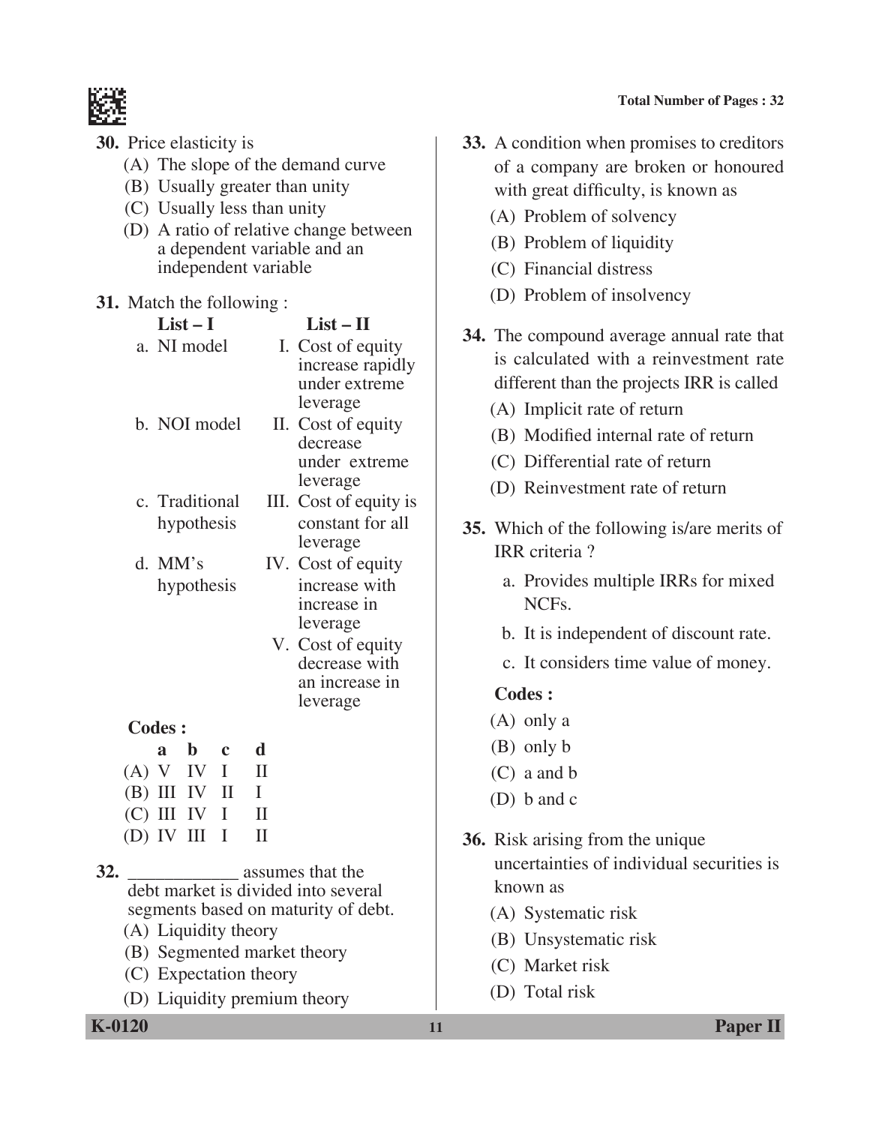

- **30.** Price elasticity is
	- (A) The slope of the demand curve
	- (B) Usually greater than unity
	- (C) Usually less than unity
	- (D) A ratio of relative change between a dependent variable and an independent variable

### **31.** Match the following :

|               | $List-I$                  |             |              | $List - II$                         |
|---------------|---------------------------|-------------|--------------|-------------------------------------|
|               | a. NI model               |             |              | I. Cost of equity                   |
|               |                           |             |              | increase rapidly                    |
|               |                           |             |              | under extreme                       |
|               |                           |             |              | leverage                            |
|               | b. NOI model              |             |              | II. Cost of equity                  |
|               |                           |             |              | decrease                            |
|               |                           |             |              | under extreme                       |
|               |                           |             |              | leverage                            |
|               | c. Traditional            |             |              | III. Cost of equity is              |
|               | hypothesis                |             |              | constant for all                    |
|               |                           |             |              | leverage                            |
|               | d. MM's                   |             |              | IV. Cost of equity                  |
|               | hypothesis                |             |              | increase with                       |
|               |                           |             |              | increase in                         |
|               |                           |             |              | leverage                            |
|               |                           |             |              | V. Cost of equity                   |
|               |                           |             |              | decrease with                       |
|               |                           |             |              | an increase in                      |
|               |                           |             |              | leverage                            |
| <b>Codes:</b> |                           |             |              |                                     |
|               | b<br>a                    | $\mathbf c$ | $\mathbf d$  |                                     |
|               | (A) V IV I                |             | $\mathbf{I}$ |                                     |
|               | (B) III IV II             |             | I            |                                     |
|               | (C) III IV I              |             | $\mathbf{I}$ |                                     |
| $(D)$ IV      | Ш                         | I           | $\mathbf{I}$ |                                     |
| 32.           |                           |             |              | assumes that the                    |
|               |                           |             |              | debt market is divided into several |
|               |                           |             |              | segments based on maturity of debt. |
|               | アメハーエ ちしこうほう こうほうしょう アーバー |             |              |                                     |

- (A) Liquidity theory
- (B) Segmented market theory
- (C) Expectation theory
- (D) Liquidity premium theory

**33.** A condition when promises to creditors of a company are broken or honoured with great difficulty, is known as

- (A) Problem of solvency
- (B) Problem of liquidity
- (C) Financial distress
- (D) Problem of insolvency
- **34.** The compound average annual rate that is calculated with a reinvestment rate different than the projects IRR is called
	- (A) Implicit rate of return
	- (B) Modified internal rate of return
	- (C) Differential rate of return
	- (D) Reinvestment rate of return
- **35.** Which of the following is/are merits of IRR criteria ?
	- a. Provides multiple IRRs for mixed NCFs.
	- b. It is independent of discount rate.
	- c. It considers time value of money.

- (A) only a
- (B) only b
- (C) a and b
- (D) b and c
- **36.** Risk arising from the unique uncertainties of individual securities is known as
	- (A) Systematic risk
	- (B) Unsystematic risk
	- (C) Market risk
	- (D) Total risk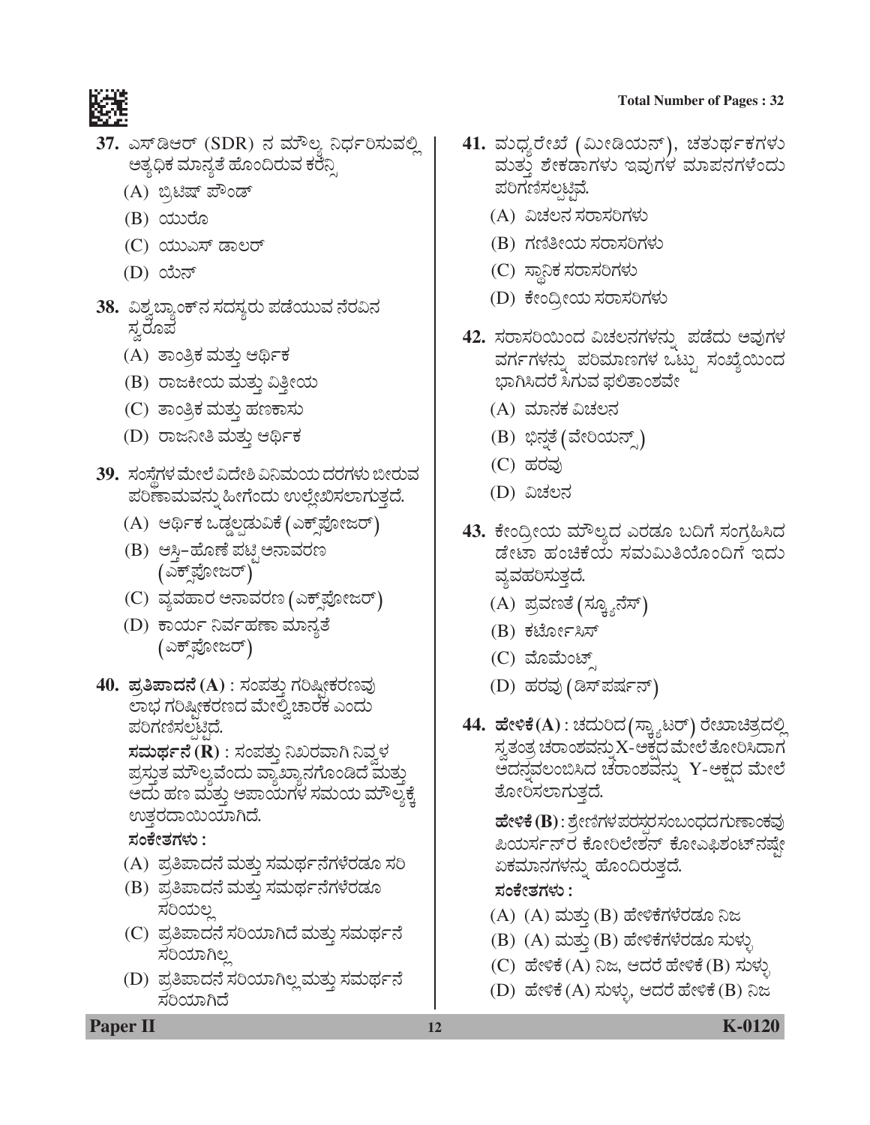#### **Total Number of Pages : 32**



- 37. ಎಸ್ಡಿಆರ್ (SDR) ನ ಮೌಲ್ಯ ನಿರ್ಧರಿಸುವಲ್ಲಿ ಅತ್ಯಧಿಕ ಮಾನ್ಯತೆ ಹೊಂದಿರುವ ಕರೆನ್ಸಿ
	- (A) ಬ್ರಿಟಿಷ್ ಪೌಂಡ್
	- (B) *¿ááÃæã*
	- (C) ಯುಎಸ್ ಡಾಲರ್
	- (D) ಯೆನ್
- <mark>38.</mark> ವಿಶ್ವಬ್ಯಾಂಕ್**ನ ಸದಸ್ಯರು ಪಡೆಯುವ ನೆರವಿ**ನ  $\vec{a}$ ್ಧರೂಪ
	- (A) ತಾಂತ್ರಿಕ ಮತ್ತು ಆರ್ಥಿಕ
	- (B) ರಾಜಕೀಯ ಮತ್ತು ವಿತ್ತೀಯ
	- (C) ತಾಂತ್ರಿಕ ಮತ್ತು ಹಣಕಾಸು
	- (D) ರಾಜನೀತಿ ಮತ್ತು ಆರ್ಥಿಕ
- **39.** ಸಂಸ್ತೆಗಳ ಮೇಲೆ ವಿದೇಶಿ ವಿನಿಮಯ ದರಗಳು ಬೀರುವ ಪರಿಣಾಮವನ್ನು ಹೀಗೆಂದು ಉಲ್ಲೇಖಿಸಲಾಗುತ್ತದೆ.
	- (A) ಆರ್ಥಿಕ ಒಡ್ಡಲಡುವಿಕೆ (ಎಕ್ಸ್ಪೋಜರ್)
	- (B) ಆಸ್ತಿ–ಹೊಣೆ ಪಟ್ಟಿಅನಾವರಣ ( ಎಕ್ಸ್ಪ್ಯೋಜರ್)
	- (C) ವ್ಯವಹಾರ ಅನಾವರಣ (ಎಕ್ಸ್ಪ್ರೋಜರ್)
	- (D) ಕಾರ್ಯ ನಿರ್ವಹಣಾ ಮಾನ್ಯತೆ (ಎಕ್ಫ್ರೋಜರ್)
- 40. ಪ್ರತಿಪಾದನೆ (A) : ಸಂಪತ್ತು ಗರಿಷ್ಟೀಕರಣವು<br>ಿಲಾಭ ಗರಿಷ್ಟೀಕರಣದ ಮೇಲ್ವಿಚಾರಕ ಎಂದು ಪರಿಗಣಿಸಲಟಿದೆ.

 $\vec{x}$ ಮರ್ಥನೆ (R) : ಸಂಪತ್ತು ನಿಖರವಾಗಿ ನಿವ್ವಳ ಪ್ರಸ್ತುತ ಮೌಲ್ಯವೆಂದು ವ್ಯಾಖ್ಯಾನಗೊಂಡಿದೆ ಮತ್ತು ಅದು ಹಣ ಮತ್ತು ಅಪಾಯಗಳ ಸಮಯ ಮೌಲ್ಯಕ್ಕೆ ಉತ್ತರದಾಯಿಯಾಗಿದೆ.

## *ÓÜíPæàñÜWÜÙÜá :*

- (A) ಪ್ರತಿಪಾದನೆ ಮತ್ತು ಸಮರ್ಥನೆಗಳೆರಡೂ ಸರಿ
- (B) ಪ್ರತಿಪಾದನೆ ಮತ್ತು ಸಮರ್ಥನೆಗಳೆರಡೂ *ÓÜÄ¿áÆÉ*
- (C) ಪ್ರತಿಪಾದನೆ ಸರಿಯಾಗಿದೆ ಮತ್ತು ಸಮರ್ಥನೆ *ÓÜÄ¿ÞXÆÉ*
- (D) ಪ್ರತಿಪಾದನೆ ಸರಿಯಾಗಿಲ್ಲ ಮತ್ತು ಸಮರ್ಥನೆ ಸರಿಯಾಗಿದೆ
- 41. ಮಧ್ಯರೇಖೆ (ಮೀಡಿಯನ್), ಚ**ತುರ್ಥಕಗಳು** ಮತ್ತು ಶೇಕಡಾಗಳು ಇವುಗಳ ಮಾಪನಗಳೆಂದು ಪರಿಗಣಿಸಲ್ಪಟಿವೆ.
	- (A) *ËaÜÆ®Ü ÓÜÃÝÓÜÄWÜÙÜá*
	- (B) *WÜ~£à¿á ÓÜÃÝÓÜÄWÜÙÜá*
	- (C) ಸ್ಥಾನಿಕ ಸರಾಸರಿಗಳು
	- (D) ಕೇಂದ್ರೀಯ ಸರಾಸರಿಗಳು
- 42. ಸರಾಸರಿಯಿಂದ ವಿಚಲನಗಳನ್ನು ಪಡೆದು ಅವುಗಳ ವರ್ಗಗಳನ್ನು ಪರಿಮಾಣಗಳ ಒಟ್ಟು ಸಂಖ್ಯೆಯಿಂದ ಭಾಗಿಸಿದರೆ ಸಿಗುವ ಫಲಿತಾಂಶವೇ
	- (A) *ÊÜÞ®ÜPÜ ËaÜÆ®Ü*
	- (B) ಭಿನ್ನತೆ (ವೇರಿಯನ್ಸ್)
	- (C) *ÖÜÃÜÊÜâ*
	- (D) *ËaÜÆ®Ü*
- 43. ಕೇಂದ್ರೀಯ ಮೌಲ್ಯದ ಎರಡೂ ಬದಿಗೆ ಸಂಗ್ರಹಿಸಿದ ಡೇಟಾ ಹಂಚಿಕೆಯ ಸಮಮಿತಿಯೊಂದಿಗೆ ಇದು ವ್ಯವಹರಿಸುತ್ತದೆ.
	- (A) ಪ್ರವಣತೆ (ಸ್ತ್ಯೂನೆಸ್)
	- $(B)$  ಕಟೋ $F$ ಸಿಸ್
	- (C) ಮೊಮೆಂಟ್
	- (D) ಹರವು (ಡಿಸ್ಪರ್ಷನ್)
- $\bf 44.~$  ಹೇಳಿಕೆ $({\bf A})$  : ಚದುರಿದ $\bf (\bar{x}_1)$ ್ಲಿಟರ್) ರೇಖಾಚಿತ್ರದಲ್ಲಿ ಸ್ವತಂತ್ರ ಚರಾಂಶವನ್ನು $\mathbf{X}$ -ಅಕ್ಷದ ಮೇಲೆ ತೋರಿಸಿದಾಗ ಅದನ್ಧವಲಂಬಿಸಿದ ಚರಾಂಶವನ್ನು Y-ಅಕ್ಷದ ಮೇಲೆ ತೋರಿಸಲಾಗುತ್ತದೆ.

ಹೇಳಿಕೆ (B) : ಶ್ರೇಣಿಗಳ ಪರಸರ ಸಂಬಂಧದ ಗುಣಾಂಕವು ಪಿಯರ್ಸನ್ರ ಕೋರಿಲೇಶನ್ ಕೋಎಫಿಶಂಟ್ನಷೇ ಏಕಮಾನಗಳನ್ನು ಹೊಂದಿರುತ್ತದೆ.

## *ÓÜíPæàñÜWÜÙÜá :*

- (A) (A) ಮತ್ತು (B) ಹೇಳಿಕೆಗಳೆರಡೂ ನಿಜ
- (B) (A) ಮತ್ತು (B) ಹೇಳಿಕೆಗಳೆರಡೂ ಸುಳ್ಳು
- (C) ಹೇಳಿಕೆ (A) ನಿಜ, ಆದರೆ ಹೇಳಿಕೆ (B) ಸುಳ್ಳು
- (D) ಹೇಳಿಕೆ (A) ಸುಳ್ಳು, ಆದರೆ ಹೇಳಿಕೆ (B) ನಿಜ
- **Paper II 12 K-0120**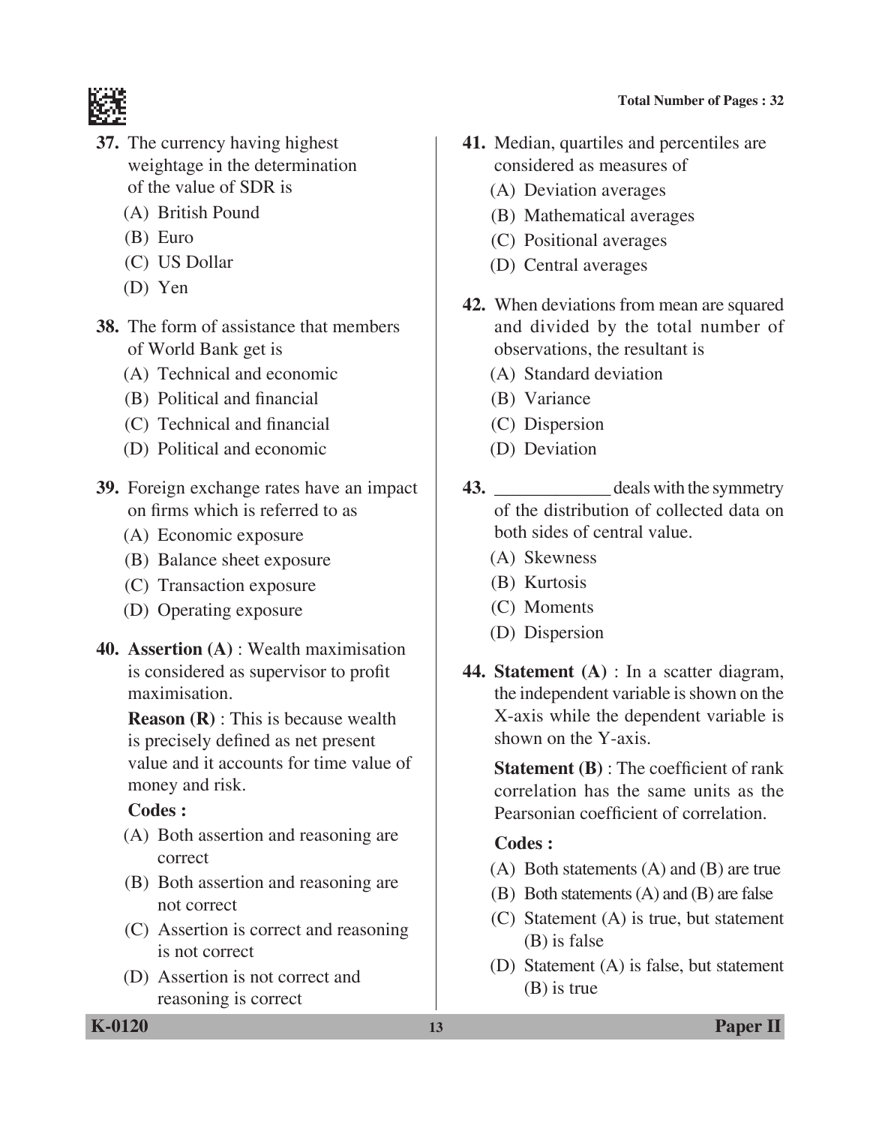



- **37.** The currency having highest weightage in the determination of the value of SDR is
	- (A) British Pound
	- (B) Euro
	- (C) US Dollar
	- (D) Yen
- **38.** The form of assistance that members of World Bank get is
	- (A) Technical and economic
	- (B) Political and financial
	- (C) Technical and financial
	- (D) Political and economic
- **39.** Foreign exchange rates have an impact on firms which is referred to as
	- (A) Economic exposure
	- (B) Balance sheet exposure
	- (C) Transaction exposure
	- (D) Operating exposure
- **40. Assertion (A)** : Wealth maximisation is considered as supervisor to profit maximisation.

**Reason (R)** : This is because wealth is precisely defined as net present value and it accounts for time value of money and risk.

## **Codes :**

- (A) Both assertion and reasoning are correct
- (B) Both assertion and reasoning are not correct
- (C) Assertion is correct and reasoning is not correct
- (D) Assertion is not correct and reasoning is correct
- **41.** Median, quartiles and percentiles are considered as measures of
	- (A) Deviation averages
	- (B) Mathematical averages
	- (C) Positional averages
	- (D) Central averages
- **42.** When deviations from mean are squared and divided by the total number of observations, the resultant is
	- (A) Standard deviation
	- (B) Variance
	- (C) Dispersion
	- (D) Deviation
- **43.** \_\_\_\_\_\_\_\_\_\_\_\_\_ deals with the symmetry of the distribution of collected data on both sides of central value.
	- (A) Skewness
	- (B) Kurtosis
	- (C) Moments
	- (D) Dispersion
- **44. Statement (A)** : In a scatter diagram, the independent variable is shown on the X-axis while the dependent variable is shown on the Y-axis.

 **Statement (B)** : The coefficient of rank correlation has the same units as the Pearsonian coefficient of correlation.

- (A) Both statements (A) and (B) are true
- (B) Both statements (A) and (B) are false
- (C) Statement (A) is true, but statement (B) is false
- (D) Statement (A) is false, but statement (B) is true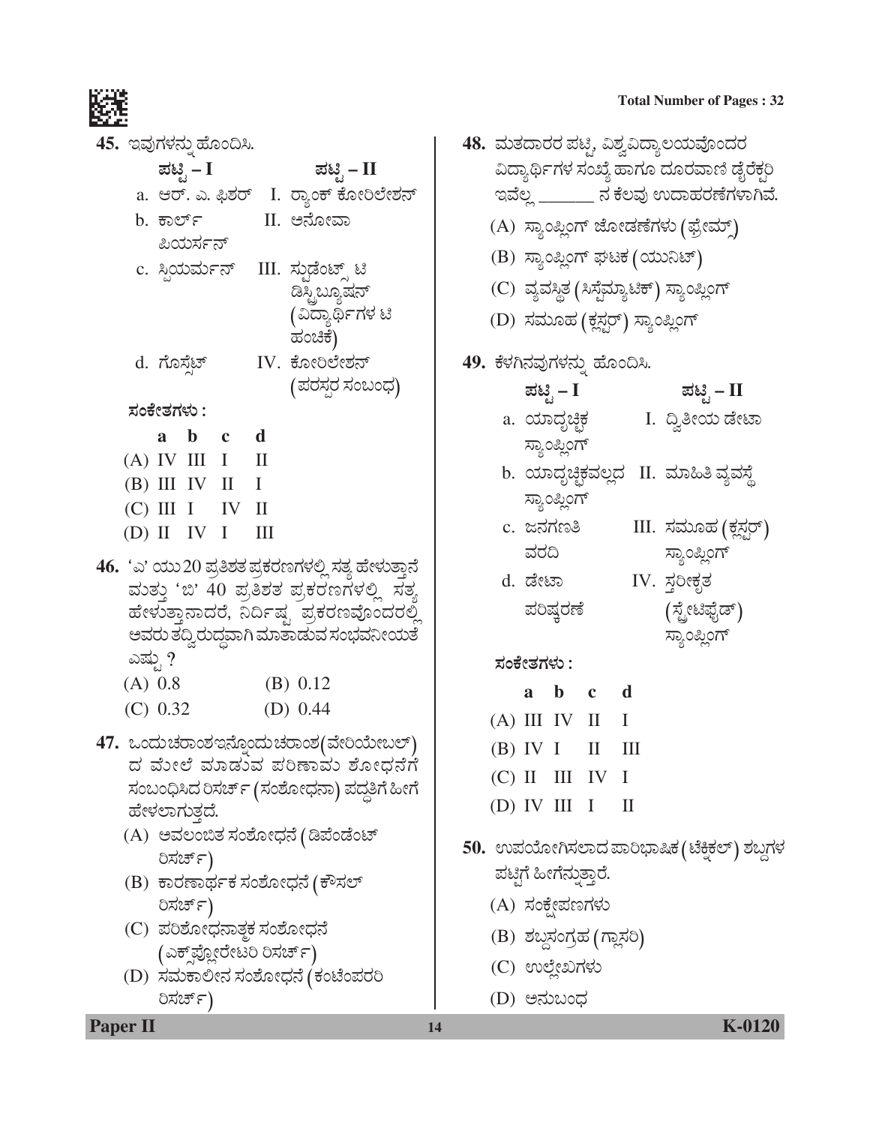45. ಇವುಗಳನ್ನು ಹೊಂದಿಸಿ.

| ಪಟಿೖೆ – I                            | ಪಟಿೖ – II                            |
|--------------------------------------|--------------------------------------|
|                                      | a. ಆರ್. ಎ. ಫಿಶರ್ I. ರ್ಾಂಕ್ ಕೋರಿಲೇಶನ್ |
| b. ಕಾರ್ಲ್                            | II. ಅನೋವಾ                            |
| ಪಿಯರ್ಸನ್                             |                                      |
| c. ಸ್ಪಿಯರ್ಮನ್    III. ಸ್ಪುಡೆಂಟ್ಸ್ ಟಿ |                                      |
|                                      | ಡಿಸ್ಟ್ರಿಬ್ಯೂಷನ್                      |
|                                      | (ವಿದ್ಯಾರ್ಥಿಗಳ ಟಿ                     |

ಹಂಚಿಕೆ)

d. ಗೊಸ್ತೆಟ್ IV. ಕೋರಿಲೇಶನ್ (ಪರಸರ ಸಂಬಂಧ)

ಸಂಕೇತಗಳು :

|  | a b c             | d |
|--|-------------------|---|
|  | $(A)$ IV III I    | Ш |
|  | (B) III IV II I   |   |
|  | $(C)$ III I IV II |   |
|  | (D) II IV I III   |   |

46. 'ಎ' ಯು 20 ಪ್ರತಿಶತ ಪ್ರಕರಣಗಳಲ್ಲಿ ಸತ್ಯ ಹೇಳುತ್ತಾನೆ ಮತ್ತು 'ಬಿ' 40 ಪ್ರತಿಶತ ಪ್ರಕರಣಗಳಲ್ಲಿ ಸತ್ತ ಹೇಳುತ್ತಾನಾದರೆ, ನಿರ್ದಿಷ್ಟ ಪ್ರಕರಣವೊಂದರಲ್ಲಿ ಅವರು ತದ್ವಿರುದ್ಧವಾಗಿ ಮಾತಾಡುವ ಸಂಭವನೀಯತೆ ಎಷ್. ?

| $(A)$ 0.8 |  | (B) 0.12 |
|-----------|--|----------|
|           |  |          |

- $(C) 0.32$ (D)  $0.44$
- 47. ಒಂದು ಚರಾಂಶಇನ್ನೊಂದು ಚರಾಂಶ(ವೇರಿಯೇಬಲ್) ದ ಮೇಲೆ ಮಾಡುವ ಪರಿಣಾಮ ಶೋಧನೆಗೆ ಸಂಬಂಧಿಸಿದ ರಿಸರ್ಚ್ (ಸಂಶೋಧನಾ) ಪದ್ಧತಿಗೆ ಹೀಗೆ ಹೇಳಲಾಗುತ್ತದೆ.
	- (A) ಅವಲಂಬಿತ ಸಂಶೋಧನೆ (ಡಿಪೆಂಡೆಂಟ್ ರಿಸರ್ಚ್)
	- (B) ಕಾರಣಾರ್ಥಕ ಸಂಶೋಧನೆ (ಕೌಸಲ್ ರಿಸರ್ಚ್)
	- (C) ಪರಿಶೋಧನಾತ್ಮಕ ಸಂಶೋಧನೆ (ಎಕ್ಸ್ಪ್ಲೋರೇಟರಿ ರಿಸರ್ಚ್)
	- (D) ಸಮಕಾಲೀನ ಸಂಶೋಧನೆ (ಕಂಟೆಂಪರರಿ ರಿಸರ್ಚ್)
- 48. ಮತದಾರರ ಪಟ್ತಿ, ವಿಶ್ವವಿದ್ಯಾಲಯವೊಂದರ ವಿದ್ಯಾರ್ಥಿಗಳ ಸಂಖ್ಯೆ ಹಾಗೂ ದೂರವಾಣಿ ಡೈರೆಕ್ಷರಿ ಇವೆಲ್ಲ \_\_\_\_\_\_\_ ನ ಕೆಲವು ಉದಾಹರಣೆಗಳಾಗಿವೆ.
	- (A) ಸ್ಯಾಂಪ್ಲಿಂಗ್ ಜೋಡಣೆಗಳು (ಫ್ರೇಮ್ಸ್)
	- (B) ಸ್ಯಾಂಪ್ಲಿಂಗ್ ಘಟಕ (ಯುನಿಟ್)
	- (C) ವ್ಯವಸ್ಥಿತ (ಸಿಸೈಮ್ಯಾಟಿಕ್) ಸ್ಯಾಂಪ್ಲಿಂಗ್
	- (D) ಸಮೂಹ (ಕ್ಲಸ್ಟರ್) ಸ್ಯಾಂಪ್ಲಿಂಗ್
- 49. ಕೆಳಗಿನವುಗಳನ್ನು ಹೊಂದಿಸಿ.

| ಪಟ್ಟಿ – I    | ಪಟ್ಟಿ – II      |
|--------------|-----------------|
| a. ಯಾದೃಚ್ಛಿಕ | I. ದ್ವಿತೀಯ ಡೇಟಾ |
| ಸ್ಯಾಂಪ್ಲಿಂಗ್ |                 |
|              |                 |

- b. ಯಾದೃಚ್ಛಿಕವಲ್ಲದ II. ಮಾಹಿತಿ ವ್ಯವಸ್ಥೆ ಸ್ಯಾಂಪ್ಲಿಂಗ್
- III. ಸಮೂಹ (ಕ್ಲಸ್ಟರ್) c. ಜನಗಣತಿ ವರದಿ ಸ್ತಾಂಪ್ಲಿಂಗ್

ಸ್ಯಾಂಪ್ಲಿಂಗ್

IV. ಸ್ಥರೀಕೃತ d. ಡೇಟಾ ಪರಿಷ್ಕರಣೆ (ಸ್ಪೇಟಿಫೈಡ್)

ಸಂಕೇತಗಳು :

|  | a b c             | d |
|--|-------------------|---|
|  | (A) III IV II I   |   |
|  | $(B)$ IV I II III |   |
|  | $(C)$ II III IV I |   |
|  | (D) IV III $I$ II |   |

- 50. ಉಪಯೋಗಿಸಲಾದ ಪಾರಿಭಾಷಿಕ ( ಟೆಕ್ತಿಕಲ್ ) ಶಬ್ದಗಳ ್ಪಟ್ಟಿಗೆ ಹೀಗೆನ್ನುತ್ತಾರೆ.
	- (A) ಸಂಕೇಪಣಗಳು
	- (B) ಶಬ್ದಸಂಗ್ರಹ (ಗ್ಲಾಸರಿ)
	- (C) ಉಲ್ಲೇಖಗಳು
	- (D) ಅನುಬಂಧ

14

**Total Number of Pages: 32**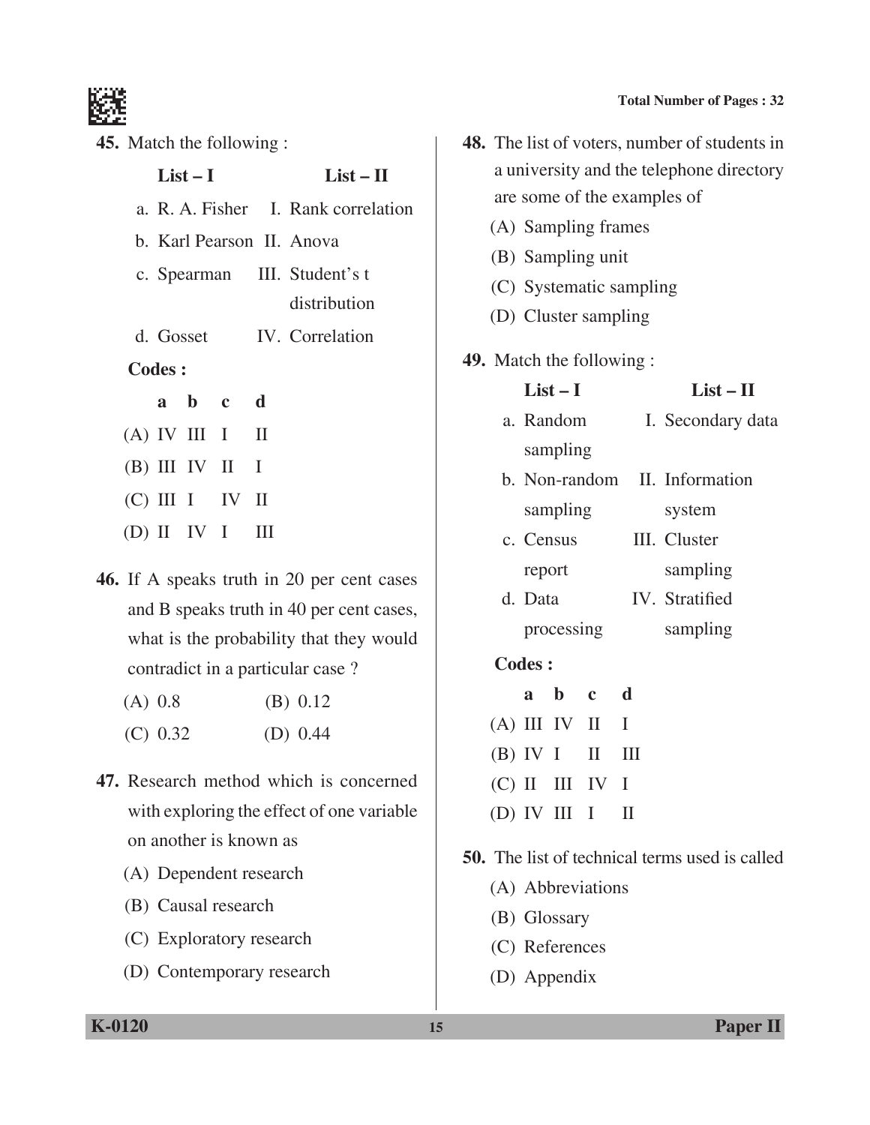

**45.** Match the following :

|               | $List-I$ |                   | $List - II$                         |
|---------------|----------|-------------------|-------------------------------------|
|               |          |                   | a. R. A. Fisher I. Rank correlation |
|               |          |                   | b. Karl Pearson II. Anova           |
|               |          |                   | c. Spearman III. Student's t        |
|               |          |                   | distribution                        |
|               |          |                   | d. Gosset IV. Correlation           |
| <b>Codes:</b> |          |                   |                                     |
|               |          | a b c d           |                                     |
|               |          | $(A)$ IV III I II |                                     |
|               |          | (B) III IV II I   |                                     |
|               |          | $(C)$ III I IV II |                                     |
|               |          | $(D)$ II IV I III |                                     |

**46.** If A speaks truth in 20 per cent cases and B speaks truth in 40 per cent cases, what is the probability that they would contradict in a particular case ?

| $(A)$ 0.8 |  |  | (B) 0.12 |
|-----------|--|--|----------|
|           |  |  |          |

- (C) 0.32 (D) 0.44
- **47.** Research method which is concerned with exploring the effect of one variable on another is known as
	- (A) Dependent research
	- (B) Causal research
	- (C) Exploratory research
	- (D) Contemporary research

**Total Number of Pages : 32**

|               |                             | 48. The list of voters, number of students in |  |  |  |
|---------------|-----------------------------|-----------------------------------------------|--|--|--|
|               |                             | a university and the telephone directory      |  |  |  |
|               | are some of the examples of |                                               |  |  |  |
|               | (A) Sampling frames         |                                               |  |  |  |
|               | (B) Sampling unit           |                                               |  |  |  |
|               | (C) Systematic sampling     |                                               |  |  |  |
|               | (D) Cluster sampling        |                                               |  |  |  |
|               | 49. Match the following :   |                                               |  |  |  |
|               | $List-I$                    | $List - II$                                   |  |  |  |
|               | a. Random                   | I. Secondary data                             |  |  |  |
|               | sampling                    |                                               |  |  |  |
|               |                             | b. Non-random II. Information                 |  |  |  |
|               | sampling                    | system                                        |  |  |  |
|               | c. Census                   | III. Cluster                                  |  |  |  |
|               | report                      | sampling                                      |  |  |  |
|               | d. Data                     | IV. Stratified                                |  |  |  |
|               | processing                  | sampling                                      |  |  |  |
| <b>Codes:</b> |                             |                                               |  |  |  |
|               | $\mathbf{b}$ c<br>a         | d                                             |  |  |  |
|               | $(4)$ III IV II             | т                                             |  |  |  |

- $(A)$  III IV II I  $(B)$  IV I II III (C) II III IV I (D) IV III I II
- **50.** The list of technical terms used is called
	- (A) Abbreviations
	- (B) Glossary
	- (C) References
	- (D) Appendix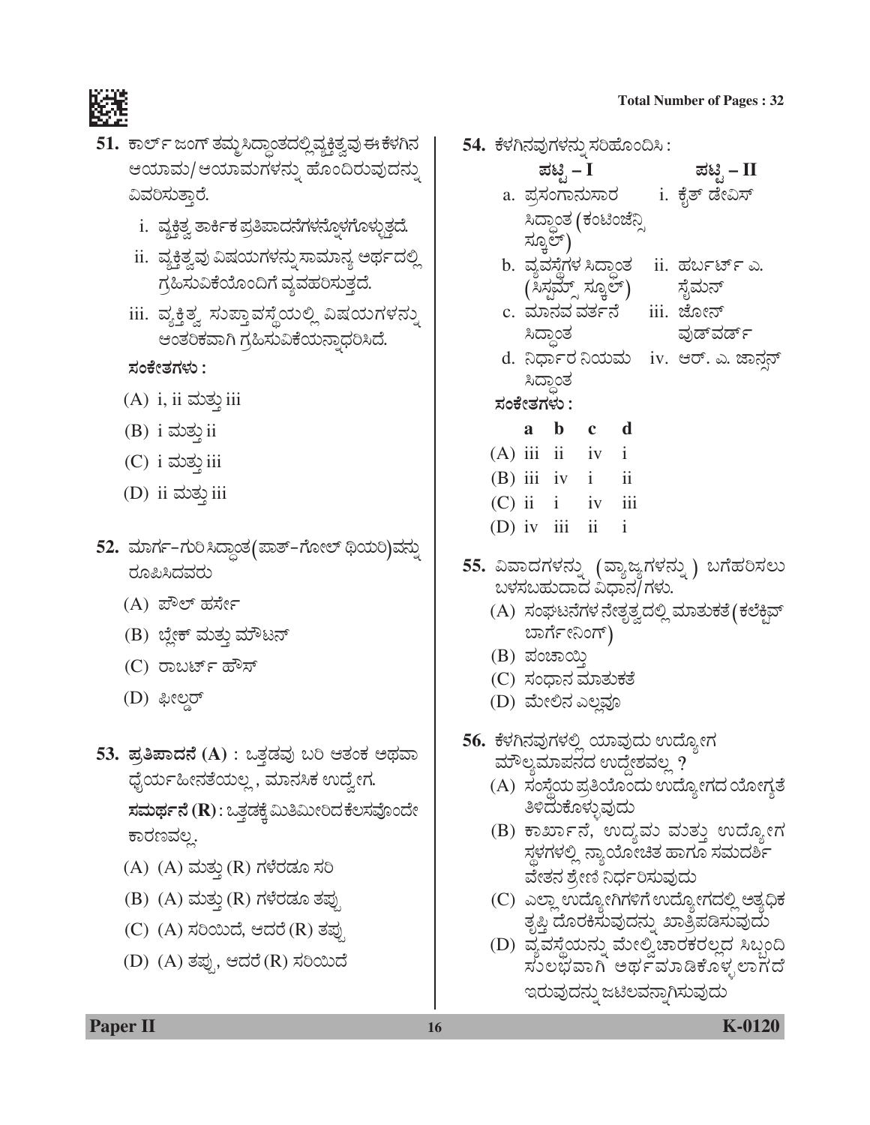

- 51. ಕಾರ್ಲ್ ಜಂಗ್ ತಮ್ಮಸಿದ್ಧಾಂತದಲ್ಲಿವ್ಯಕ್ತಿತ್ವವು ಈ ಕೆಳಗಿನ ಆಯಾಮ/ಆಯಾಮಗಳನ್ನು ಹೊಂದಿರುವುದನ್ನು ವಿವರಿಸುತ್ತಾರೆ.
	- i. ವ್ಯಕ್ತಿತ್ವ ತಾರ್ಕಿಕ ಪ್ರತಿಪಾದನೆಗಳನ್ನೊಳಗೊಳ್ಳುತ್ತದೆ.
	- ii. ವ್ಯಕ್ತಿತ್ವವು ವಿಷಯಗಳನ್ನು ಸಾಮಾನ್ಯ ಅರ್ಥದಲ್ಲಿ ಗ್ರಹಿಸುವಿಕೆಯೊಂದಿಗೆ ವ್ಯವಹರಿಸುತ್ತದೆ.
	- iii. ವ್ಯಕ್ತಿತ್ವ ಸುಪ್ತಾವಸ್ಥೆಯಲ್ಲಿ ವಿಷಯಗಳನ್ನು ಆಂತರಿಕವಾಗಿ ಗ್ರಹಿಸುವಿಕೆಯನ್ನಾಧರಿಸಿದೆ.

ಸಂಕೇತಗಳು :

- $(A)$  i, ii ಮತು iii
- $(B)$  i ಮತ್ತು ii
- $(C)$  i ಮತ್ತು iii
- (D) ii ಮತ್ತು iii
- 52. ಮಾರ್ಗ–ಗುರಿಸಿದ್ಧಾಂತ(ಪಾತ್–ಗೋಲ್ ಥಿಯರಿ)ವನ್ನು ರೂಪಿಸಿದವರು
	- (A) ಪೌಲ್ ಹರ್ಸೇ
	- (B) ಬ್ಲೇಕ್ ಮತ್ತು ಮೌಟನ್
	- (C) ರಾಬರ್ಟ್ ಹೌಸ್
	- (D) ಫೀಲ್ಡರ್
- 53. ಪ್ರತಿಪಾದನೆ (A) : ಒತ್ತಡವು ಬರಿ ಆತಂಕ ಅಥವಾ ಧೈರ್ಯಹೀನತೆಯಲ್ಲ , ಮಾನಸಿಕ ಉದ್ರೇಗ. ಸಮರ್ಥನೆ (R): ಒತ್ತಡಕ್ಕೆ ಮಿತಿಮೀರಿದ ಕೆಲಸವೊಂದೇ ಕಾರಣವಲ್ಲ.
	- (A) (A) ಮತ್ತು (R) ಗಳೆರಡೂ ಸರಿ
	- (B) (A) ಮತ್ತು (R) ಗಳೆರಡೂ ತಪ್ಪು
	- (C) (A) ಸರಿಯಿದೆ, ಆದರೆ (R) ತಪ್ಪು
	- (D) (A) ತಪ್ಪು, ಆದರೆ (R) ಸರಿಯಿದೆ
- 54. ಕೆಳಗಿನವುಗಳನ್ನು ಸರಿಹೊಂದಿಸಿ : ಪಟಿೃ – I
	- ಪಟ್ಟಿ  $II$ i. ಕೈತ್ ಡೇವಿಸ್ a. ಪ್ರಸಂಗಾನುಸಾರ ಸಿದ್ಧಾಂತ (ಕಂಟಿಂಜೆನ್ಸಿ ಸ್ಞೂಲ್) b. ವ್ಯವಸ್ಥೆಗಳ ಸಿದ್ಧಾಂತ ii. ಹರ್ಬರ್ಟ್ ಎ. (ಸಿಸ್ಟಮ್ಸ್ ಸ್ಕೂಲ್) ಸೈಮನ್ c. ಮಾನವ ವರ್ತನೆ iii. ಜೋನ್ ಸಿದ್ಧಾಂತ ವುಡ್<code>ವರ್ಡ್</code> d. ನಿರ್ಧಾರ ನಿಯಮ iv. ಆರ್. ಎ. ಜಾನನ್
		- ಸಿದ್ಧಾಂತ

ಸಂಕೇತಗಳು :

| a b | $\mathbf{c}$        | d                       |
|-----|---------------------|-------------------------|
|     | $(A)$ iii ii iv i   |                         |
|     | $(B)$ iii iv i      | $\overline{\mathbf{u}}$ |
|     | $(C)$ ii $i$ iv iii |                         |
|     | (D) iv iii ii       |                         |

- 55. ವಿವಾದಗಳನ್ನು (ವ್ಯಾಜ್ಯಗಳನ್ನು) ಬಗೆಹರಿಸಲು ಬಳಸಬಹುದಾದ ವಿಧಾನ/ಗಳು.
	- (A) ಸಂಘಟನೆಗಳ ನೇತೃತ್ವದಲ್ಲಿ ಮಾತುಕತೆ (ಕಲೆಕ್ಟಿವ್ ಬಾರ್ಗೇನಿಂಗ್)
	- (B) ಪಂಚಾಯಿ
	- (C) ಸಂಧಾನ ಮಾತುಕತೆ
	- (D) ಮೇಲಿನ ಎಲ್ಲವೂ
- 56. ಕೆಳಗಿನವುಗಳಲ್ಲಿ ಯಾವುದು ಉದ್ಯೋಗ ಮೌಲ್ಯಮಾಪನದ ಉದ್ದೇಶವಲ್ಲ ?
	- (A) ಸಂಸ್ಥೆಯ ಪ್ರತಿಯೊಂದು ಉದ್ಯೋಗದ ಯೋಗ್ಯತೆ ತಿಳಿದುಕೊಳ್ಳುವುದು
	- (B) ಕಾರ್ಖಾನೆ, ಉದ್ಯಮ ಮತ್ತು ಉದ್ಯೋಗ ಸ್ಥಳಗಳಲ್ಲಿ ನ್ಯಾಯೋಚಿತ ಹಾಗೂ ಸಮದರ್ಶಿ ವೇತನ ಶ್ರೇಣಿ ನಿರ್ಧರಿಸುವುದು
	- (C) ಎಲ್ಲಾ ಉದ್ಯೋಗಿಗಳಿಗೆ ಉದ್ಯೋಗದಲ್ಲಿ ಅತ್ಯಧಿಕ ತೃಪ್ತಿ ದೊರಕಿಸುವುದನ್ನು ಖಾತ್ರಿಪಡಿಸುವುದು
	- (D) ವ್ಯವಸ್ಥೆಯನ್ನು ಮೇಲ್ವಿಚಾರಕರಲ್ಲದ ಸಿಬ್ಬಂದಿ<br>ಸುಲಭವಾಗಿ ಅರ್ಥಮಾಡಿಕೊಳ್ಳಲಾಗದೆ ಇರುವುದನ್ನು ಜಟಿಲವನ್ನಾಗಿಸುವುದು

**Paper II** 

K-0120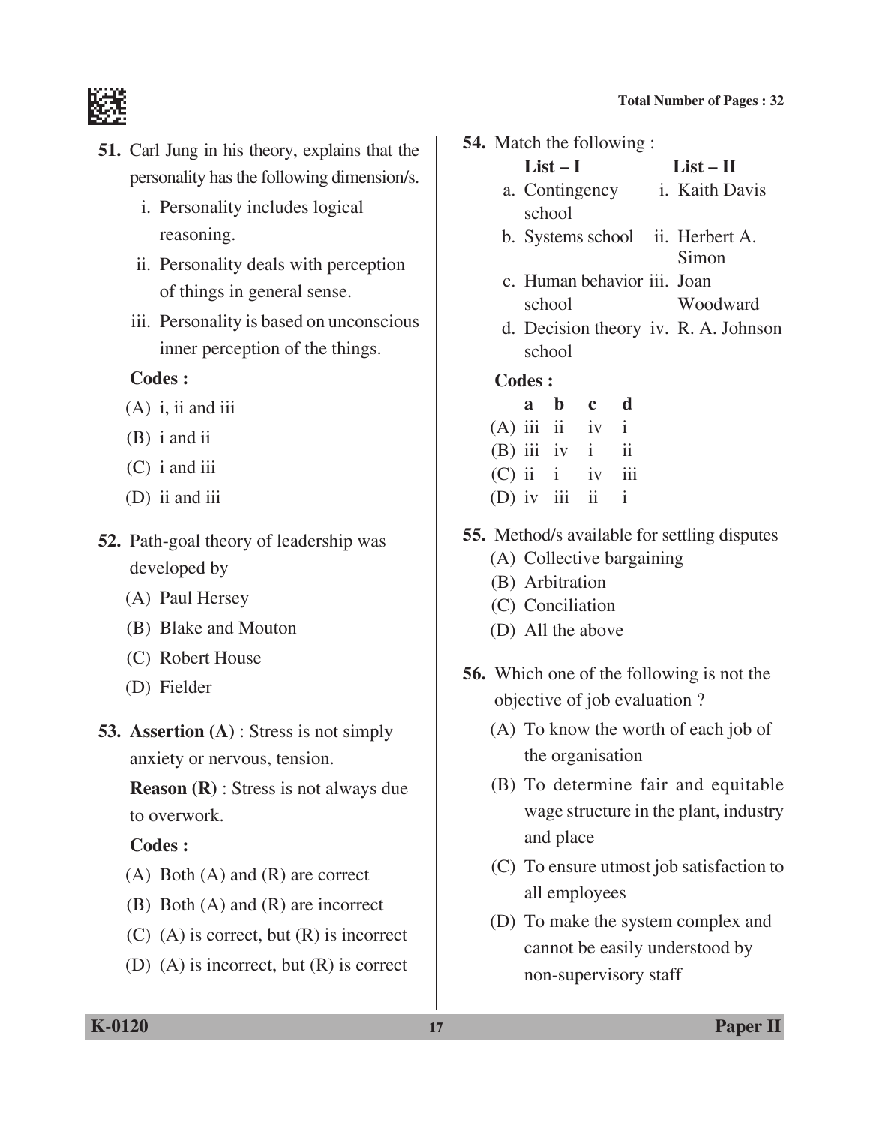

- **51.** Carl Jung in his theory, explains that the personality has the following dimension/s.
	- i. Personality includes logical reasoning.
	- ii. Personality deals with perception of things in general sense.
	- iii. Personality is based on unconscious inner perception of the things.

### **Codes :**

- $(A)$  i, ii and iii
- (B) i and ii
- (C) i and iii
- (D) ii and iii
- **52.** Path-goal theory of leadership was developed by
	- (A) Paul Hersey
	- (B) Blake and Mouton
	- (C) Robert House
	- (D) Fielder
- **53. Assertion (A)** : Stress is not simply anxiety or nervous, tension.

 **Reason (R)** : Stress is not always due to overwork.

### **Codes :**

- (A) Both (A) and (R) are correct
- (B) Both (A) and (R) are incorrect
- (C) (A) is correct, but (R) is incorrect
- (D) (A) is incorrect, but (R) is correct

**54.** Match the following :

| $List-I$                         | $List - II$    |
|----------------------------------|----------------|
| a. Contingency                   | i. Kaith Davis |
| school                           |                |
| b. Systems school ii. Herbert A. |                |
|                                  | Simon          |

- c. Human behavior iii. Joan school Woodward
- d. Decision theory iv. R. A. Johnson school

- **a b c d**  $(A)$  iii ii iv i  $(B)$  iii iv i ii  $(C)$  ii i iv iii (D) iv iii ii i
- **55.** Method/s available for settling disputes
	- (A) Collective bargaining
	- (B) Arbitration
	- (C) Conciliation
	- (D) All the above
- **56.** Which one of the following is not the objective of job evaluation ?
	- (A) To know the worth of each job of the organisation
	- (B) To determine fair and equitable wage structure in the plant, industry and place
	- (C) To ensure utmost job satisfaction to all employees
	- (D) To make the system complex and cannot be easily understood by non-supervisory staff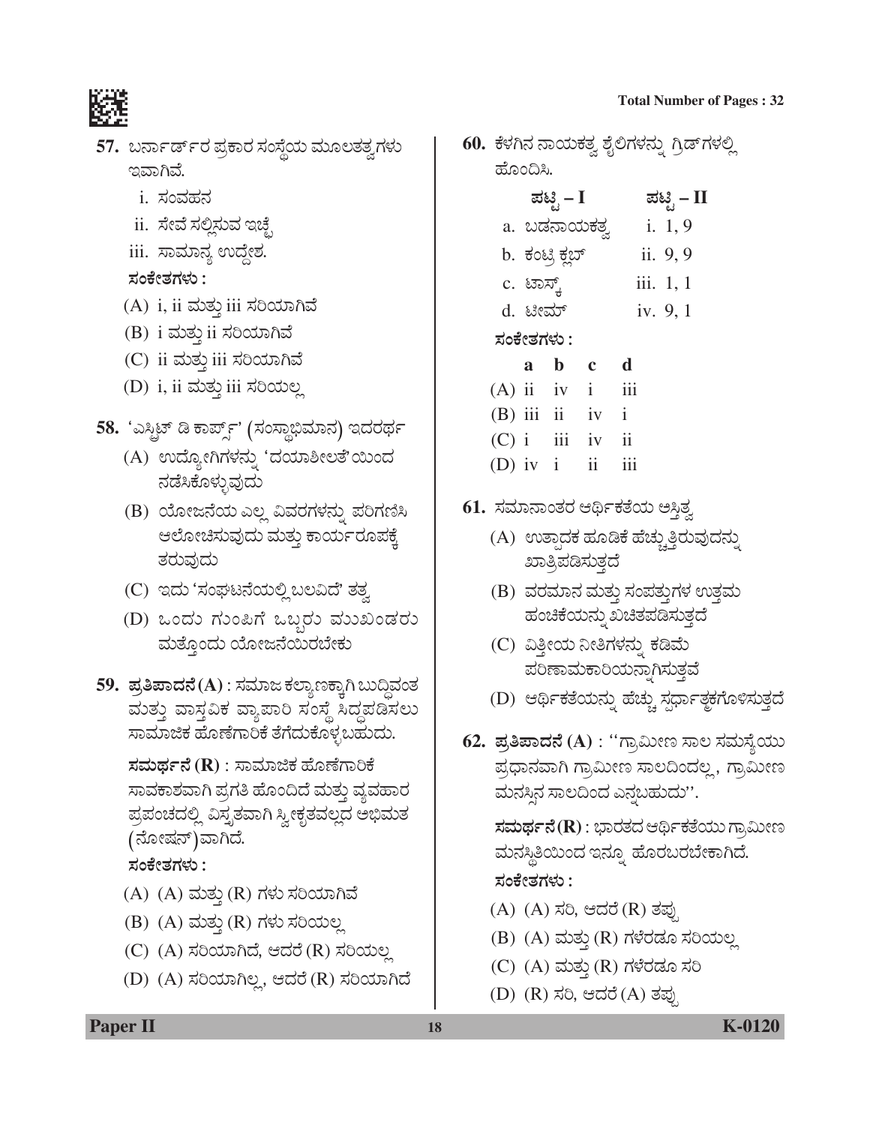

- 57. ಬರ್ನಾರ್ಡ್ ರ ಪ್ರಕಾರ ಸಂಸ್ಥೆಯ ಮೂಲತತ್ವಗಳು ಇವಾಗಿವೆ.
	- <u>i. ಸಂವಹನ</u>
	- ii. ಸೇವೆ ಸಲ್ಲಿಸುವ ಇಚ್ಛೆ
	- iii. ಸಾಮಾನ್ಯ ಉದ್ದೇಶ.

## ಸಂಕೇತಗಳು :

- (A) i, ii ಮತ್ತು iii ಸರಿಯಾಗಿವೆ
- (B) i ಮತ್ತು ii ಸರಿಯಾಗಿವೆ
- (C) ii ಮತ್ತು iii ಸರಿಯಾಗಿವೆ
- (D) i, ii ಮತ್ತು iii ಸರಿಯಲ್ಲ

# 58. 'ಎಸ್ಟಿಟ್ ಡಿ ಕಾರ್ಪ್ಸ್' (ಸಂಸ್ಥಾಭಿಮಾನ) ಇದರರ್ಥ

- (A) ಉದ್ಯೋಗಿಗಳನ್ನು 'ದಯಾಶೀಲತೆ'ಯಿಂದ ನಡೆಸಿಕೊಳ್ಳುವುದು
- (B) ಯೋಜನೆಯ ಎಲ್ಲ ವಿವರಗಳನ್ನು ಪರಿಗಣಿಸಿ ಆಲೋಚಿಸುವುದು ಮತ್ತು ಕಾರ್ಯರೂಪಕ್ಕೆ ತರುವುದು
- (C) ಇದು 'ಸಂಘಟನೆಯಲ್ಲಿ ಬಲವಿದೆ' ತತ್ವ
- (D) ಒಂದು ಗುಂಪಿಗೆ ಒಬ್ಬರು ಮುಖಂಡರು ಮತ್ತೊಂದು ಯೋಜನೆಯಿರಬೇಕು
- 59. ಪ್ರತಿಪಾದನೆ(A) : ಸಮಾಜ ಕಲ್ಯಾಣಕ್ತಾಗಿ ಬುದ್ಧಿವಂತ ಮತ್ತು ವಾಸ್ತವಿಕ ವ್ಯಾಪಾರಿ ಸಂಸ್ಥೆ ಸಿದ್ಧಪಡಿಸಲು ಸಾಮಾಜಿಕ ಹೊಣೆಗಾರಿಕೆ ತೆಗೆದುಕೊಳ್ಳಬಹುದು.

ಸಮರ್ಥನೆ ( $\bf R$ ) : ಸಾಮಾಜಿಕ ಹೊಣೆಗಾರಿಕೆ ಸಾವಕಾಶವಾಗಿ ಪ್ರಗತಿ ಹೊಂದಿದೆ ಮತ್ತು ವ್ಯವಹಾರ ಪ್ರಪಂಚದಲ್ಲಿ ವಿಸ್ತೃತವಾಗಿ ಸ್ವೀಕೃತವಲ್ಲದ ಅಭಿಮತ (ನೋಷನ್)ವಾಗಿದೆ.

## ಸಂಕೇತಗಳು :

- $(A)$   $(A)$  ಮತ್ತು $(R)$  ಗಳು ಸರಿಯಾಗಿವೆ
- (B) (A) ಮತ್ತು (R) ಗಳು ಸರಿಯಲ್ಲ
- (C) (A) ಸರಿಯಾಗಿದೆ, ಆದರೆ (R) ಸರಿಯಲ್ಲ
- (D) (A) ಸರಿಯಾಗಿಲ್ಲ, ಆದರೆ (R) ಸರಿಯಾಗಿದೆ

60. ಕೆಳಗಿನ ನಾಯಕತ್ವ ಶೈಲಿಗಳನ್ನು ಗ್ರಿಡ್ಗಳಲ್ಲಿ ಹೊಂದಿಸಿ.

**Total Number of Pages: 32** 

| ಪಟ್ಟಿ – I            | ಪಟ್ಟಿ – II  |
|----------------------|-------------|
| a. ಬಡನಾಯಕತ್ <u>ತ</u> | i. $1, 9$   |
| b. ಕಂಟ್ರಿ ಕ್ಲಬ್      | ii. 9, 9    |
| c. ಟಾಸ್ಕ್            | iii. $1, 1$ |
| d. ಟೀಮ್              | iv. 9, 1    |
| ಸಂಕೇತಗಳು :           |             |
| $a-b$<br>$\mathbf c$ | d           |

- a b
- $(A)$  ii iv i iii
- $(B)$  iii ii  $\mathbf{i}$  $1V$
- $(C)$  i  $\mathbf{ii}$  $\overline{111}$  $\mathbf{i} \mathbf{v}$
- (D) iv  $i$  $\overline{11}$  $\overline{111}$
- 61. ಸಮಾನಾಂತರ ಆರ್ಥಿಕತೆಯ ಅಸ್ತಿತ್ವ
	- (A) ಉತ್ಪಾದಕ ಹೂಡಿಕೆ ಹೆಚ್ಚುತ್ತಿರುವುದನ್ನು ಖಾತ್ರಿಪಡಿಸುತ್ತದೆ
	- (B) ವರಮಾನ ಮತ್ತು ಸಂಪತ್ತುಗಳ ಉತ್ತಮ ಹಂಚಿಕೆಯನ್ನು ಖಚಿತಪಡಿಸುತ್ತದೆ
	- (C) ವಿತ್ತೀಯ ನೀತಿಗಳನ್ನು ಕಡಿಮೆ ಪರಿಣಾಮಕಾರಿಯನ್ನಾಗಿಸುತ್ತವೆ
	- (D) ಆರ್ಥಿಕತೆಯನ್ನು ಹೆಚ್ಚು ಸ್ಪರ್ಧಾತ್ಮಕಗೊಳಿಸುತ್ತದೆ
- 62. ಪ್ರತಿಪಾದನೆ (A) : ''ಗ್ರಾಮೀಣ ಸಾಲ ಸಮಸ್ಯೆಯು ಪ್ರಧಾನವಾಗಿ ಗ್ರಾಮೀಣ ಸಾಲದಿಂದಲ್ಲ, ಗ್ರಾಮೀಣ ಮನಸ್ಸಿನ ಸಾಲದಿಂದ ಎನ್ಡಬಹುದು''.

**ಸಮರ್ಥನೆ(R)** : ಭಾರತದ ಆರ್ಥಿಕತೆಯು ಗ್ರಾಮೀಣ ಮನಸ್ಥಿತಿಯಿಂದ ಇನ್ನೂ ಹೊರಬರಬೇಕಾಗಿದೆ. ಸಂಕೇತಗಳು :

- (A) (A) ಸರಿ, ಆದರೆ (R) ತಪ್ಪು
- (B) (A) ಮತ್ತು (R) ಗಳೆರಡೂ ಸರಿಯಲ್ಲ
- (C) (A) ಮತ್ತು (R) ಗಳೆರಡೂ ಸರಿ
- (D) (R) ಸರಿ, ಆದರೆ (A) ತಪು

**Paper II** 

#### K-0120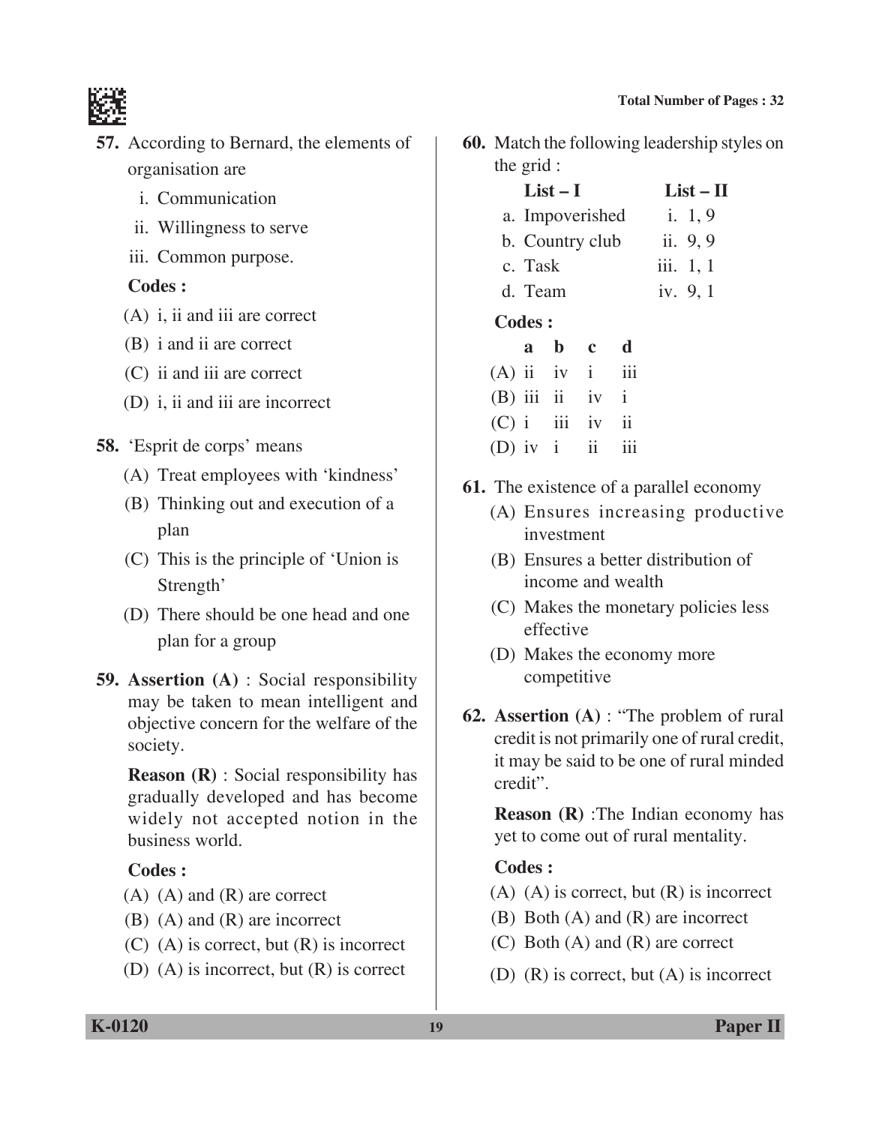

- **57.** According to Bernard, the elements of organisation are
	- i. Communication
	- ii. Willingness to serve
	- iii. Common purpose.

#### **Codes :**

- (A) i, ii and iii are correct
- (B) i and ii are correct
- (C) ii and iii are correct
- (D) i, ii and iii are incorrect
- **58.** 'Esprit de corps' means
	- (A) Treat employees with 'kindness'
	- (B) Thinking out and execution of a plan
	- (C) This is the principle of 'Union is Strength'
	- (D) There should be one head and one plan for a group
- **59. Assertion (A)** : Social responsibility may be taken to mean intelligent and objective concern for the welfare of the society.

 **Reason (R)** : Social responsibility has gradually developed and has become widely not accepted notion in the business world.

#### **Codes :**

- (A) (A) and (R) are correct
- (B) (A) and (R) are incorrect
- (C) (A) is correct, but (R) is incorrect
- (D) (A) is incorrect, but (R) is correct

**60.** Match the following leadership styles on the grid :

## $List-I$   $List-II$

- a. Impoverished i. 1, 9 b. Country club ii. 9, 9
- c. Task iii. 1, 1
- d. Team iv. 9, 1

### **Codes :**

|  | a b c d           |  |
|--|-------------------|--|
|  | $(A)$ ii iv i iii |  |
|  | $(B)$ iii ii iv i |  |
|  | $(C)$ i iii iv ii |  |
|  | (D) iv $i$ ii iii |  |

- **61.** The existence of a parallel economy
	- (A) Ensures increasing productive investment
	- (B) Ensures a better distribution of income and wealth
	- (C) Makes the monetary policies less effective
	- (D) Makes the economy more competitive
- **62. Assertion (A)** : "The problem of rural credit is not primarily one of rural credit, it may be said to be one of rural minded credit".

**Reason (R)** :The Indian economy has yet to come out of rural mentality.

- $(A)$   $(A)$  is correct, but  $(R)$  is incorrect
- (B) Both (A) and (R) are incorrect
- (C) Both (A) and (R) are correct
- (D) (R) is correct, but (A) is incorrect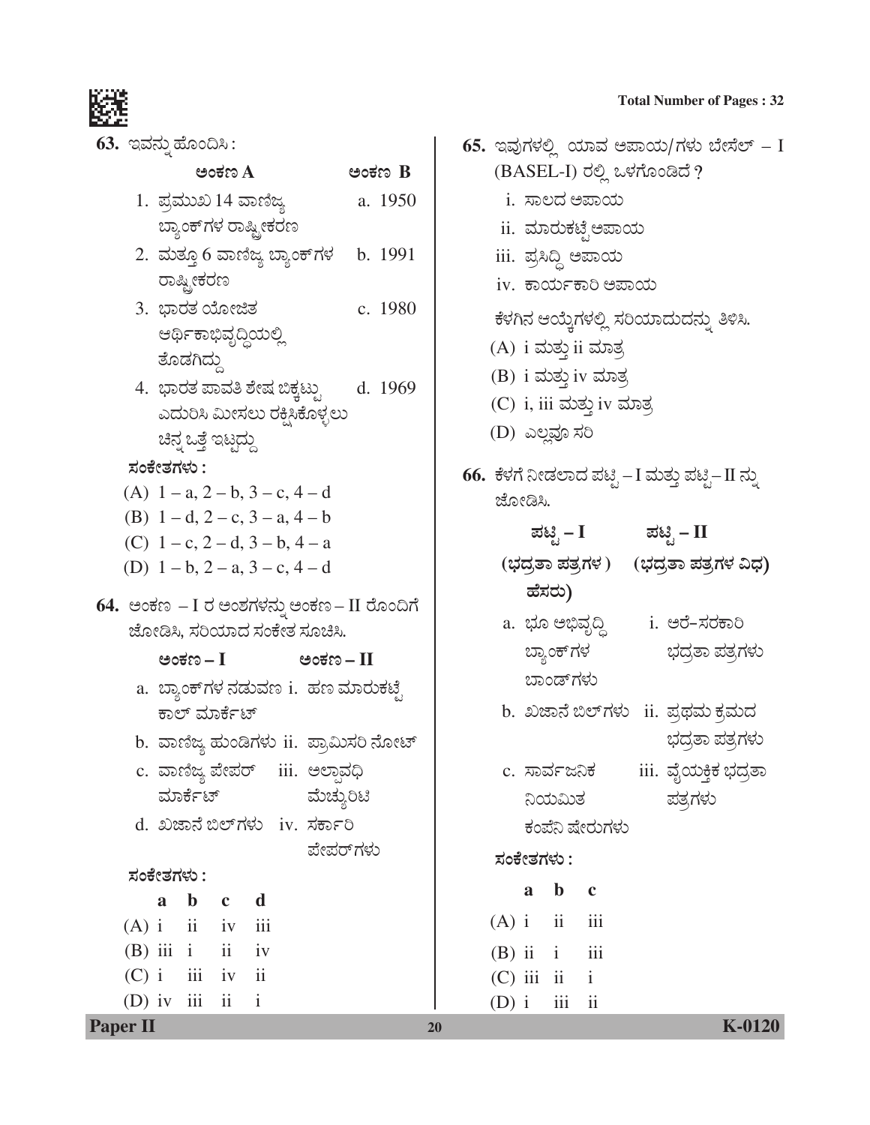

| 63. ಇವನ್ನು ಹೊಂದಿಸಿ :                            |          |
|-------------------------------------------------|----------|
| ಅಂಕಣ A                                          | ಅಂಕಣ B   |
| 1. ಪ್ರಮುಖ 14 ವಾಣಿಜ್ಯ                            | a. 1950  |
| ಬ್ಯಾಂಕ್ ಗಳ ರಾಷ್ಟ್ರೀಕರಣ                          |          |
| 2. ಮತ್ತೂ 6 ವಾಣಿಜ್ಯ ಬ್ಯಾಂಕ್ಗಳ b. 1991            |          |
| ರಾಷ್ಟ್ರೀಕರಣ                                     |          |
| 3. ಭಾರತ ಯೋಜಿತ                                   | c. 1980  |
| ಆರ್ಥಿಕಾಭಿವೃದ್ಧಿಯಲ್ಲಿ                            |          |
| ತೊಡಗಿದ್ದು                                       |          |
| 4. ಭಾರತ ಪಾವತಿ ಶೇಷ ಬಿಕ್ಕಟ್ಟು                     | d. 1969  |
| ಎದುರಿಸಿ ಮೀಸಲು ರಕ್ಷಿಸಿಕೊಳ್ಳಲು                    |          |
| ಚಿನ್ನ ಒತ್ತೆ ಇಟ್ಟದ್ದು                            |          |
| ಸಂಕೇತಗಳು :                                      |          |
| (A) $1 - a$ , $2 - b$ , $3 - c$ , $4 - d$       |          |
| (B) $1-d$ , $2-c$ , $3-a$ , $4-b$               |          |
| (C) $1 - c$ , $2 - d$ , $3 - b$ , $4 - a$       |          |
| (D) $1 - b$ , $2 - a$ , $3 - c$ , $4 - d$       |          |
| 64.  ಅಂಕಣ  – I ರ ಅಂಶಗಳನ್ನು ಅಂಕಣ – II ರೊಂದಿಗೆ    |          |
| ಜೋಡಿಸಿ, ಸರಿಯಾದ ಸಂಕೇತ ಸೂಚಿಸಿ.                    |          |
| ಅಂಕಣ – I<br>ಅಂಕಣ – II                           |          |
| a.  ಬ್ಯಾಂಕ್ಗಳ ನಡುವಣ i.  ಹಣ ಮಾರುಕಟೈ              |          |
| ಕಾಲ್ ಮಾರ್ಕೆಟ್                                   |          |
| b. ವಾಣಿಜ್ಯ ಹುಂಡಿಗಳು ii. ಪ್ರಾಮಿಸರಿ ನೋಟ್          |          |
| c. ವಾಣಿಜ್ಯ ಪೇಪರ್   iii.  ಅಲ್ಲಾವಧಿ               |          |
| ಮಾರ್ಕೆಟ್<br>ಮೆಚ್ಯುರಿಟಿ                          |          |
| d. ಖಜಾನೆ ಬಿಲ್ಗಳು iv. ಸರ್ಕಾರಿ                    |          |
|                                                 | ಪೇಪರ್ಗಳು |
| ಸಂಕೇತಗಳು :                                      |          |
| $\mathbf b$<br>$\mathbf d$<br>a<br>$\mathbf{c}$ |          |
| $(A)$ i $ii$ iv $iii$                           |          |
| $(B)$ iii i ii iv                               |          |
| $(C)$ i $iii$ iv $ii$                           |          |
| (D) iv $iii$ $ii$<br>$\overline{\mathbf{i}}$    |          |

|         |            |                           |                             | 65. ಇವುಗಳಲ್ಲಿ ಯಾವ ಅಪಾಯ/ಗಳು ಬೇಸೆಲ್ – I          |
|---------|------------|---------------------------|-----------------------------|------------------------------------------------|
|         |            |                           | (BASEL-I) ರಲ್ಲಿ ಒಳಗೊಂಡಿದೆ ? |                                                |
|         |            |                           | i. ಸಾಲದ ಅಪಾಯ                |                                                |
|         |            |                           | ii. ಮಾರುಕಟೈಅಪಾಯ             |                                                |
|         |            |                           | iii. ಪ್ರಸಿದ್ಧಿ ಅಪಾಯ         |                                                |
|         |            |                           | iv. ಕಾರ್ಯಕಾರಿ ಅಪಾಯ          |                                                |
|         |            |                           |                             | ಕೆಳಗಿನ ಆಯ್ತೆಗಳಲ್ಲಿ ಸರಿಯಾದುದನ್ನು ತಿಳಿಸಿ.        |
|         |            |                           | (A) i ಮತ್ತು ii ಮಾತ್ರ        |                                                |
|         |            |                           | (B) i ಮತ್ತು iv ಮಾತ್ರ        |                                                |
|         |            |                           | (C) i, iii ಮತ್ತು iv ಮಾತ್ರ   |                                                |
|         |            | (D) ಎಲ್ಲವೂ ಸರಿ            |                             |                                                |
|         | ಜೋಡಿಸಿ.    |                           |                             | 66.  ಕೆಳಗೆ ನೀಡಲಾದ ಪಟ್ಟಿ −I ಮತ್ತು ಪಟ್ಟಿ−II ನ್ನು |
|         |            | ಪಟ್ಟಿ – I                 |                             | ಪಟಿೃ – II                                      |
|         |            |                           |                             | (ಭದ್ರತಾ ಪತ್ರಗಳ)    (ಭದ್ರತಾ ಪತ್ರಗಳ ವಿಧ)         |
|         |            | ಹೆಸರು)                    |                             |                                                |
|         |            |                           |                             | i. ಅರೆ-ಸರಕಾರಿ                                  |
|         |            |                           | a. ಭೂ ಅಭಿವೃದ್ಧಿ             |                                                |
|         |            | ಬ್ಯಾಂಕ್ಗಳ<br>ಬಾಂಡ್ಗಳು     |                             | ಭದ್ರತಾ ಪತ್ರಗಳು                                 |
|         |            |                           |                             |                                                |
|         |            |                           |                             | b. ಖಜಾನೆ ಬಿಲ್ಗಳು   ii.  ಪ್ರಥಮ ಕ್ರಮದ            |
|         |            |                           |                             | ಭದ್ರತಾ ಪತ್ರಗಳು                                 |
|         |            | c. ಸಾರ್ವಜನಿಕ              |                             | iii. ವೈಯ <del>ಕ್ತಿಕ</del> ಭದ್ರತಾ               |
|         |            | ನಿಯಮಿತ                    |                             | ಪತ್ರಗಳು                                        |
|         |            |                           | ಕಂಪೆನಿ ಷೇರುಗಳು              |                                                |
|         | ಸಂಕೇತಗಳು : |                           |                             |                                                |
|         | a          | $\mathbf{b}$ $\mathbf{c}$ |                             |                                                |
|         |            | $(A)$ i ii iii            |                             |                                                |
|         |            | $(B)$ ii $i$ iii          |                             |                                                |
|         |            | $(C)$ iii ii i            |                             |                                                |
| $(D)$ i |            | $\overline{\mathbf{iii}}$ | ii                          |                                                |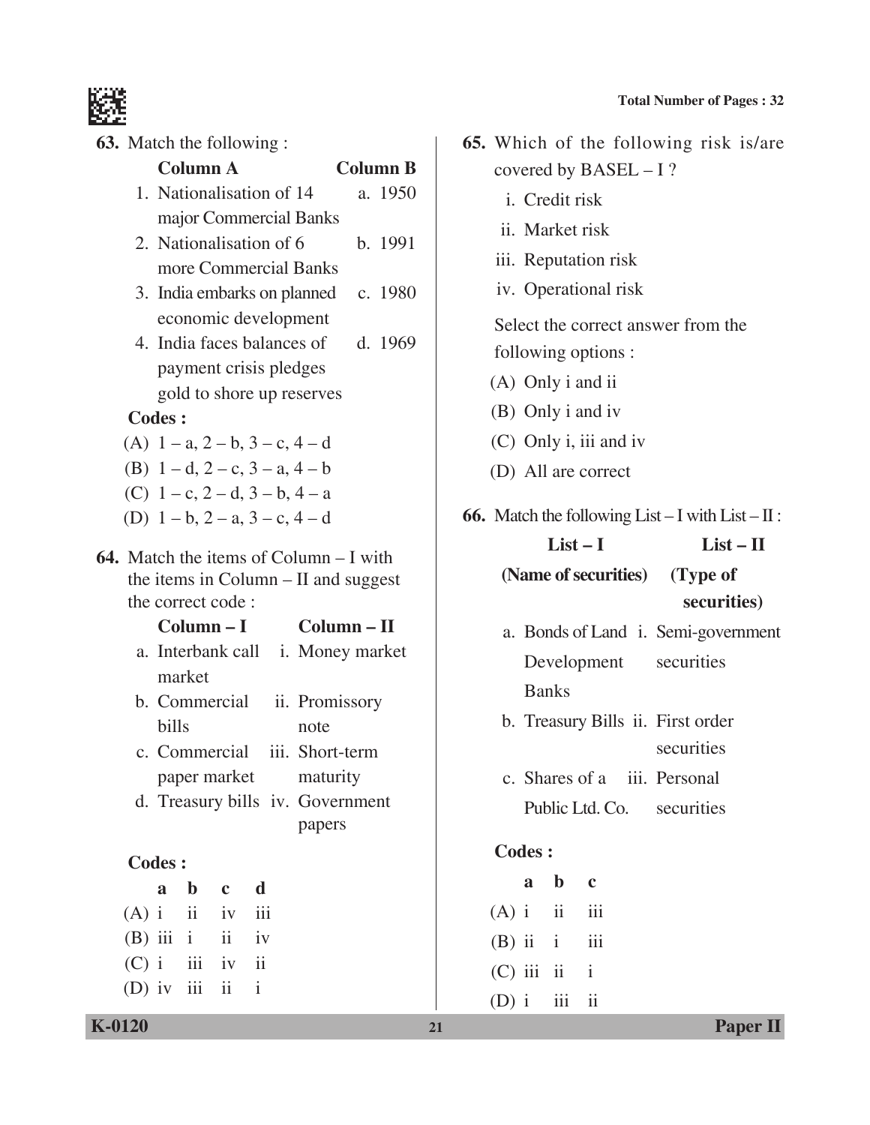

**63.** Match the following

| <b>03.</b> Match the following: |               |                           |                          |                                                                                                                                                                                                                                                         |                                                    |
|---------------------------------|---------------|---------------------------|--------------------------|---------------------------------------------------------------------------------------------------------------------------------------------------------------------------------------------------------------------------------------------------------|----------------------------------------------------|
|                                 |               | <b>Column A</b>           |                          |                                                                                                                                                                                                                                                         | <b>Column B</b>                                    |
|                                 |               |                           |                          | 1. Nationalisation of 14                                                                                                                                                                                                                                | a. 1950                                            |
|                                 |               |                           |                          | major Commercial Banks                                                                                                                                                                                                                                  |                                                    |
|                                 |               |                           |                          | 2. Nationalisation of 6                                                                                                                                                                                                                                 | b. 1991                                            |
|                                 |               |                           |                          | more Commercial Banks                                                                                                                                                                                                                                   |                                                    |
|                                 |               |                           |                          |                                                                                                                                                                                                                                                         | 3. India embarks on planned c. 1980                |
|                                 |               |                           |                          | economic development                                                                                                                                                                                                                                    |                                                    |
|                                 |               |                           |                          |                                                                                                                                                                                                                                                         | 4. India faces balances of d. 1969                 |
|                                 |               |                           |                          | payment crisis pledges                                                                                                                                                                                                                                  |                                                    |
|                                 |               |                           |                          | gold to shore up reserves                                                                                                                                                                                                                               |                                                    |
|                                 | <b>Codes:</b> |                           |                          |                                                                                                                                                                                                                                                         |                                                    |
|                                 |               |                           |                          | (A) $1 - a$ , $2 - b$ , $3 - c$ , $4 - d$                                                                                                                                                                                                               |                                                    |
|                                 |               |                           |                          | (B) $1-d$ , $2-c$ , $3-a$ , $4-b$                                                                                                                                                                                                                       |                                                    |
|                                 |               |                           |                          | (C) $1 - c$ , $2 - d$ , $3 - b$ , $4 - a$                                                                                                                                                                                                               |                                                    |
|                                 |               |                           |                          | (D) $1 - b$ , $2 - a$ , $3 - c$ , $4 - d$                                                                                                                                                                                                               |                                                    |
|                                 | bills         | market                    | the correct code:        | <b>64.</b> Match the items of Column $-$ I with<br>the items in Column – II and suggest<br>$Column - I$<br>b. Commercial ii. Promissory<br>note<br>c. Commercial iii. Short-term<br>paper market maturity<br>d. Treasury bills iv. Government<br>papers | $Column - II$<br>a. Interbank call i. Money market |
|                                 | <b>Codes:</b> |                           |                          |                                                                                                                                                                                                                                                         |                                                    |
|                                 | a             | $\mathbf{b}$ $\mathbf{c}$ |                          | $\mathbf d$                                                                                                                                                                                                                                             |                                                    |
|                                 |               |                           | $(A)$ i ii iv            | $\overline{111}$                                                                                                                                                                                                                                        |                                                    |
|                                 |               |                           | $(B)$ iii i ii iv        |                                                                                                                                                                                                                                                         |                                                    |
|                                 |               |                           | $(C)$ i $iii$ iv $ii$    |                                                                                                                                                                                                                                                         |                                                    |
|                                 |               | (D) iv iii                | $\overline{\mathbf{11}}$ | $\mathbf{i}$                                                                                                                                                                                                                                            |                                                    |
|                                 |               |                           |                          |                                                                                                                                                                                                                                                         |                                                    |

|                     |                              | 65. Which of the following risk is/are                       |
|---------------------|------------------------------|--------------------------------------------------------------|
|                     | covered by $BASEL - I$ ?     |                                                              |
| i. Credit risk      |                              |                                                              |
| ii. Market risk     |                              |                                                              |
|                     | iii. Reputation risk         |                                                              |
|                     | iv. Operational risk         |                                                              |
|                     |                              | Select the correct answer from the                           |
| following options : |                              |                                                              |
| (A) Only i and ii   |                              |                                                              |
| (B) Only i and iv   |                              |                                                              |
|                     | (C) Only i, iii and iv       |                                                              |
| (D) All are correct |                              |                                                              |
|                     |                              | <b>66.</b> Match the following List $- I$ with List $- II$ : |
| $List-I$            |                              | $List - II$                                                  |
|                     |                              |                                                              |
|                     |                              | (Name of securities) (Type of                                |
|                     |                              | securities)                                                  |
|                     |                              | a. Bonds of Land i. Semi-government                          |
| Development         |                              | securities                                                   |
| <b>Banks</b>        |                              |                                                              |
|                     |                              | b. Treasury Bills ii. First order                            |
|                     |                              | securities                                                   |
|                     | c. Shares of a iii. Personal |                                                              |
|                     | Public Ltd. Co. securities   |                                                              |
|                     |                              |                                                              |
| <b>Codes:</b>       |                              |                                                              |
| $\mathbf b$<br>a    | $\mathbf{c}$                 |                                                              |
| $(A)$ i ii          | iii                          |                                                              |
| $(B)$ ii i          | $\overline{111}$             |                                                              |

 $(D)$  i iii ii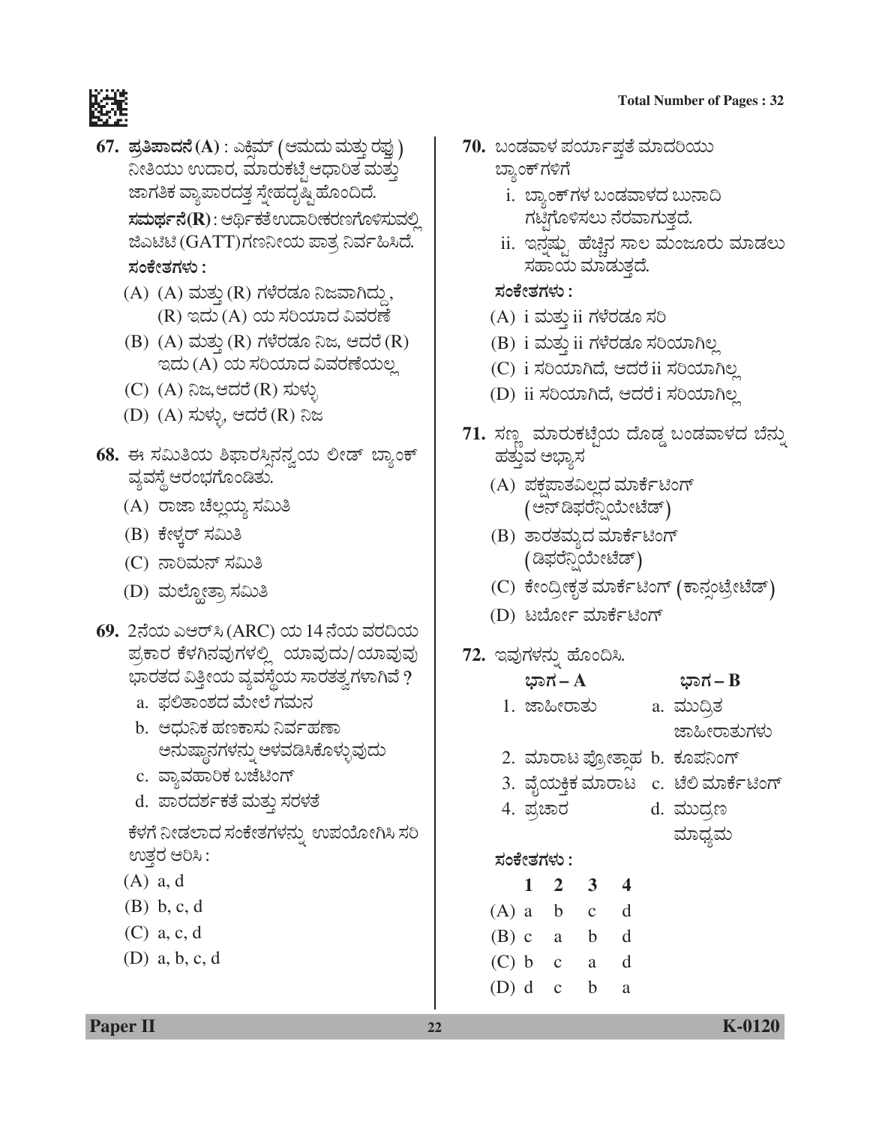

- **67. ಪ್ರತಿಪಾದನೆ** (A) : ಎಕಿಮ್ (ಆಮದು ಮತ್ತು ರಫು ) ನೀತಿಯು ಉದಾರ, ಮಾರುಕಟ್ಟೆ ಆಧಾರಿತ ಮತ್ತು ಜಾಗತಿಕ ವ್ಯಾಪಾರದತ್ತ ಸ್ತೇಹದೃಷ್ಟಿ ಹೊಂದಿದೆ.  $\vec{x}$ ಸಮರ್ಥನೆ(R) : ಆರ್ಥಿಕತೆ ಉದಾರೀಕರಣಗೊಳಿಸುವಲ್ಲಿ ಜಿಎಟಿಟಿ (GATT)ಗಣನೀಯ ಪಾತ್ರ ನಿರ್ವಹಿಸಿದೆ. *ÓÜíPæàñÜWÜÙÜá :*
	- (A) (A) ÊÜáñÜᤠ(R) *WÜÙæÃÜvÜã ¯gÊÝX¨Üáª* , (R) *C¨Üá* (A) *¿á ÓÜÄ¿Þ¨Ü ËÊÜÃÜOæ*
	- (B) (A) ÊÜáñÜá¤ (R) *WÜÙæÃÜvÜã ¯g, B¨ÜÃæ* (R)  $\alpha$ ¤ದು (A) ಯ ಸರಿಯಾದ ವಿವರಣೆಯಲ್ಲ
	- (C) (A) ನಿಜ,ಆದರೆ(R) ಸುಳ್ಳು
	- (D) (A) ಸುಳ್ಳು, ಆದರೆ (R) ನಿಜ
- 68. ಈ ಸಮಿತಿಯ ಶಿಫಾರಸ್ಸಿನನ್ವಯ ಲೀಡ್ ಬ್ಯಾಂಕ್ ವ್ಯವಸ್ಥೆ ಆರಂಭಗೊಂಡಿತು.
	- (A) ರಾಜಾ ಚೆಲ್ಲಯ್ಯ ಸಮಿತಿ
	- (B) ಕೇಳ್ಕರ್ ಸಮಿತಿ
	- (C) ನಾರಿಮನ್ ಸಮಿತಿ
	- (D) ಮಲ್ದೋತ್ರಾ ಸಮಿತಿ
- **69.** 2®æ¿á GBÃ…Ô (ARC) *¿á* 14*®æ¿á ÊÜÃÜ©¿á*  ಪ್ರಕಾರ ಕೆಳಗಿನವುಗಳಲ್ಲಿ ಯಾವುದು/ಯಾವುವು ಭಾರತದ ವಿತ್ತೀಯ ವ್ಯವಸ್ಥೆಯ ಸಾರತತ್ವಗಳಾಗಿವೆ ?
	- a. ಫಲಿತಾಂಶದ ಮೇಲೆ ಗಮನ
	- b. ಆಧುನಿಕ ಹಣಕಾಸು ನಿರ್ವಹಣಾ ಅನುಷ್ಠಾನಗಳನ್ನು ಅಳವಡಿಸಿಕೊಳ್ಳುವುದು
	- c. ವ್ಯಾವಹಾರಿಕ ಬಜೆಟಿಂಗ್
	- d. ಪಾರದರ್ಶಕತೆ ಮತ್ತು ಸರಳತೆ

ಕೆಳಗೆ ನೀಡಲಾದ ಸಂಕೇತಗಳನ್ನು ಉಪಯೋಗಿಸಿ ಸರಿ ಉತ್ತರ ಆರಿಸಿ :

- (A) a, d
- (B) b, c, d
- (C) a, c, d
- (D) a, b, c, d
- <u>70. ಬಂಡವಾಳ ಪರ್ಯಾಪ್ತತೆ ಮಾದರಿಯು</u> ಬ್ಯಾಂಕ್ಗಳಿಗೆ
	- i. ಬ್ಯಾಂಕ್ಗಳ ಬಂಡವಾಳದ ಬುನಾದಿ ಗಟಿಗೊಳಿಸಲು ನೆರವಾಗುತ್ತದೆ.
	- ii. ಇನ್ನಷ್ಟು ಹೆಚ್ಚಿನ ಸಾಲ ಮಂಜೂರು ಮಾಡಲು ಸಹಾಯ ಮಾಡುತ್ತದೆ.

### *ÓÜíPæàñÜWÜÙÜá :*

- (A) i ÊÜáñÜᤠii *WÜÙæÃÜvÜã ÓÜÄ*
- (B) i ÊÜáñÜá¤ ii *WÜÙæÃÜvÜã ÓÜÄ¿ÞXÆÉ*
- (C) i ಸರಿಯಾಗಿದೆ, ಆದರೆ ii ಸರಿಯಾಗಿಲ್ಲ
- (D) ii ಸರಿಯಾಗಿದೆ, ಆದರೆ i ಸರಿಯಾಗಿಲ್ಲ
- <mark>71.</mark> ಸಣ್ಣ ಮಾರುಕಟ್ಟೆಯ ದೊಡ್ಡ ಬಂಡವಾಳದ ಬೆನ್ನು ಹತ್ತುವ ಅಭ್ಯಾಸ
	- (A) ಪಕ್ಷಪಾತವಿಲ್ಲದ ಮಾರ್ಕೆಟಿಂಗ್ (ಅನ್ ಡಿಫರೆನ್ಸಿಯೇಟೆಡ್)
	- (B) ತಾರತಮ್ಯದ ಮಾರ್ಕೆಟಿಂಗ್ ( ಡಿಫರೆನ್ಷಿಯೇಟೆಡ್ )
	- (C) ಕೇಂದ್ರೀಕೃತ ಮಾರ್ಕೆಟಿಂಗ್ (ಕಾನ್ಸಂಟ್ರೇಟೆಡ್)
	- (D) ಟರ್ಬೋ ಮಾರ್ಕೆಟಿಂಗ್
- **72.** ಇವುಗಳನ್ನು ಹೊಂದಿಸಿ.

| ಭಾಗ $-A$ | ಭಾಗ – B |
|----------|---------|
|----------|---------|

| 1. ಜಾಹೀರಾತು | a. ಮುದ್ತಿತ |  |
|-------------|------------|--|
|             |            |  |

ಜಾಹೀರಾತುಗಳು

- 2. ಮಾರಾಟ ಪ್ರೋತ್ತಾಹ b. ಕೂಪನಿಂಗ್
- 3. ವೈಯಕ್ತಿಕ ಮಾರಾಟ c. ಟೆಲಿ ಮಾರ್ಕೆಟಿಂಗ್
- 4. ±ÜÅaÝÃÜ d. ÊÜáá¨ÜÅ|
	- ಮಾಧ್ಯಮ
- *ÓÜíPæàñÜWÜÙÜá :*

| L.        | $\overline{2}$ | 3            |   |
|-----------|----------------|--------------|---|
| $(A)$ a b |                | $\mathbf{C}$ | d |
| (B) c a   |                | $\mathbf{b}$ | d |
| $(C)$ b   | $\mathbf{C}$   | a            | d |
| $(D)$ d   | $\mathbf{C}$   | h            | a |

**Paper II 22 K-0120**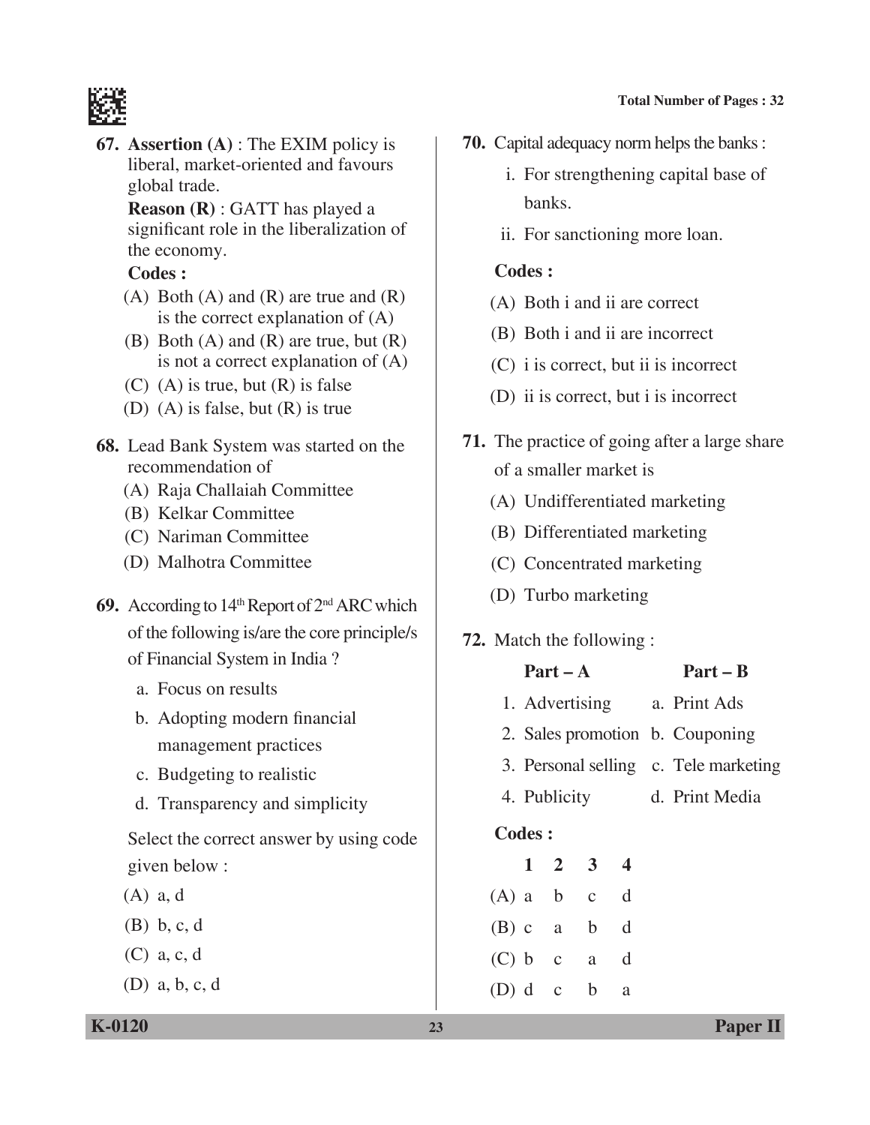

**67. Assertion (A)** : The EXIM policy is liberal, market-oriented and favours global trade.

> **Reason (R)** : GATT has played a significant role in the liberalization of the economy.

## **Codes :**

- (A) Both (A) and (R) are true and  $(R)$ is the correct explanation of (A)
- (B) Both (A) and (R) are true, but (R) is not a correct explanation of (A)
- $(C)$  (A) is true, but  $(R)$  is false
- (D) (A) is false, but (R) is true
- **68.** Lead Bank System was started on the recommendation of
	- (A) Raja Challaiah Committee
	- (B) Kelkar Committee
	- (C) Nariman Committee
	- (D) Malhotra Committee
- 69. According to 14th Report of 2<sup>nd</sup> ARC which of the following is/are the core principle/s of Financial System in India ?
	- a. Focus on results
	- b. Adopting modern financial management practices
	- c. Budgeting to realistic
	- d. Transparency and simplicity

 Select the correct answer by using code given below :

- (A) a, d
- (B) b, c, d
- (C) a, c, d
- (D) a, b, c, d
- **70.** Capital adequacy norm helps the banks :
	- i. For strengthening capital base of banks.
	- ii. For sanctioning more loan.

## **Codes :**

- (A) Both i and ii are correct
- (B) Both i and ii are incorrect
- (C) i is correct, but ii is incorrect
- (D) ii is correct, but i is incorrect
- **71.** The practice of going after a large share of a smaller market is
	- (A) Undifferentiated marketing
	- (B) Differentiated marketing
	- (C) Concentrated marketing
	- (D) Turbo marketing

# **72.** Match the following :

|           |                                       | $Part - A$  |                             |   | $Part - B$                  |
|-----------|---------------------------------------|-------------|-----------------------------|---|-----------------------------|
|           |                                       |             |                             |   | 1. Advertising a. Print Ads |
|           | 2. Sales promotion b. Couponing       |             |                             |   |                             |
|           | 3. Personal selling c. Tele marketing |             |                             |   |                             |
|           | 4. Publicity                          |             |                             |   | d. Print Media              |
| Codes:    |                                       |             |                             |   |                             |
|           |                                       |             | $1 \quad 2 \quad 3 \quad 4$ |   |                             |
|           |                                       | $(A)$ a b c | $\mathbf d$                 |   |                             |
|           |                                       |             | (B) c a b d                 |   |                             |
| (C) b c   |                                       |             | a d                         |   |                             |
| $(D)$ d c |                                       |             | $\mathbf b$                 | a |                             |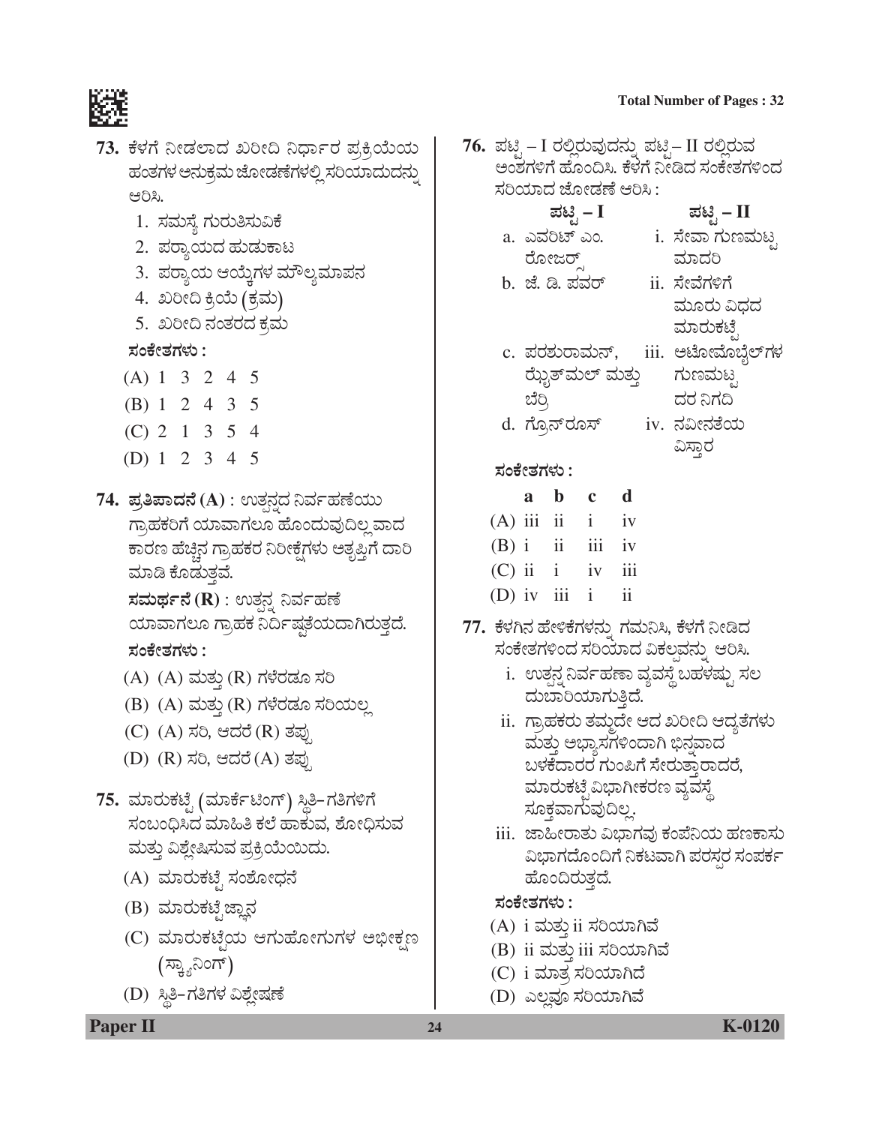- 1. ಸಮಸ್ಯೆ ಗುರುತಿಸುವಿಕೆ
- 2. ಪರ್ಕ್ಯಯದ ಹುಡುಕಾಟ
- 3. ಪರ್ಾಯ ಆಯ್ತೆಗಳ ಮೌಲ್ಯಮಾಪನ
- 4. ಖರೀದಿ ಕ್ರಿಯೆ (ಕ್ರಮ)
- 5. ಖರೀದಿ ನಂತರದ ಕ್ರಮ

ಸಂಕೇತಗಳು :

- $(A) 1 3 2 4 5$
- (B) 1 2 4 3 5
- $(C)$  2 1 3 5 4
- (D) 1 2 3 4 5
- 74. ಪ್ರತಿಪಾದನೆ (A) : ಉತ್ಪನ್ದದ ನಿರ್ವಹಣೆಯು ಗ್ರಾಹಕರಿಗೆ ಯಾವಾಗಲೂ ಹೊಂದುವುದಿಲ್ಲ ವಾದ ಕಾರಣ ಹೆಚ್ಚಿನ ಗ್ರಾಹಕರ ನಿರೀಕ್ಷೆಗಳು ಅತೃಪ್ತಿಗೆ ದಾರಿ ಮಾಡಿ ಕೊಡುತ್ತವೆ.

ಸಮರ್ಥನೆ (R) : ಉತ್ಪನ ನಿರ್ವಹಣೆ ಯಾವಾಗಲೂ ಗ್ರಾಹಕ ನಿರ್ದಿಷ್ಠತೆಯದಾಗಿರುತ್ತದೆ. ಸಂಕೇತಗಳು $\colon$ 

- (A) (A) ಮತ್ತು (R) ಗಳೆರಡೂ ಸರಿ
- (B) (A) ಮತ್ತು (R) ಗಳೆರಡೂ ಸರಿಯಲ್ಲ
- (C) (A) ಸರಿ, ಆದರೆ (R) ತಪ್ಪು
- (D) (R) ಸರಿ, ಆದರೆ (A) ತಪ್ಪು
- 75. ಮಾರುಕಟೈ (ಮಾರ್ಕೆಟಿಂಗ್) ಸ್ಥಿತಿ-ಗತಿಗಳಿಗೆ ಸಂಬಂಧಿಸಿದ ಮಾಹಿತಿ ಕಲೆ ಹಾಕುವ, ಶೋಧಿಸುವ ಮತ್ತು ವಿಶ್ಲೇಷಿಸುವ ಪ್ರಕ್ರಿಯೆಯಿದು.
	- (A) ಮಾರುಕಟ್ಟೆ ಸಂಶೋಧನೆ
	- (B) ಮಾರುಕಟ್ಟೆ ಜ್ಞಾನ
	- (C) ಮಾರುಕಟ್ಟೆಯ ಆಗುಹೋಗುಗಳ ಅಭೀಕ್ಷಣ (ಸ್ಕ್ಯಾನಿಂಗ್)
	- (D) ಸ್ಥಿತಿ-ಗತಿಗಳ ವಿಶ್ಲೇಷಣೆ
- **Total Number of Pages: 32**
- 76. ಪಟ್ಟಿ I ರಲ್ಲಿರುವುದನ್ನು ಪಟ್ಟಿ– II ರಲ್ಲಿರುವ ಅಂಶಗಳಿಗೆ ಹೊಂದಿಸಿ. ಕೆಳೆಗೆ ನೀಡಿದ ಸಂಕೇತಗಳಿಂದ ಸರಿಯಾದ ಜೋಡಣೆ ಆರಿಸಿ : ಪಟ್ಟಿ – II ಪಟ್ಟಿ – I a. ಎವರಿಟ್ ಎಂ. i. ಸೇವಾ ಗುಣಮಟ್ಟ ರೋಜರ್ ಮಾದರಿ b. ಜೆ. ಡಿ. ಪವರ್ ii. ಸೇವೆಗಳಿಗೆ ಮೂರು ವಿಧದ ಮಾರುಕಟೆ c. ಪರಶುರಾಮನ್, iii. ಅಟೋಮೊಬ್ಬೆಲ್ಗಳ ಝೈತ್ಮಲ್ ಮತ್ತು ಗುಣಮಟ್ಟ ದರ ನಿಗದಿ ಬೆರಿ. d. ಗ್ರೊನ್**ರೂಸ್** <u>iv. ನವೀನತೆಯ</u> ವಿಸ್ತಾರ ಸಂಕೇತಗಳು :  $a \quad b \quad c$  $\mathbf d$  $(A)$  iii ii i iv  $(B)$  i ii  $111 \quad \text{iv}$  $(C)$  ii i  $\overline{111}$  $iv$ (D) iv iii  $i$  $\mathbf{ii}$ 77. ಕೆಳಗಿನ ಹೇಳಿಕೆಗಳನ್ನು ಗಮನಿಸಿ, ಕೆಳಗೆ ನೀಡಿದ ಸಂಕೇತಗಳಿಂದ ಸರಿಯಾದ ವಿಕಲವನ್ನು ಆರಿಸಿ. i. ಉತ್ಪನ್ನ ನಿರ್ವಹಣಾ ವ್ಯವಸ್ಥೆ ಬಹಳಷ್ಟು ಸಲ ದುಬಾರಿಯಾಗುತಿದೆ. ii. ಗ್ರಾಹಕರು ತಮ್ಮದೇ ಆದ ಖರೀದಿ ಆದ್ಯತೆಗಳು ಮತ್ತು ಅಭ್ಯಾಸಗಳಿಂದಾಗಿ ಭಿನ್ನವಾದ ಬಳಕೆದಾರರ ಗುಂಪಿಗೆ ಸೇರುತ್ತಾರಾದರೆ, ಮಾರುಕಟ್ಟೆವಿಭಾಗೀಕರಣ ವ್ಯವಸ್ಥೆ ಸೂಕ್ತವಾಗುವುದಿಲ್ಲ. <u>iii. ಜಾಹೀರಾತು ವಿಭಾಗವು ಕಂಪೆನಿಯ ಹಣಕಾಸು</u> ವಿಭಾಗದೊಂದಿಗೆ ನಿಕಟವಾಗಿ ಪರಸ್ಪರ ಸಂಪರ್ಕ ಹೊಂದಿರುತ್ತದೆ. ಸಂಕೇತಗಳು : (A) i ಮತ್ತು ii ಸರಿಯಾಗಿವೆ (B) ii ಮತ್ತು iii ಸರಿಯಾಗಿವೆ
	- (C) i ಮಾತ್ರ ಸರಿಯಾಗಿದೆ
	- (D) ಎಲ್ಲವೂ ಸರಿಯಾಗಿವೆ

**Paper II**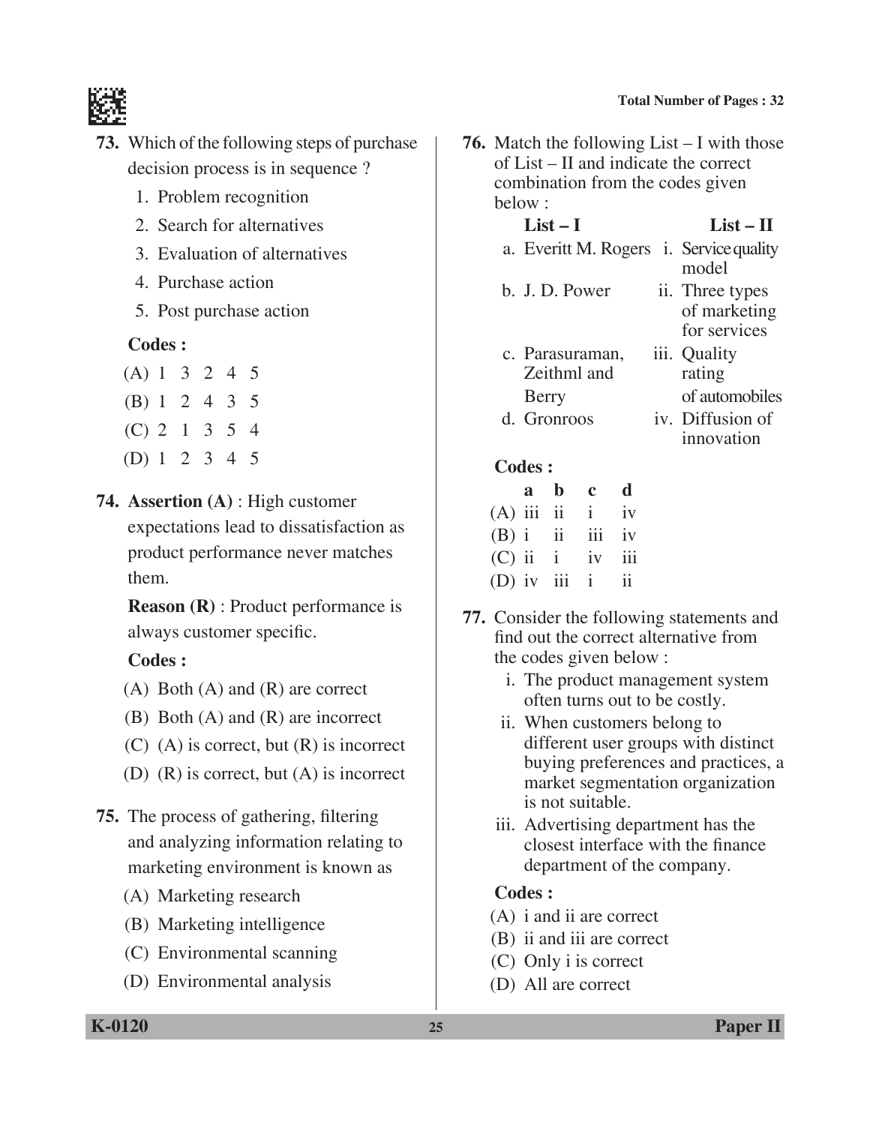

- **73.** Which of the following steps of purchase decision process is in sequence ?
	- 1. Problem recognition
	- 2. Search for alternatives
	- 3. Evaluation of alternatives
	- 4. Purchase action
	- 5. Post purchase action

### **Codes :**

| (A) 1 3 2 4 5 |  |  |  |
|---------------|--|--|--|
| (B) 1 2 4 3 5 |  |  |  |
| (C) 2 1 3 5 4 |  |  |  |
| (D) 1 2 3 4 5 |  |  |  |

**74. Assertion (A)** : High customer expectations lead to dissatisfaction as product performance never matches them.

**Reason (R)** : Product performance is always customer specific.

 **Codes :**

- (A) Both (A) and (R) are correct
- (B) Both (A) and (R) are incorrect
- (C) (A) is correct, but (R) is incorrect
- (D) (R) is correct, but (A) is incorrect
- **75.** The process of gathering, filtering and analyzing information relating to marketing environment is known as
	- (A) Marketing research
	- (B) Marketing intelligence
	- (C) Environmental scanning
	- (D) Environmental analysis

**76.** Match the following List – I with those of List – II and indicate the correct combination from the codes given below :

### **List – I List – II**

- a. Everitt M. Rogers i. Service quality model b. J. D. Power ii. Three types of marketing
- for services c. Parasuraman, iii. Quality Zeithml and rating Berry of automobiles d. Gronroos iv. Diffusion of
	-
	- innovation

### **Codes :**

|  | a b c d             |  |
|--|---------------------|--|
|  | $(A)$ iii ii iv     |  |
|  | $(B)$ i ii iii iv   |  |
|  | $(C)$ ii $i$ iv iii |  |
|  | $(D)$ iv iii i ii   |  |

- **77.** Consider the following statements and find out the correct alternative from the codes given below :
	- i. The product management system often turns out to be costly.
	- ii. When customers belong to different user groups with distinct buying preferences and practices, a market segmentation organization is not suitable.
	- iii. Advertising department has the closest interface with the finance department of the company.

- (A) i and ii are correct
- (B) ii and iii are correct
- (C) Only i is correct
- (D) All are correct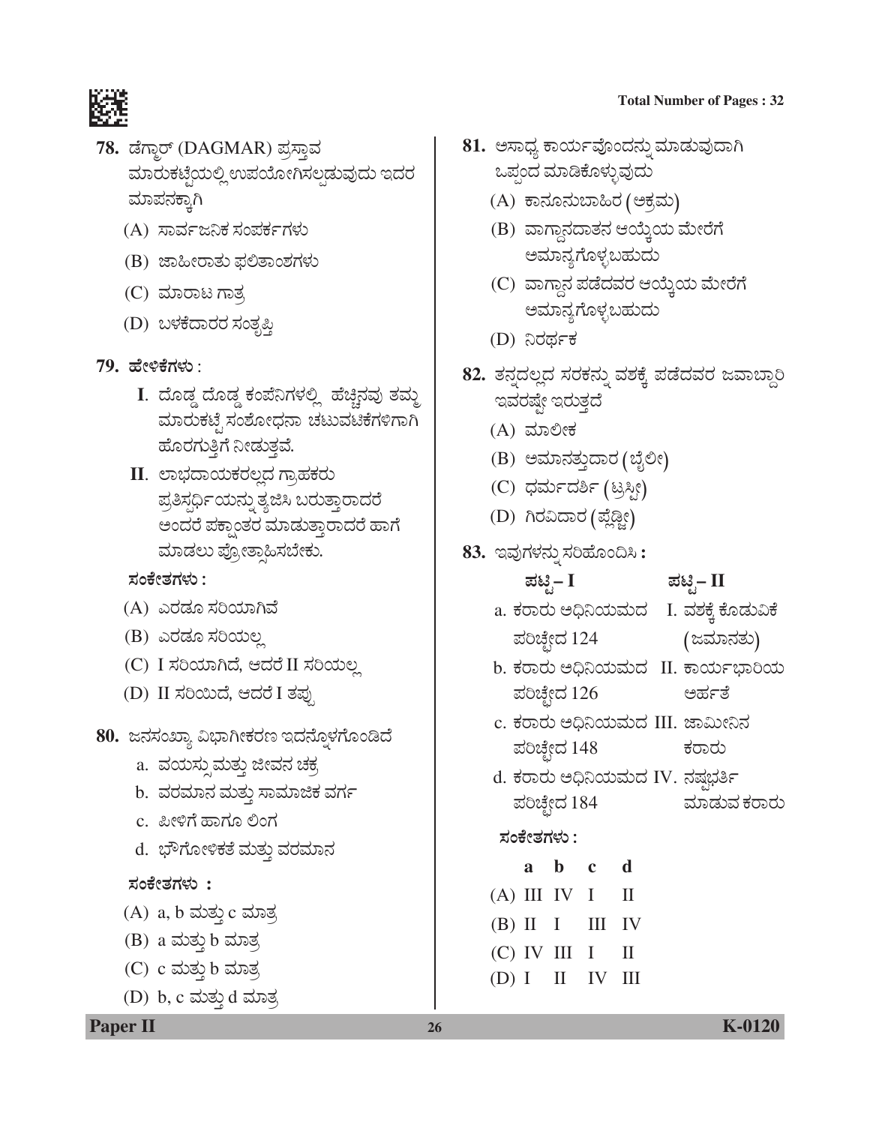

- 78. ಡೆಗ್ಮಾರ್ (DAGMAR) ಪ್ರಸ್ತಾವ ಮಾರುಕಟ್ಟೆಯಲ್ಲಿ ಉಪಯೋಗಿಸಲ್ಪಡುವುದು ಇದರ ಮಾಪನಕ್ರಾಗಿ
	- (A) ಸಾರ್ವಜನಿಕ ಸಂಪರ್ಕಗಳು
	- (B) ಜಾಹೀರಾತು ಫಲಿತಾಂಶಗಳು
	- (C) ಮಾರಾಟ ಗಾತ್ರ
	- (D) ಬಳಕೆದಾರರ ಸಂತೃಪ್ತಿ
- <u>79. ಹೇಳಿಕೆಗಳು :</u>
	- I. ದೊಡ್ಡ ದೊಡ್ಡ ಕಂಪೆನಿಗಳಲ್ಲಿ ಹೆಚ್ಚಿನವು ತಮ್ಮ ಮಾರುಕಟ್ಟೆ ಸಂಶೋಧನಾ ಚಟುವಟಿಕೆಗಳಿಗಾಗಿ ಹೊರಗುತ್ತಿಗೆ ನೀಡುತ್ತವೆ.
	- II. ಲಾಭದಾಯಕರಲ್ಲದ ಗ್ರಾಹಕರು ಪ್ರತಿಸ್ಪರ್ಧಿಯನ್ನು ತ್ಯಜಿಸಿ ಬರುತ್ತಾರಾದರೆ ಅಂದರೆ ಪಕ್ಪಾಂತರ ಮಾಡುತ್ತಾರಾದರೆ ಹಾಗೆ ಮಾಡಲು ಪ್ರೋತ್ಕಾಹಿಸಬೇಕು.

## ಸಂಕೇತಗಳು :

- (A) ಎರಡೂ ಸರಿಯಾಗಿವೆ
- (B) ಎರಡೂ ಸರಿಯಲ್ಲ
- (C) I ಸರಿಯಾಗಿದೆ, ಆದರೆ II ಸರಿಯಲ್ಲ
- (D) II ಸರಿಯಿದೆ, ಆದರೆ I ತಪು
- 80. ಜನಸಂಖ್ಯಾ ವಿಭಾಗೀಕರಣ ಇದನ್ನೊಳಗೊಂಡಿದೆ
	- a. ವಯಸ್ಸುಮತ್ತು ಜೀವನ ಚಕ್ರ
	- b. ವರಮಾನ ಮತ್ತು ಸಾಮಾಜಿಕ ವರ್ಗ
	- c. ಪೀಳಿಗೆ ಹಾಗೂ ಲಿಂಗ
	- d. ಭೌಗೋಳಿಕತೆ ಮತ್ತು ವರಮಾನ

## ಸಂಕೇತಗಳು :

- (A) a, b ಮತ್ತು c ಮಾತ್ರ
- (B) a ಮತ್ತು b ಮಾತ್ರ
- $(C)$   $c$  ಮತ್ತು  $b$  ಮಾತ್ರ
- (D) b, c ಮತ್ತು d ಮಾತ್ರ
- **Total Number of Pages: 32**
- 81. ಅಸಾಧ್ಯ ಕಾರ್ಯವೊಂದನ್ನು ಮಾಡುವುದಾಗಿ ಒಪ್ಪಂದ ಮಾಡಿಕೊಳ್ಳುವುದು
	- (A) ಕಾನೂನುಬಾಹಿರ (ಅಕ್ರಮ)
	- (B) ವಾಗ್ದಾನದಾತನ ಆಯ್ತೆಯ ಮೇರೆಗೆ ಅಮಾನ್ಯಗೊಳ್ಳಬಹುದು
	- (C) ವಾಗ್ಗಾನ ಪಡೆದವರ ಆಯ್ಕೆಯ ಮೇರೆಗೆ ಅಮಾನ್ಯಗೊಳ್ಳಬಹುದು
	- (D) ನಿರರ್ಥಕ
- 82. ತನ್ನದಲ್ಲದ ಸರಕನ್ನು ವಶಕ್ಕೆ ಪಡೆದವರ ಜವಾಬ್ದಾರಿ ಇವರಷ್ಟೇ ಇರುತ್ತದೆ
	- (A) ಮಾಲೀಕ
	- (B) ಅಮಾನತ್ತುದಾರ (ಬೈಲೀ)
	- (C) ಧರ್ಮದರ್ಶಿ (ಟ್ರಸ್ಸೀ)
	- (D) ಗಿರವಿದಾರ (ಪ್ಲೆಡ್ಜೀ)
- 83. ಇವುಗಳನ್ನು ಸರಿಹೊಂದಿಸಿ:

ಪಟಿಸ್– I

# ಪಟಿೃ– II

- a. ಕರಾರು ಅಧಿನಿಯಮದ I. ವಶಕ್ಕೆ ಕೊಡುವಿಕೆ (ಜಮಾನತು) ಪರಿಚ್ಛೇದ 124
- b. ಕರಾರು ಅಧಿನಿಯಮದ II. ಕಾರ್ಯಭಾರಿಯ ಪರಿಚ್ಛೇದ 126 ಅರ್ಹತೆ
- c. ಕರಾರು ಅಧಿನಿಯಮದ III. ಜಾಮೀನಿನ ಪರಿಚ್ಛೇದ 148 ಕರಾರು
- d. ಕರಾರು ಅಧಿನಿಯಮದ IV. ನಷ್ಪಭರ್ತಿ ಪರಿಚ್ಛೇದ 184 ಮಾಡುವ ಕರಾರು

## ಸಂಕೇತಗಳು :

a b c  $\mathbf d$  $(A) III IV I$  $\mathbf{H}$ III IV  $(B)$  II I  $(C)$  IV III I  $\mathbf{I}$  $(D) I \quad II$ - IV - III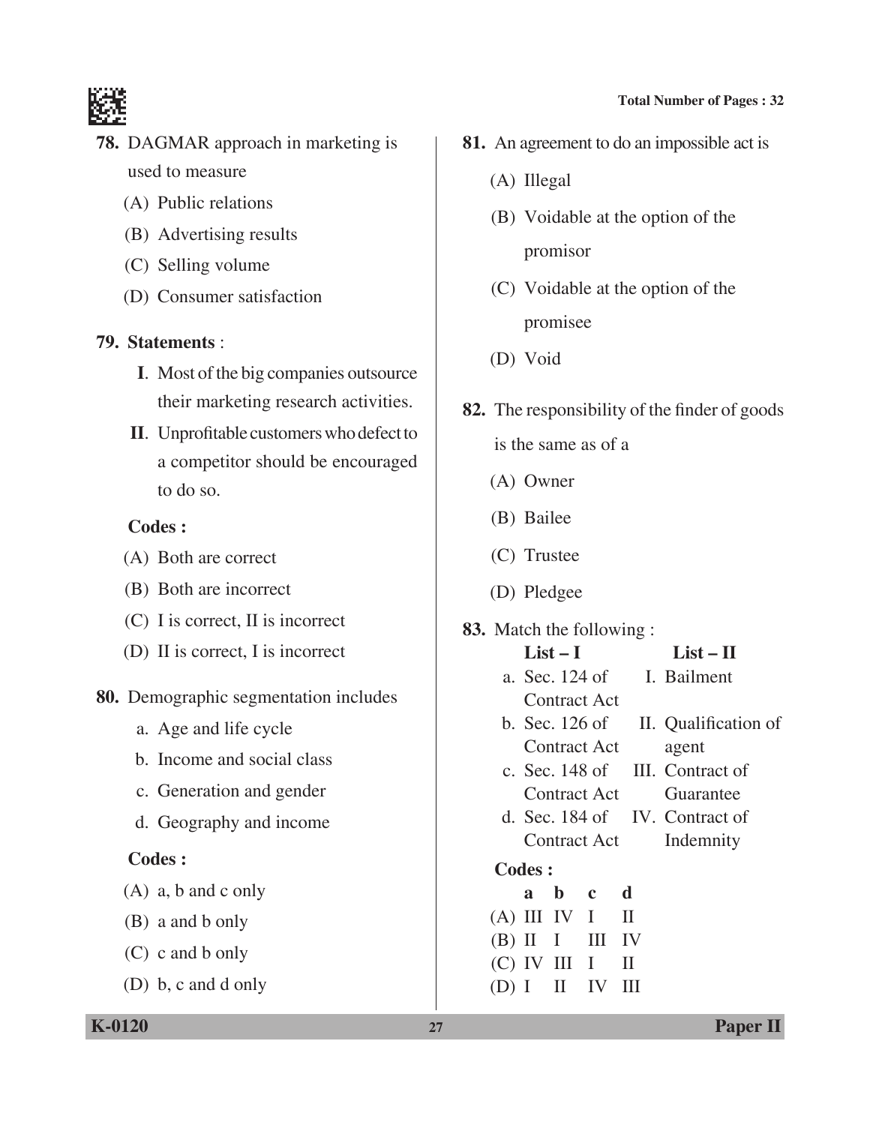

- **78.** DAGMAR approach in marketing is used to measure
	- (A) Public relations
	- (B) Advertising results
	- (C) Selling volume
	- (D) Consumer satisfaction

## **79. Statements** :

- **I**. Most of the big companies outsource their marketing research activities.
- **II**. Unprofitable customers who defect to a competitor should be encouraged to do so.

## **Codes :**

- (A) Both are correct
- (B) Both are incorrect
- (C) I is correct, II is incorrect
- (D) II is correct, I is incorrect
- **80.** Demographic segmentation includes
	- a. Age and life cycle
	- b. Income and social class
	- c. Generation and gender
	- d. Geography and income

## **Codes :**

- (A) a, b and c only
- (B) a and b only
- (C) c and b only
- (D) b, c and d only
- **81.** An agreement to do an impossible act is
	- (A) Illegal
	- (B) Voidable at the option of the promisor
	- (C) Voidable at the option of the promisee
	- (D) Void
- **82.** The responsibility of the finder of goods
	- is the same as of a
	- (A) Owner
	- (B) Bailee
	- (C) Trustee
	- (D) Pledgee
- **83.** Match the following :
	- $List-I$   $List-II$
	- a. Sec. 124 of I. Bailment Contract Act
	- b. Sec. 126 of II. Qualification of Contract Act agent
	- c. Sec. 148 of III. Contract of Contract Act Guarantee
	- d. Sec. 184 of IV. Contract of Contract Act Indemnity

## **Codes :**

 **a b c d**  $(A)$  III IV I II  $(B)$  II I III IV  $(C)$  IV III I II  $(D) I II IV III$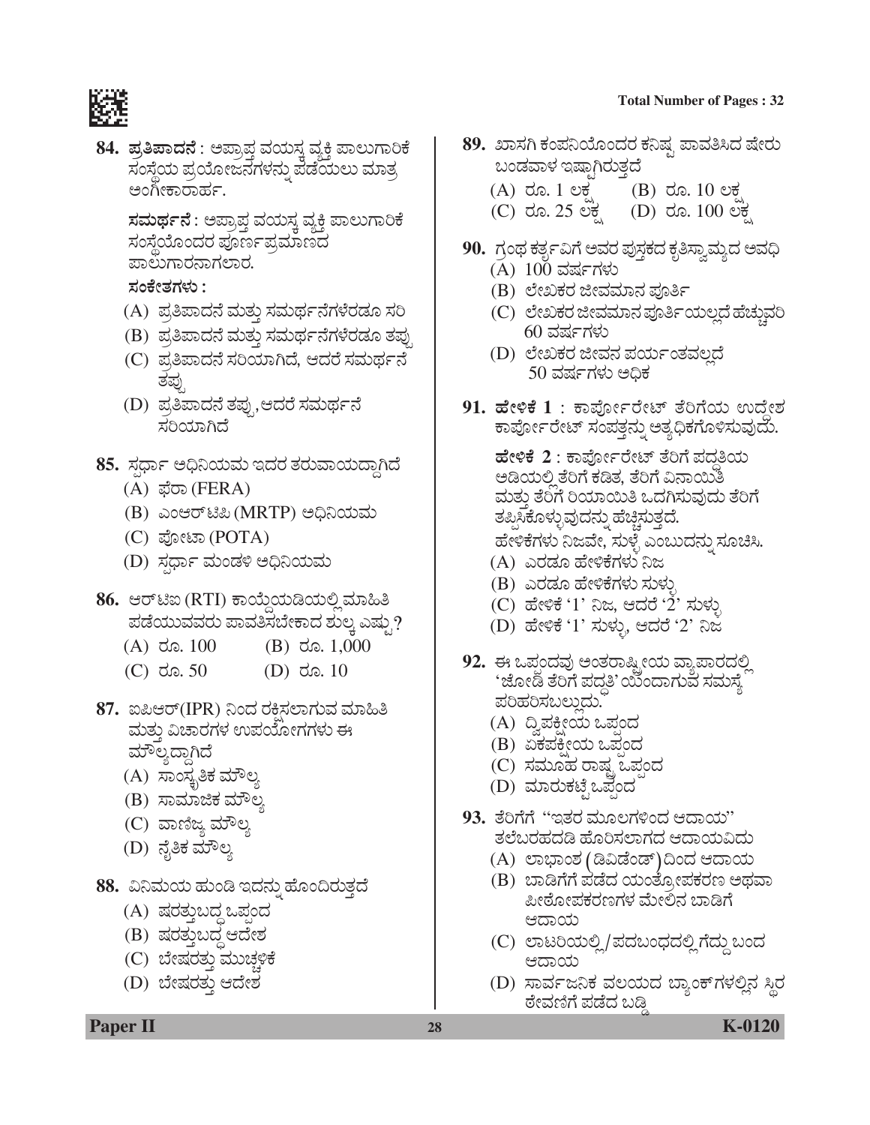#### **Total Number of Pages : 32**



**84. ಪ್ರತಿಪಾದನೆ** : ಅಪ್ರಾಪ್ತ ವಯಸ್ತ ವ್ಯಕ್ತಿ ಪಾಲುಗಾರಿಕೆ ಸಂಸ್ಥೆಯ ಪ್ರಯೋಜನಗಳನ್ನು ಪಡೆಯಲು ಮಾತ್ರ ಅಂಗೀಕಾರಾರ್ಹ.

> **ಸಮರ್ಥನೆ** : ಅಪ್ರಾಪ್ತ ವಯಸ್ಕ ವ್ಯಕ್ತಿ ಪಾಲುಗಾರಿಕೆ<br>ಸಂಸ್ತೆಯೊಂದರ ಪೂರ್ಣಪ್ರಮಾಣದ ಪಾಲುಗಾರನಾಗಲಾರ.

*ÓÜíPæàñÜWÜÙÜá :*

- (A) ಪ್ರತಿಪಾದನೆ ಮತ್ತು ಸಮರ್ಥನೆಗಳೆರಡೂ ಸರಿ
- (B) ಪ್ರತಿಪಾದನೆ ಮತ್ತು ಸಮರ್ಥನೆಗಳೆರಡೂ ತಪ್ಪು
- (C) ಪ್ರತಿಪಾದನೆ ಸರಿಯಾಗಿದೆ, ಆದರೆ ಸಮರ್ಥನೆ *ñܱÜâ³*
- (D) ಪ್ರತಿಪಾದನೆ ತಪ್ಪು,ಆದರೆ ಸಮರ್ಥನೆ ¤ರಿಯಾಗಿದೆ
- 85. ಸ್ಪರ್ಧಾ ಅಧಿನಿಯಮ ಇದರ ತರುವಾಯದ್ದಾಗಿದೆ
	- (A) ಫೆರಾ (FERA)
	- (B) ಎಂಆರ್ಟಿಪಿ (MRTP) ಅಧಿನಿಯಮ
	- (C) *±æäàpÝ* (POTA)
	- (D) ಸರ್ಧಾ ಮಂಡಳಿ ಅಧಿನಿಯಮ
- 86. ಆರ್*ಟಿ*ಐ (RTI) ಕಾಯ್ದೆಯಡಿಯಲ್ಲಿ ಮಾಹಿತಿ ಪಡೆಯುವವರು ಪಾವತಿಸಬೇಕಾದ ಶುಲ್ತ ಎಷ್ಟು?
	- (A)  $\overline{a}$   $\overline{a}$ . 100 (B)  $\overline{a}$   $\overline{a}$ . 1,000
	- $(C)$  do. 50  $(D)$  do. 10
- **87.** ಐಪಿಆರ್(IPR) ನಿಂದ ರಕಿಸಲಾಗುವ ಮಾಹಿತಿ ಮತ್ತು ವಿಚಾರಗಳ ಉಪಯೋಗಗಳು ಈ ಮೌಲ್ಯದ್ದಾಗಿದೆ
	- (A) ಸಾಂಸ್ಥೃತಿಕ ಮೌಲ್ಯ
	- (B) ಸಾಮಾಜಿಕ ಮೌಲ್ತ
	- (C) ವಾಣಿಜ್ಯ ಮೌಲ್ಯ
	- (D) ನೈತಿಕ ಮೌಲ್ಯ
- **88.** ವಿನಿಮಯ ಹುಂಡಿ ಇದನ್ನು ಹೊಂದಿರುತ್ತದೆ
	- (A) ಷರತ್ತುಬದ್ದ ಒಪಂದ
	- (B) ಷರತ್ತುಬದ್ಧ ಆದೇಶ
	- (C) ಬೇಷರತ್ತು ಮುಚ್ಚಳಿಕೆ
	- (D) ಬೇಷರತ್ತು ಆದೇಶ

## 89. ಖಾಸಗಿ ಕಂಪನಿಯೊಂದರ ಕನಿಷ್ಟ ಪಾವತಿಸಿದ ಷೇರು  $\omega$ ಂಡವಾಳ ಇಷಾಗಿರುತ್ತದೆ

- $(A)$  do. 1 ಲಕ್ಷ  $(B)$  do. 10 ಲಕ್ಷ<br>
(C) do. 25 ಲಕ (D) do. 100 ಲಕ
- (C) ರೂ. 25 ಲಕ್ಷ
- 90. ಗ್ರಂಥ ಕರ್ತೃವಿಗೆ ಅವರ ಪುಸ್ತಕದ ಕೃತಿಸ್ವಾಮ್ಯದ ಅವಧಿ (A) 100 ವರ್ಷಗಳು
	- (B) ಲೇಖಕರ ಜೀವಮಾನ ಪೂರ್ತಿ
	- (C) ಲೇಖಕರ ಜೀವಮಾನ ಪೂರ್ತಿಯಲ್ಲದೆ ಹೆಚ್ಚುವರಿ 60 *ÊÜÐÜìWÜÙÜá*
	- (D) ಲೇಖಕರ ಜೀವನ ಪರ್ಯಂತವಲ್ಲದೆ 50 ವರ್ಷಗಳು ಅಧಿಕ
- 91. ಹೇಳಿಕೆ 1 : ಕಾರ್ಪೋರೇಟ್ ತೆರಿಗೆಯ ಉದ್ದೇಶ<br>ಹಾರ್ಪೋರೇಟ್ ಸಂಪತ್ತನ್ನು ಅತ್ಯಧಿಕಗೊಳಿಸುವುದು.

ಹೇಳಿ**ಕೆ 2** : ಕಾರ್ಪೋರೇಟ್ ತೆರಿಗೆ ಪದ್ಧತಿಯ<br>ಅಡಿಯಲಿ ತೆರಿಗೆ ಕಡಿತ. ತೆರಿಗೆ ವಿನಾಯಿತಿ ಮತ್ತು ತೆರಿಗೆ ರಿಯಾಯಿತಿ ಒದಗಿಸುವುದು ತೆರಿಗೆ ತಪ್ಪಿಸಿಕೊಳ್ಳುವುದನ್ನು ಹೆಚ್ಚಿಸುತ್ತದೆ. ಹೇಳಿಕೆಗಳು ನಿಜವೇ, ಸುಳ್ಳೆ ಎಂಬುದನ್ನು ಸೂಚಿಸಿ.

- (A) ಎರಡೂ ಹೇಳಿಕೆಗಳು ನಿಜ
- (B) ಎರಡೂ ಹೇಳಿಕೆಗಳು ಸುಳು
- (C) ಹೇಳಿಕೆ '1' ನಿಜ, ಆದರೆ '2' ಸುಳ್ಳು
- (D) ಹೇಳಿಕೆ '1' ಸುಳ್ಳು, ಆದರೆ '2' ನಿಜ
- 92. ಈ ಒಪ್ಪಂದವು ಅಂತರಾಷ್ಟೀಯ ವ್ಯಾಪಾರದಲ್ಲಿ 'ಜೋಡಿ ತೆರಿಗೆ ಪದ್ಧತಿ' ಯಿಂದಾಗುವೆ ಸಮಸ್ಯೆ<br>ಪರಿಹರಿಸಬಲ್ಲುದು.
	- (A) ದ್ವಿಪಕ್ಷೀಯ ಒಪ್ಪಂದ
	- (B) ಏಕಪಕೀಯ ಒಪಂದ
	- (C) ಸಮೂಹ ರಾಷ್ಟ್ರ ಒಪಂದ
	- (D) ಮಾರುಕಟ್ಟೆ ಒಪ್ಪೆಂದ
- **93.** ತೆರಿಗೆಗೆ ''ಇತರ ಮೂಲಗಳಿಂದ ಆದಾಯ'' ತಲೆಬರಹದಡಿ ಹೊರಿಸಲಾಗದ ಆದಾಯವಿದು
	- (A) ಲಾಭಾಂಶ (ಡಿವಿಡೆಂಡ್)ದಿಂದ ಆದಾಯ
	- (B) ಬಾಡಿಗೆಗೆ ಪಡೆದ ಯಂತ್ಸೋಪಕರಣ ಅಥವಾ ಪೀಠೋಪಕರಣಗಳ ಮೇಲಿನ ಬಾಡಿಗೆ ಆದಾಯ
	- (C) ಲಾಟರಿಯಲ್ಲಿ/ಪದಬಂಧದಲ್ಲಿ ಗೆದ್ದು ಬಂದ ಆದಾಯ
	- (D) ಸಾರ್ವಜನಿಕ ವಲಯದ ಬ್ಯಾಂಕ್ಗಳಲ್ಲಿನ ಸ್ಥಿರ ಠೇವಣಿಗೆ ಪಡೆದ ಬಡ್ಡಿ

**Paper II 28 K-0120**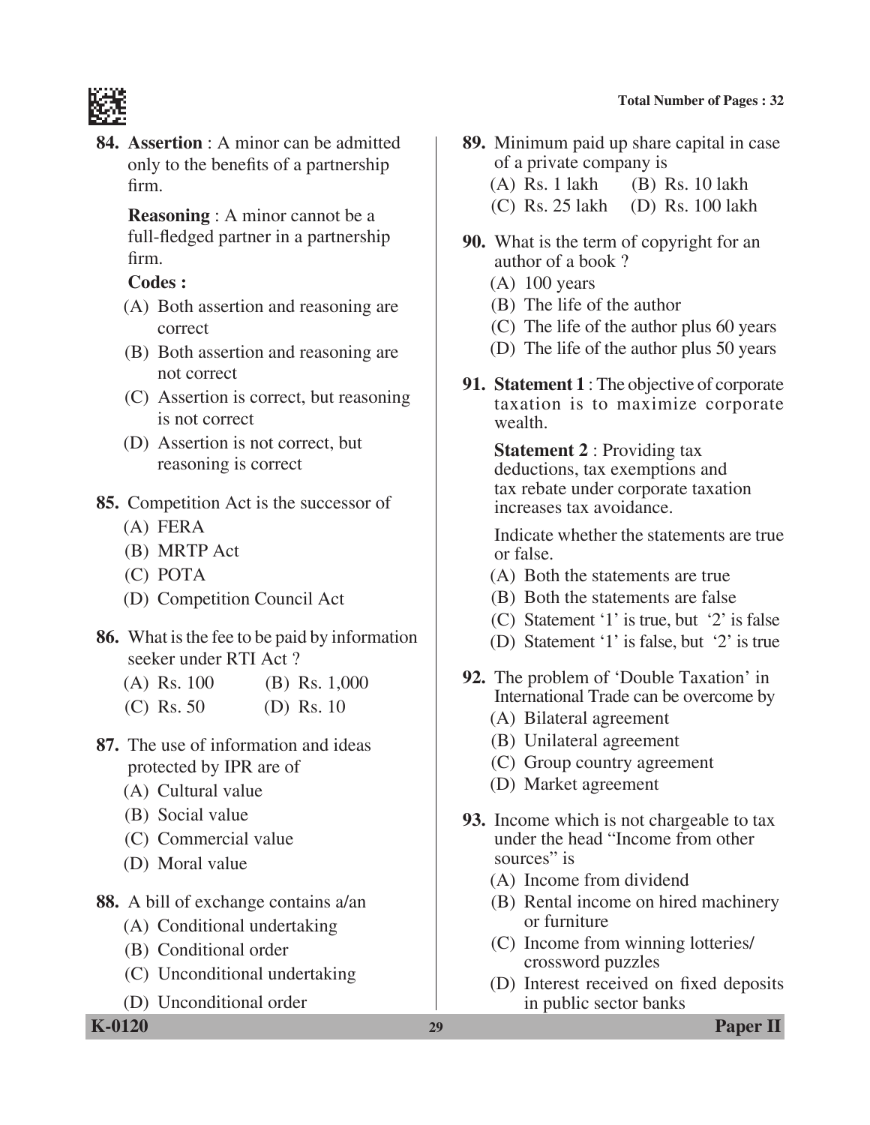

**84. Assertion** : A minor can be admitted only to the benefits of a partnership firm.

> **Reasoning** : A minor cannot be a full-fledged partner in a partnership firm.

## **Codes :**

- (A) Both assertion and reasoning are correct
- (B) Both assertion and reasoning are not correct
- (C) Assertion is correct, but reasoning is not correct
- (D) Assertion is not correct, but reasoning is correct
- **85.** Competition Act is the successor of
	- (A) FERA
	- (B) MRTP Act
	- (C) POTA
	- (D) Competition Council Act
- **86.** What is the fee to be paid by information seeker under RTI Act ?
	- (A) Rs. 100 (B) Rs. 1,000
	- (C) Rs. 50 (D) Rs. 10
- **87.** The use of information and ideas protected by IPR are of
	- (A) Cultural value
	- (B) Social value
	- (C) Commercial value
	- (D) Moral value
- **88.** A bill of exchange contains a/an
	- (A) Conditional undertaking
	- (B) Conditional order
	- (C) Unconditional undertaking
	- (D) Unconditional order

- **89.** Minimum paid up share capital in case of a private company is
	- (A) Rs. 1 lakh (B) Rs. 10 lakh
	- (C) Rs. 25 lakh (D) Rs. 100 lakh
- **90.** What is the term of copyright for an author of a book ?
	- $(A)$  100 years
	- (B) The life of the author
	- (C) The life of the author plus 60 years
	- (D) The life of the author plus 50 years
- **91. Statement 1** : The objective of corporate taxation is to maximize corporate wealth.

 **Statement 2** : Providing tax deductions, tax exemptions and tax rebate under corporate taxation increases tax avoidance.

 Indicate whether the statements are true or false.

- (A) Both the statements are true
- (B) Both the statements are false
- (C) Statement '1' is true, but '2' is false
- (D) Statement '1' is false, but '2' is true
- **92.** The problem of 'Double Taxation' in International Trade can be overcome by
	- (A) Bilateral agreement
	- (B) Unilateral agreement
	- (C) Group country agreement
	- (D) Market agreement
- **93.** Income which is not chargeable to tax under the head "Income from other sources" is
	- (A) Income from dividend
	- (B) Rental income on hired machinery or furniture
	- (C) Income from winning lotteries/ crossword puzzles
	- (D) Interest received on fixed deposits in public sector banks

**K-0120 29 Paper II**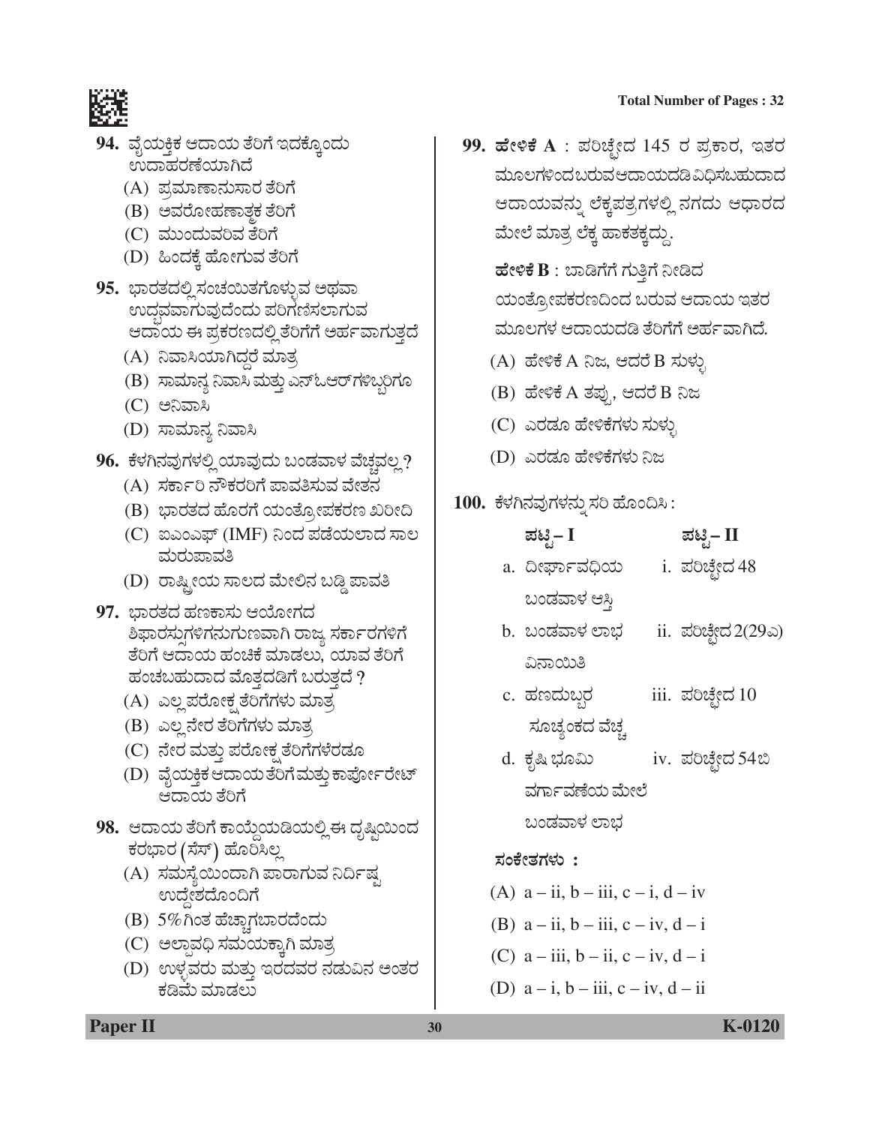

- 94. ವೈಯಕ್ತಿಕ ಆದಾಯ ತೆರಿಗೆ ಇದಕ್ರೊಂದು *ಲುದಾಹರಣೆಯಾಗಿದೆ* 
	- (A) ಪ್ರಮಾಣಾನುಸಾರ ತೆರಿಗೆ
	- (B) ಅವರೋಹಣಾತ್ಮಕ ತೆರಿಗೆ
	- (C) *ÊÜááí¨ÜáÊÜÄÊÜ ñæÄWæ*
	- (D) ಹಿಂದಕ್ಕೆ ಹೋಗುವ ತೆರಿಗೆ
- 95. ಭಾರತದಲ್ಲಿಸಂಚಯಿತಗೊಳ್ಳುವ ಅಥವಾ ಉದ್ಧವವಾಗುವುದೆಂದು ಪರಿಗಣಿಸಲಾಗುವ ಆದಾಯ ಈ ಪ್ರಕರಣದಲ್ಲಿ ತೆರಿಗೆಗೆ ಅರ್ಹವಾಗುತ್ತದೆ
	- (A) ನಿವಾಸಿಯಾಗಿದ್ದರೆ ಮಾತ್ರ
	- (B) ಸಾಮಾನ್ಯ ನಿವಾಸಿ ಮತ್ತು ಎನ್ಓಆರ್*ಗ*ಳಿಬ್ಬರಿಗೂ
	- (C) ಅನಿವಾಸಿ
	- (D) ಸಾಮಾನ್ಯ ನಿವಾಸಿ
- 96. ಕೆಳಗಿನವುಗಳಲ್ಲಿ ಯಾವುದು ಬಂಡವಾಳ ವೆಚ್ಚವಲ್ಲ?
	- (A) ಸರ್ಕಾರಿ ನೌಕರರಿಗೆ ಪಾವತಿಸುವ ವೇತನ
	- (B) ಭಾರತದ ಹೊರಗೆ ಯಂತ್ಸೋಪಕರಣ ಖರೀದಿ
	- (C) ಐಎಂಎಫ್ (IMF) ನಿಂದ ಪಡೆಯಲಾದ ಸಾಲ *ÊÜáÃÜá±ÝÊÜ£*
	- (D) ರಾಷ್ಟ್ರೀಯ ಸಾಲದ ಮೇಲಿನ ಬಡ್ಡಿ ಪಾವತಿ
- **97.** ಭಾರತದ ಹಣಕಾಸು ಆಯೋಗದ ಶಿಫಾರಸ್ತುಗಳಿಗನುಗುಣವಾಗಿ ರಾಜ್ಯ ಸರ್ಕಾರಗಳಿಗೆ ತೆರಿಗೆ ಆದಾಯ ಹಂಚಿಕೆ ಮಾಡಲು, ಯಾವ ತೆರಿಗೆ ಹಂಚಬಹುದಾದ ಮೊತ್ತದಡಿಗೆ ಬರುತ್ತದೆ ?
	- (A) ಎಲ್ಲ ಪರೋಕ್ಷ ತೆರಿಗೆಗಳು ಮಾತ್ರ
	- (B) ಎಲ್ಲ ನೇರ ತೆರಿಗೆಗಳು ಮಾತ್ರ
	- (C) ನೇರ ಮತ್ತು ಪರೋಕ್ಷ ತೆರಿಗೆಗಳೆರಡೂ
	- (D) ವೈಯಕ್ತಿಕ ಆದಾಯತೆರಿಗೆ ಮತ್ತು ಕಾರ್ಪೋರೇಟ್ ಆದಾಯ ತೆರಿಗೆ
- 98. ಆದಾಯ ತೆರಿಗೆ ಕಾಯ್ದೆಯಡಿಯಲ್ಲಿ ಈ ದೃಷ್ಟಿಯಿಂದ ಕರಭಾರ (ಸೆಸ್) ಹೊರಿಸಿಲ್ಲ
	- (A) ಸಮಸ್ಯೆಯಿಂದಾಗಿ ಪಾರಾಗುವ ನಿರ್ದಿಷ್ಟ  $\omega$ ದ್ದೇಶದೊಂದಿಗೆ
	- (B) 5%*XíñÜ ÖæaÝcWܸÝÃܨæí¨Üá*
	- (C) ಅಲ್ಪಾವಧಿ ಸಮಯಕ್ತಾಗಿ ಮಾತ್ರ
	- (D) ಉಳ್ಳವರು ಮತ್ತು ಇರದವರ ನಡುವಿನ ಅಂತರ ಕಡಿಮೆ ಮಾಡಲು

99. ಹೇಳಿಕೆ A : ಪರಿಚ್ಛೇದ 145 ರ ಪ್ರಕಾರ, ಇತರ ಮೂಲಗಳಿಂದಬರುವಆದಾಯದಡಿವಿಧಿಸಬಹುದಾದ ಆದಾಯವನ್ನು ಲೆಕ್ಕಪತ್ರಗಳಲ್ಲಿ ನಗದು ಆಧಾರದ ಮೇಲೆ ಮಾತ್ರ ಲೆಕ್ಕ ಹಾಕತಕ್ಕದ್ದು.

ಹೇಳಿಕೆ B : ಬಾಡಿಗೆಗೆ ಗುತ್ತಿಗೆ ನೀಡಿದ ಯಂತ್ರೋಪಕರಣದಿಂದ ಬರುವ ಆದಾಯ ಇತರ ಮೂಲಗಳ ಆದಾಯದಡಿ ತೆರಿಗೆಗೆ ಅರ್ಹವಾಗಿದೆ.

- (A) ಹೇಳಿಕೆ A ನಿಜ, ಆದರೆ B ಸುಳ್ಳು
- (B) ÖæàÚPæ A *ñܱÜâ³ , B¨ÜÃæ* B *¯g*
- (C) ಎರಡೂ ಹೇಳಿಕೆಗಳು ಸುಳ್ಳು
- (D) ಎರಡೂ ಹೇಳಿಕೆಗಳು ನಿಜ
- <u>100. ಕೆಳಗಿನವುಗಳನ್ನು ಸರಿ ಹೊಂದಿಸಿ :</u>

| ಪಟಿೖ– I       | ಪಟಿೖ– II       |
|---------------|----------------|
| a. ದೀರ್ಘಾವಧಿಯ | i. ಪರಿಚ್ಛೇದ 48 |
| ಬಂಡವಾಳ ಆಸ್ತಿ  |                |

- b. ಬಂಡವಾಳ ಲಾಭ ii. ಪರಿಚ್ಛೇದ 2(29ಎ) ವಿನಾಯಿತಿ
- c. ÖÜ|¨Ü៺ÃÜ iii. ±ÜÄaæfà¨Ü 10 *ÓÜãaÜÂíPÜ¨Ü ÊæaÜc*
- d. ಕೃಷಿ ಭೂಮಿ iv. ಪರಿಚ್ಛೇದ 54ಬಿ ವರ್ಗಾವಣೆಯ ಮೇಲೆ

ಬಂಡವಾಳ ಲಾಭ

## *ÓÜíPæàñÜWÜÙÜá* **:**

- (A)  $a ii, b iii, c i, d iv$
- (B)  $a ii, b iii, c iv, d i$
- (C)  $a iii$ ,  $b ii$ ,  $c iv$ ,  $d i$
- (D)  $a i$ ,  $b iii$ ,  $c iv$ ,  $d ii$

**Paper II 30 K-0120**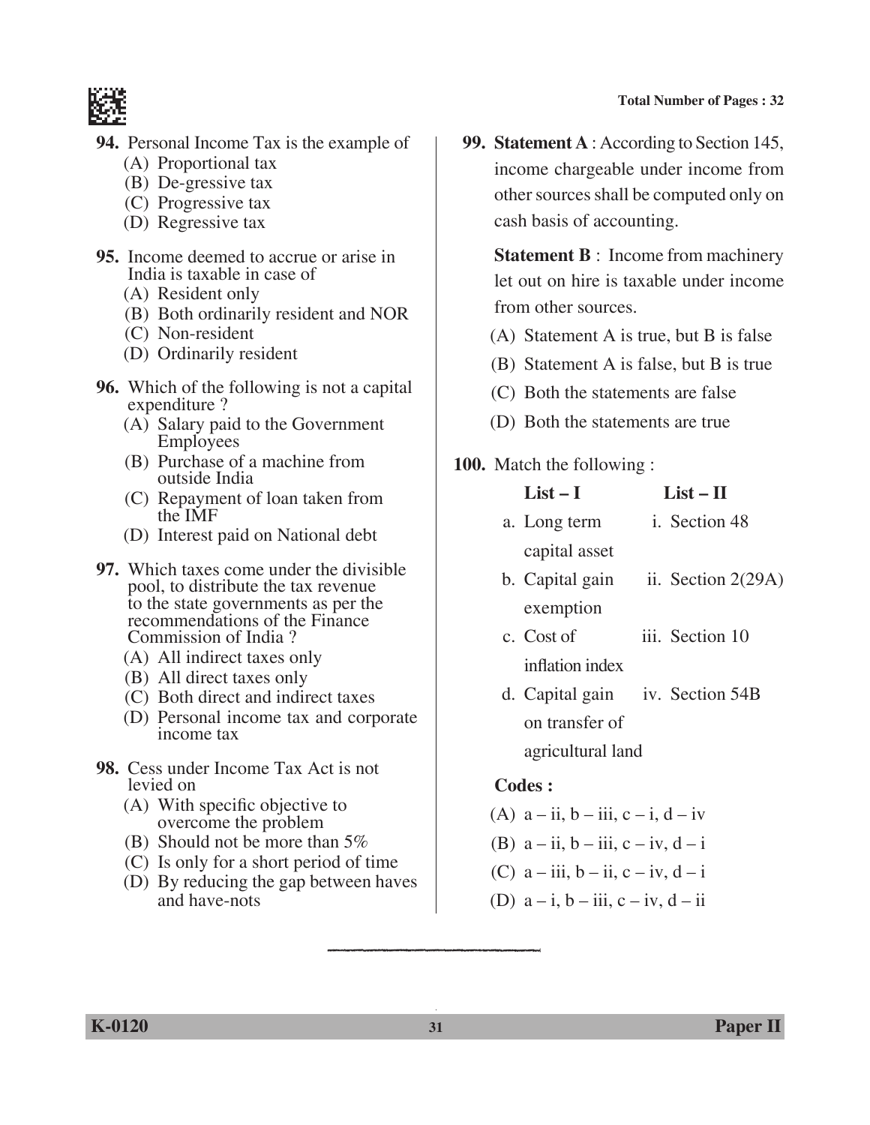

- **94.** Personal Income Tax is the example of
	- (A) Proportional tax
	- (B) De-gressive tax
	- (C) Progressive tax
	- (D) Regressive tax
- **95.** Income deemed to accrue or arise in India is taxable in case of
	- (A) Resident only
	- (B) Both ordinarily resident and NOR
	- (C) Non-resident
	- (D) Ordinarily resident
- **96.** Which of the following is not a capital expenditure ?
	- (A) Salary paid to the Government Employees
	- (B) Purchase of a machine from outside India
	- (C) Repayment of loan taken from the IMF
	- (D) Interest paid on National debt
- **97.** Which taxes come under the divisible pool, to distribute the tax revenue to the state governments as per the recommendations of the Finance Commission of India ?
	- (A) All indirect taxes only
	- (B) All direct taxes only
	- (C) Both direct and indirect taxes
	- (D) Personal income tax and corporate income tax
- **98.** Cess under Income Tax Act is not levied on
	- (A) With specific objective to overcome the problem
	- (B) Should not be more than 5%
	- (C) Is only for a short period of time
	- (D) By reducing the gap between haves and have-nots

**99. Statement A** : According to Section 145, income chargeable under income from other sources shall be computed only on cash basis of accounting.

**Statement B** : Income from machinery let out on hire is taxable under income from other sources.

- (A) Statement A is true, but B is false
- (B) Statement A is false, but B is true
- (C) Both the statements are false
- (D) Both the statements are true
- **100.** Match the following :

| $List-I$        |               | $List - II$          |  |
|-----------------|---------------|----------------------|--|
| a. Long term    |               | i. Section 48        |  |
|                 | capital asset |                      |  |
| b. Capital gain |               | ii. Section $2(29A)$ |  |
|                 | exemption     |                      |  |
|                 |               |                      |  |

- c. Cost of iii. Section 10 inflation index
- d. Capital gain iv. Section 54B on transfer of agricultural land

- (A)  $a ii, b iii, c i, d iv$
- (B)  $a ii, b iii, c iv, d i$
- (C)  $a iii$ ,  $b ii$ ,  $c iv$ ,  $d i$
- (D)  $a i$ ,  $b iii$ ,  $c iv$ ,  $d ii$